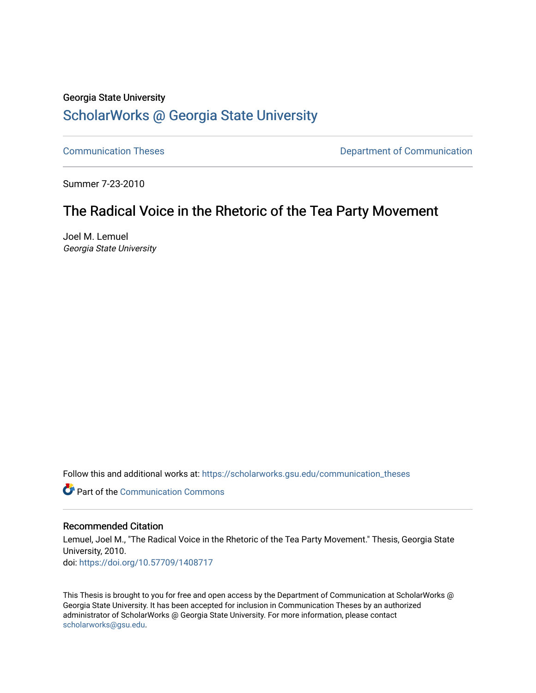### Georgia State University

# [ScholarWorks @ Georgia State University](https://scholarworks.gsu.edu/)

[Communication Theses](https://scholarworks.gsu.edu/communication_theses) **Communication Communication** 

Summer 7-23-2010

# The Radical Voice in the Rhetoric of the Tea Party Movement

Joel M. Lemuel Georgia State University

Follow this and additional works at: [https://scholarworks.gsu.edu/communication\\_theses](https://scholarworks.gsu.edu/communication_theses?utm_source=scholarworks.gsu.edu%2Fcommunication_theses%2F63&utm_medium=PDF&utm_campaign=PDFCoverPages) 

**C** Part of the Communication Commons

#### Recommended Citation

Lemuel, Joel M., "The Radical Voice in the Rhetoric of the Tea Party Movement." Thesis, Georgia State University, 2010. doi: <https://doi.org/10.57709/1408717>

This Thesis is brought to you for free and open access by the Department of Communication at ScholarWorks @ Georgia State University. It has been accepted for inclusion in Communication Theses by an authorized administrator of ScholarWorks @ Georgia State University. For more information, please contact [scholarworks@gsu.edu.](mailto:scholarworks@gsu.edu)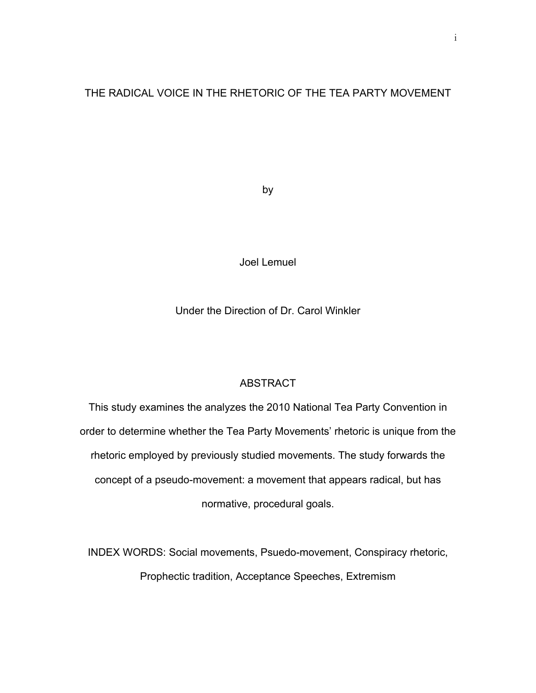### THE RADICAL VOICE IN THE RHETORIC OF THE TEA PARTY MOVEMENT

by

Joel Lemuel

Under the Direction of Dr. Carol Winkler

### ABSTRACT

This study examines the analyzes the 2010 National Tea Party Convention in order to determine whether the Tea Party Movements' rhetoric is unique from the rhetoric employed by previously studied movements. The study forwards the concept of a pseudo-movement: a movement that appears radical, but has normative, procedural goals.

INDEX WORDS: Social movements, Psuedo-movement, Conspiracy rhetoric, Prophectic tradition, Acceptance Speeches, Extremism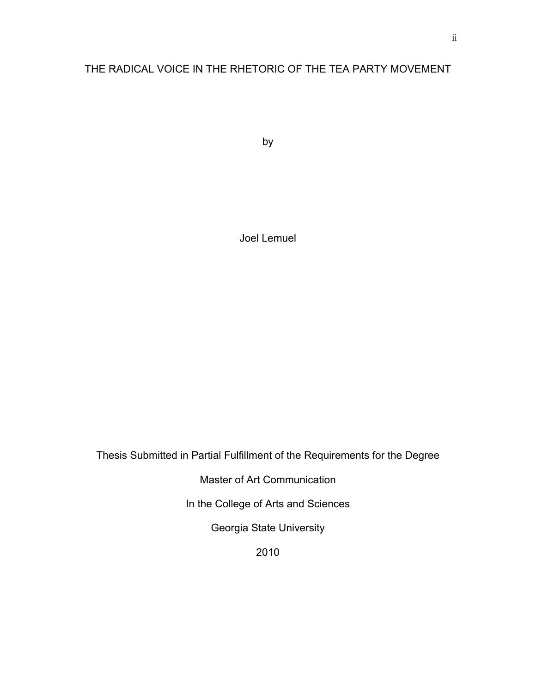## THE RADICAL VOICE IN THE RHETORIC OF THE TEA PARTY MOVEMENT

by

Joel Lemuel

Thesis Submitted in Partial Fulfillment of the Requirements for the Degree

Master of Art Communication

In the College of Arts and Sciences

Georgia State University

2010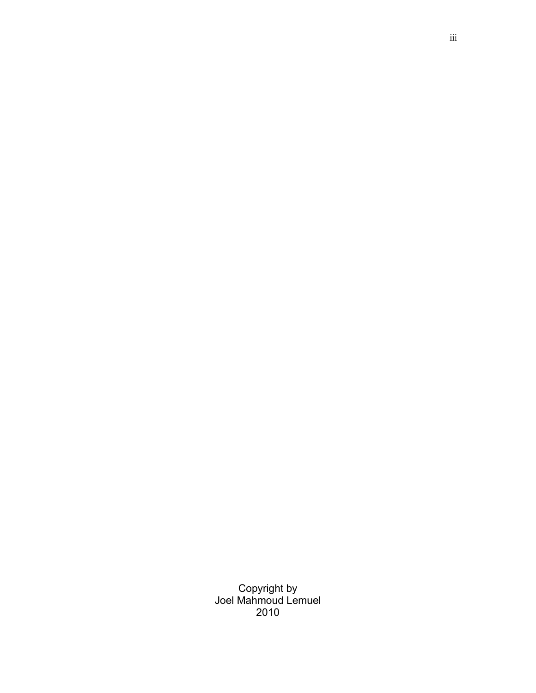Copyright by Joel Mahmoud Lemuel 2010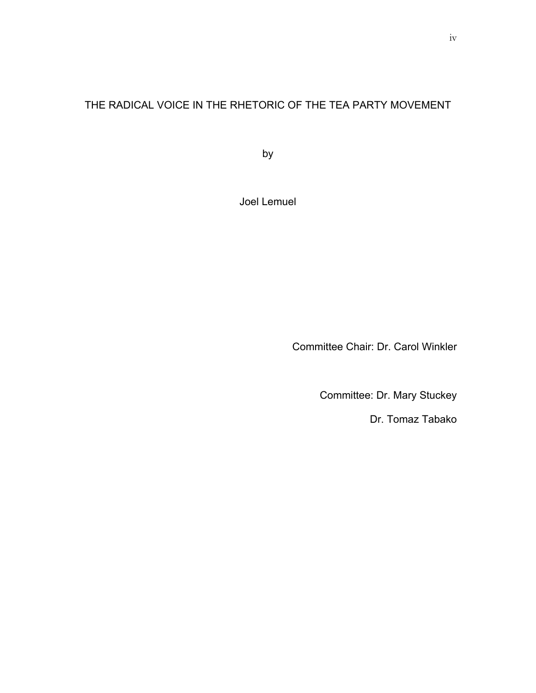# THE RADICAL VOICE IN THE RHETORIC OF THE TEA PARTY MOVEMENT

by

Joel Lemuel

Committee Chair: Dr. Carol Winkler

Committee: Dr. Mary Stuckey

Dr. Tomaz Tabako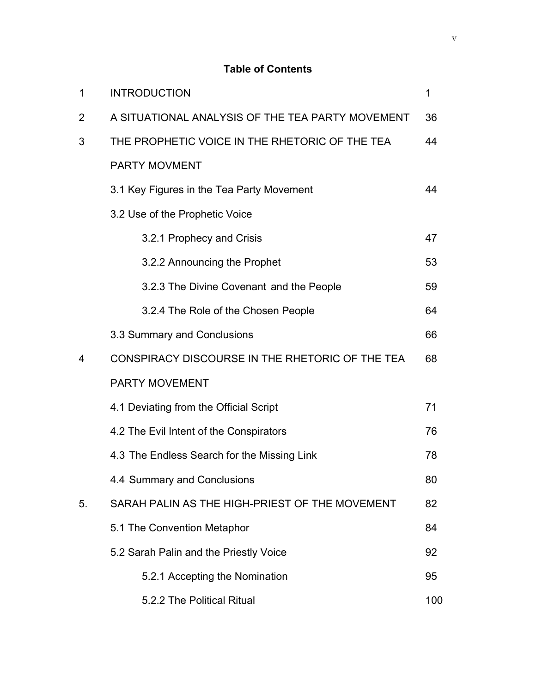### **Table of Contents**

| 1  | <b>INTRODUCTION</b>                              | 1   |
|----|--------------------------------------------------|-----|
| 2  | A SITUATIONAL ANALYSIS OF THE TEA PARTY MOVEMENT | 36  |
| 3  | THE PROPHETIC VOICE IN THE RHETORIC OF THE TEA   | 44  |
|    | PARTY MOVMENT                                    |     |
|    | 3.1 Key Figures in the Tea Party Movement        | 44  |
|    | 3.2 Use of the Prophetic Voice                   |     |
|    | 3.2.1 Prophecy and Crisis                        | 47  |
|    | 3.2.2 Announcing the Prophet                     | 53  |
|    | 3.2.3 The Divine Covenant and the People         | 59  |
|    | 3.2.4 The Role of the Chosen People              | 64  |
|    | 3.3 Summary and Conclusions                      | 66  |
| 4  | CONSPIRACY DISCOURSE IN THE RHETORIC OF THE TEA  | 68  |
|    | <b>PARTY MOVEMENT</b>                            |     |
|    | 4.1 Deviating from the Official Script           | 71  |
|    | 4.2 The Evil Intent of the Conspirators          | 76  |
|    | 4.3 The Endless Search for the Missing Link      | 78  |
|    | 4.4 Summary and Conclusions                      | 80  |
| 5. | SARAH PALIN AS THE HIGH-PRIEST OF THE MOVEMENT   | 82  |
|    | 5.1 The Convention Metaphor                      | 84  |
|    | 5.2 Sarah Palin and the Priestly Voice           | 92  |
|    | 5.2.1 Accepting the Nomination                   | 95  |
|    | 5.2.2 The Political Ritual                       | 100 |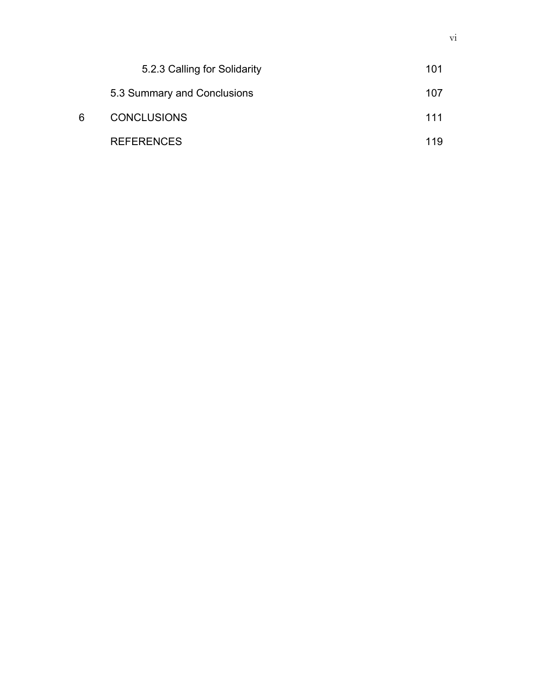|   | 5.2.3 Calling for Solidarity | 101 |
|---|------------------------------|-----|
|   | 5.3 Summary and Conclusions  | 107 |
| 6 | <b>CONCLUSIONS</b>           | 111 |
|   | <b>REFERENCES</b>            | 119 |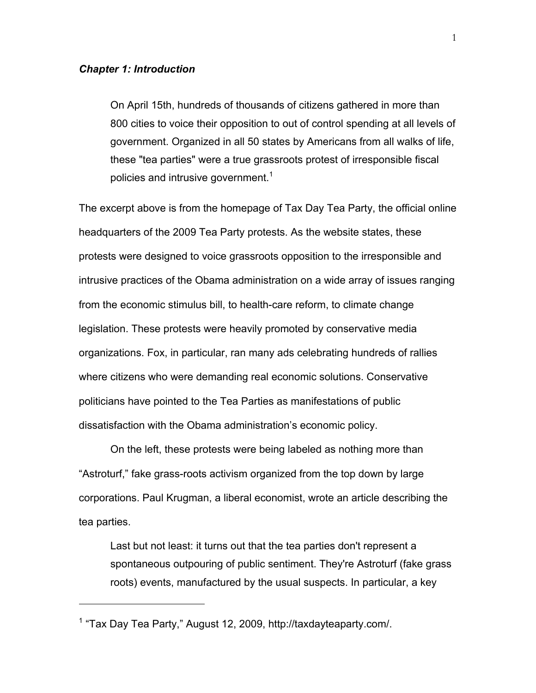#### *Chapter 1: Introduction*

On April 15th, hundreds of thousands of citizens gathered in more than 800 cities to voice their opposition to out of control spending at all levels of government. Organized in all 50 states by Americans from all walks of life, these "tea parties" were a true grassroots protest of irresponsible fiscal policies and intrusive government.<sup>1</sup>

The excerpt above is from the homepage of Tax Day Tea Party, the official online headquarters of the 2009 Tea Party protests. As the website states, these protests were designed to voice grassroots opposition to the irresponsible and intrusive practices of the Obama administration on a wide array of issues ranging from the economic stimulus bill, to health-care reform, to climate change legislation. These protests were heavily promoted by conservative media organizations. Fox, in particular, ran many ads celebrating hundreds of rallies where citizens who were demanding real economic solutions. Conservative politicians have pointed to the Tea Parties as manifestations of public dissatisfaction with the Obama administration's economic policy.

On the left, these protests were being labeled as nothing more than "Astroturf," fake grass-roots activism organized from the top down by large corporations. Paul Krugman, a liberal economist, wrote an article describing the tea parties.

Last but not least: it turns out that the tea parties don't represent a spontaneous outpouring of public sentiment. They're Astroturf (fake grass roots) events, manufactured by the usual suspects. In particular, a key

<sup>1</sup> "Tax Day Tea Party," August 12, 2009, http://taxdayteaparty.com/.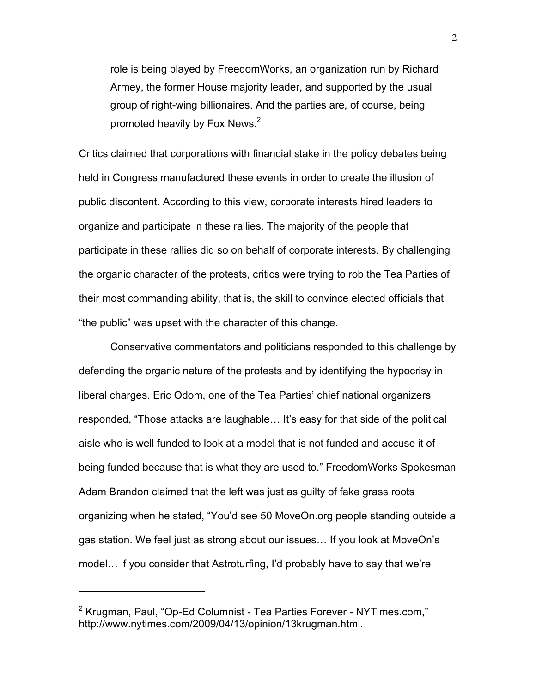role is being played by FreedomWorks, an organization run by Richard Armey, the former House majority leader, and supported by the usual group of right-wing billionaires. And the parties are, of course, being promoted heavily by Fox News. $<sup>2</sup>$ </sup>

Critics claimed that corporations with financial stake in the policy debates being held in Congress manufactured these events in order to create the illusion of public discontent. According to this view, corporate interests hired leaders to organize and participate in these rallies. The majority of the people that participate in these rallies did so on behalf of corporate interests. By challenging the organic character of the protests, critics were trying to rob the Tea Parties of their most commanding ability, that is, the skill to convince elected officials that "the public" was upset with the character of this change.

Conservative commentators and politicians responded to this challenge by defending the organic nature of the protests and by identifying the hypocrisy in liberal charges. Eric Odom, one of the Tea Parties' chief national organizers responded, "Those attacks are laughable… It's easy for that side of the political aisle who is well funded to look at a model that is not funded and accuse it of being funded because that is what they are used to." FreedomWorks Spokesman Adam Brandon claimed that the left was just as guilty of fake grass roots organizing when he stated, "You'd see 50 MoveOn.org people standing outside a gas station. We feel just as strong about our issues… If you look at MoveOn's model… if you consider that Astroturfing, I'd probably have to say that we're

<sup>&</sup>lt;sup>2</sup> Krugman, Paul, "Op-Ed Columnist - Tea Parties Forever - NYTimes.com." http://www.nytimes.com/2009/04/13/opinion/13krugman.html.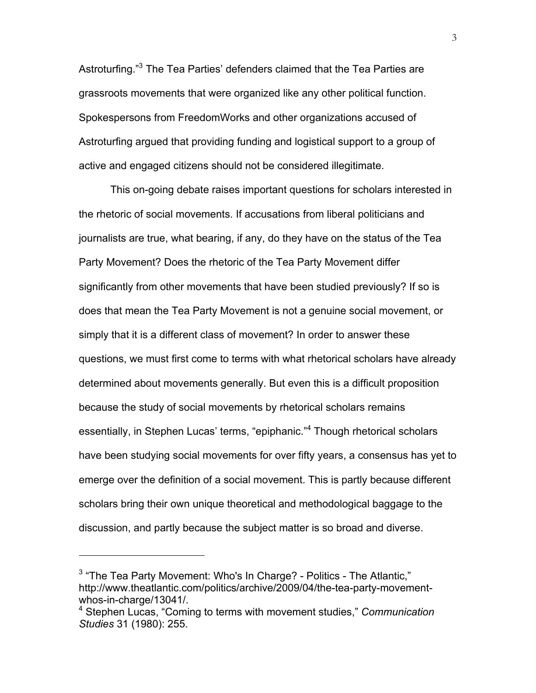Astroturfing."<sup>3</sup> The Tea Parties' defenders claimed that the Tea Parties are grassroots movements that were organized like any other political function. Spokespersons from FreedomWorks and other organizations accused of Astroturfing argued that providing funding and logistical support to a group of active and engaged citizens should not be considered illegitimate.

This on-going debate raises important questions for scholars interested in the rhetoric of social movements. If accusations from liberal politicians and journalists are true, what bearing, if any, do they have on the status of the Tea Party Movement? Does the rhetoric of the Tea Party Movement differ significantly from other movements that have been studied previously? If so is does that mean the Tea Party Movement is not a genuine social movement, or simply that it is a different class of movement? In order to answer these questions, we must first come to terms with what rhetorical scholars have already determined about movements generally. But even this is a difficult proposition because the study of social movements by rhetorical scholars remains essentially, in Stephen Lucas' terms, "epiphanic."<sup>4</sup> Though rhetorical scholars have been studying social movements for over fifty years, a consensus has yet to emerge over the definition of a social movement. This is partly because different scholars bring their own unique theoretical and methodological baggage to the discussion, and partly because the subject matter is so broad and diverse.

 $3$  "The Tea Party Movement: Who's In Charge? - Politics - The Atlantic," http://www.theatlantic.com/politics/archive/2009/04/the-tea-party-movementwhos-in-charge/13041/.<br><sup>4</sup> Stephen Lucas, "Coming to terms with movement studies," *Communication* 

*Studies* 31 (1980): 255.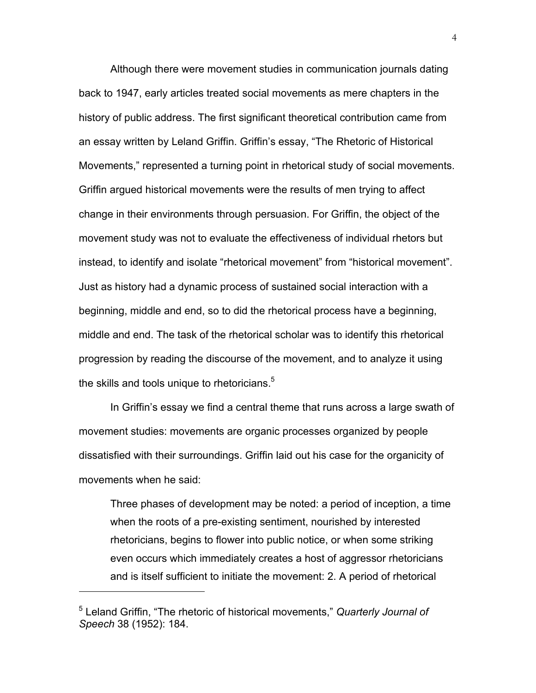Although there were movement studies in communication journals dating back to 1947, early articles treated social movements as mere chapters in the history of public address. The first significant theoretical contribution came from an essay written by Leland Griffin. Griffin's essay, "The Rhetoric of Historical Movements," represented a turning point in rhetorical study of social movements. Griffin argued historical movements were the results of men trying to affect change in their environments through persuasion. For Griffin, the object of the movement study was not to evaluate the effectiveness of individual rhetors but instead, to identify and isolate "rhetorical movement" from "historical movement". Just as history had a dynamic process of sustained social interaction with a beginning, middle and end, so to did the rhetorical process have a beginning, middle and end. The task of the rhetorical scholar was to identify this rhetorical progression by reading the discourse of the movement, and to analyze it using the skills and tools unique to rhetoricians. $5$ 

In Griffin's essay we find a central theme that runs across a large swath of movement studies: movements are organic processes organized by people dissatisfied with their surroundings. Griffin laid out his case for the organicity of movements when he said:

Three phases of development may be noted: a period of inception, a time when the roots of a pre-existing sentiment, nourished by interested rhetoricians, begins to flower into public notice, or when some striking even occurs which immediately creates a host of aggressor rhetoricians and is itself sufficient to initiate the movement: 2. A period of rhetorical

<sup>5</sup> Leland Griffin, "The rhetoric of historical movements," *Quarterly Journal of Speech* 38 (1952): 184.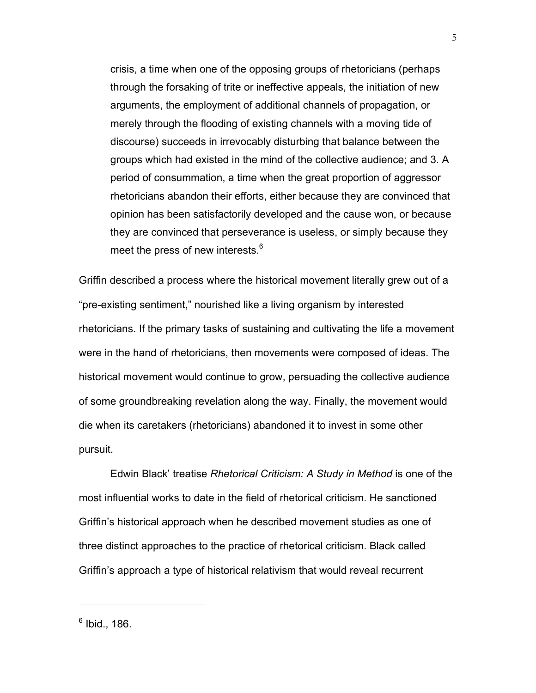crisis, a time when one of the opposing groups of rhetoricians (perhaps through the forsaking of trite or ineffective appeals, the initiation of new arguments, the employment of additional channels of propagation, or merely through the flooding of existing channels with a moving tide of discourse) succeeds in irrevocably disturbing that balance between the groups which had existed in the mind of the collective audience; and 3. A period of consummation, a time when the great proportion of aggressor rhetoricians abandon their efforts, either because they are convinced that opinion has been satisfactorily developed and the cause won, or because they are convinced that perseverance is useless, or simply because they meet the press of new interests.<sup>6</sup>

Griffin described a process where the historical movement literally grew out of a "pre-existing sentiment," nourished like a living organism by interested rhetoricians. If the primary tasks of sustaining and cultivating the life a movement were in the hand of rhetoricians, then movements were composed of ideas. The historical movement would continue to grow, persuading the collective audience of some groundbreaking revelation along the way. Finally, the movement would die when its caretakers (rhetoricians) abandoned it to invest in some other pursuit.

Edwin Black' treatise *Rhetorical Criticism: A Study in Method* is one of the most influential works to date in the field of rhetorical criticism. He sanctioned Griffin's historical approach when he described movement studies as one of three distinct approaches to the practice of rhetorical criticism. Black called Griffin's approach a type of historical relativism that would reveal recurrent

5

 $6$  Ibid., 186.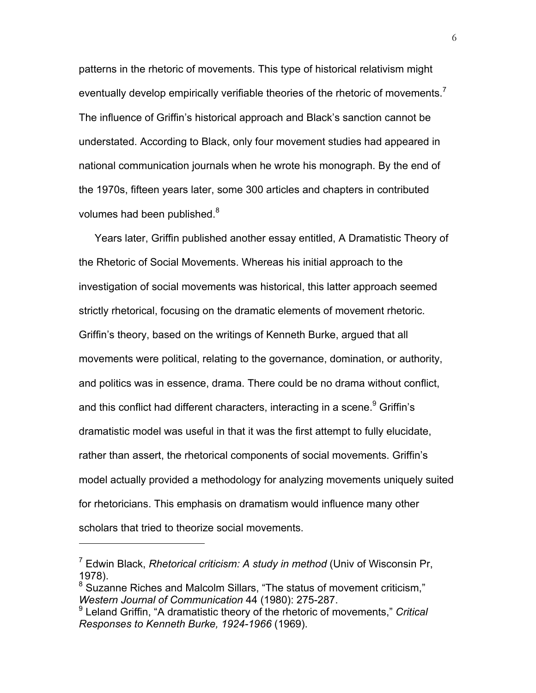patterns in the rhetoric of movements. This type of historical relativism might eventually develop empirically verifiable theories of the rhetoric of movements.<sup>7</sup> The influence of Griffin's historical approach and Black's sanction cannot be understated. According to Black, only four movement studies had appeared in national communication journals when he wrote his monograph. By the end of the 1970s, fifteen years later, some 300 articles and chapters in contributed volumes had been published.<sup>8</sup>

Years later, Griffin published another essay entitled, A Dramatistic Theory of the Rhetoric of Social Movements. Whereas his initial approach to the investigation of social movements was historical, this latter approach seemed strictly rhetorical, focusing on the dramatic elements of movement rhetoric. Griffin's theory, based on the writings of Kenneth Burke, argued that all movements were political, relating to the governance, domination, or authority, and politics was in essence, drama. There could be no drama without conflict, and this conflict had different characters, interacting in a scene.<sup>9</sup> Griffin's dramatistic model was useful in that it was the first attempt to fully elucidate, rather than assert, the rhetorical components of social movements. Griffin's model actually provided a methodology for analyzing movements uniquely suited for rhetoricians. This emphasis on dramatism would influence many other scholars that tried to theorize social movements.

<sup>7</sup> Edwin Black, *Rhetorical criticism: A study in method* (Univ of Wisconsin Pr, 1978).

<sup>&</sup>lt;sup>8</sup> Suzanne Riches and Malcolm Sillars, "The status of movement criticism," *Western Journal of Communication* 44 (1980): 275-287.

<sup>9</sup> Leland Griffin, "A dramatistic theory of the rhetoric of movements," *Critical Responses to Kenneth Burke, 1924-1966* (1969).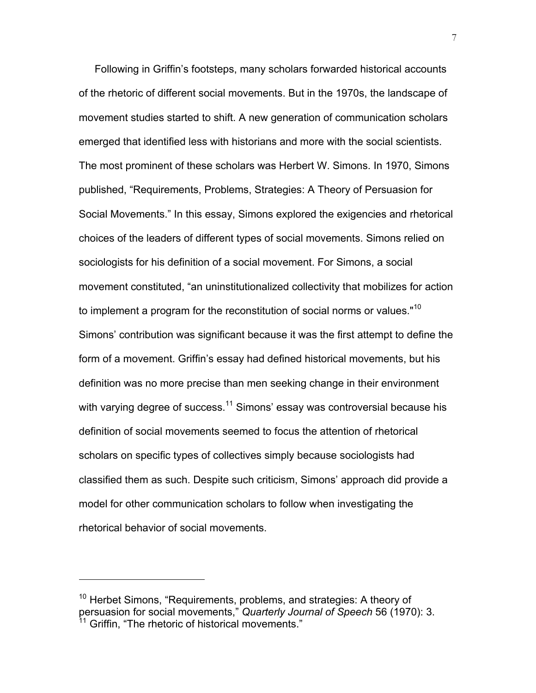Following in Griffin's footsteps, many scholars forwarded historical accounts of the rhetoric of different social movements. But in the 1970s, the landscape of movement studies started to shift. A new generation of communication scholars emerged that identified less with historians and more with the social scientists. The most prominent of these scholars was Herbert W. Simons. In 1970, Simons published, "Requirements, Problems, Strategies: A Theory of Persuasion for Social Movements." In this essay, Simons explored the exigencies and rhetorical choices of the leaders of different types of social movements. Simons relied on sociologists for his definition of a social movement. For Simons, a social movement constituted, "an uninstitutionalized collectivity that mobilizes for action to implement a program for the reconstitution of social norms or values."<sup>10</sup> Simons' contribution was significant because it was the first attempt to define the form of a movement. Griffin's essay had defined historical movements, but his definition was no more precise than men seeking change in their environment with varying degree of success.<sup>11</sup> Simons' essay was controversial because his definition of social movements seemed to focus the attention of rhetorical scholars on specific types of collectives simply because sociologists had classified them as such. Despite such criticism, Simons' approach did provide a model for other communication scholars to follow when investigating the rhetorical behavior of social movements.

<sup>&</sup>lt;sup>10</sup> Herbet Simons, "Requirements, problems, and strategies: A theory of persuasion for social movements," *Quarterly Journal of Speech* 56 (1970): 3. Griffin, "The rhetoric of historical movements."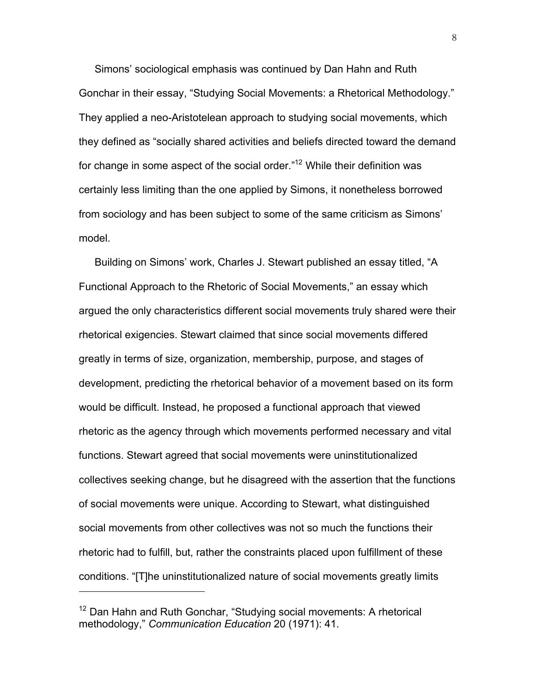Simons' sociological emphasis was continued by Dan Hahn and Ruth Gonchar in their essay, "Studying Social Movements: a Rhetorical Methodology." They applied a neo-Aristotelean approach to studying social movements, which they defined as "socially shared activities and beliefs directed toward the demand for change in some aspect of the social order."<sup>12</sup> While their definition was certainly less limiting than the one applied by Simons, it nonetheless borrowed from sociology and has been subject to some of the same criticism as Simons' model.

Building on Simons' work, Charles J. Stewart published an essay titled, "A Functional Approach to the Rhetoric of Social Movements," an essay which argued the only characteristics different social movements truly shared were their rhetorical exigencies. Stewart claimed that since social movements differed greatly in terms of size, organization, membership, purpose, and stages of development, predicting the rhetorical behavior of a movement based on its form would be difficult. Instead, he proposed a functional approach that viewed rhetoric as the agency through which movements performed necessary and vital functions. Stewart agreed that social movements were uninstitutionalized collectives seeking change, but he disagreed with the assertion that the functions of social movements were unique. According to Stewart, what distinguished social movements from other collectives was not so much the functions their rhetoric had to fulfill, but, rather the constraints placed upon fulfillment of these conditions. "[T]he uninstitutionalized nature of social movements greatly limits

<sup>&</sup>lt;sup>12</sup> Dan Hahn and Ruth Gonchar, "Studving social movements: A rhetorical methodology," *Communication Education* 20 (1971): 41.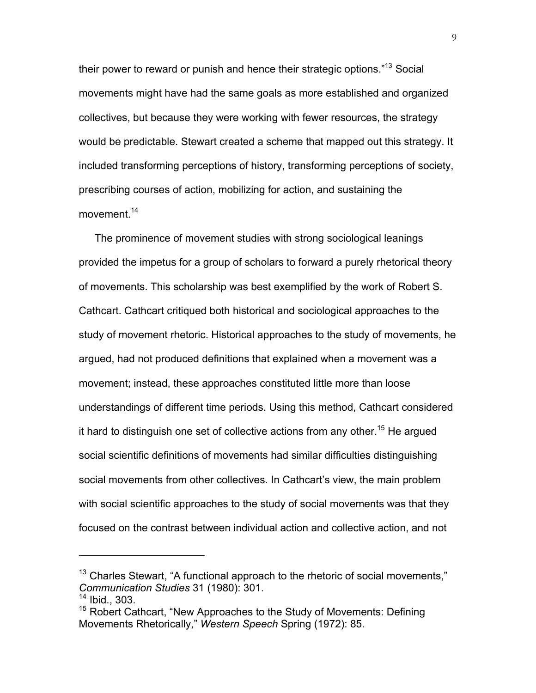their power to reward or punish and hence their strategic options."13 Social movements might have had the same goals as more established and organized collectives, but because they were working with fewer resources, the strategy would be predictable. Stewart created a scheme that mapped out this strategy. It included transforming perceptions of history, transforming perceptions of society, prescribing courses of action, mobilizing for action, and sustaining the movement.<sup>14</sup>

The prominence of movement studies with strong sociological leanings provided the impetus for a group of scholars to forward a purely rhetorical theory of movements. This scholarship was best exemplified by the work of Robert S. Cathcart. Cathcart critiqued both historical and sociological approaches to the study of movement rhetoric. Historical approaches to the study of movements, he argued, had not produced definitions that explained when a movement was a movement; instead, these approaches constituted little more than loose understandings of different time periods. Using this method, Cathcart considered it hard to distinguish one set of collective actions from any other.<sup>15</sup> He argued social scientific definitions of movements had similar difficulties distinguishing social movements from other collectives. In Cathcart's view, the main problem with social scientific approaches to the study of social movements was that they focused on the contrast between individual action and collective action, and not

 $\overline{a}$ 

9

 $13$  Charles Stewart, "A functional approach to the rhetoric of social movements," *Communication Studies* 31 (1980): 301.

 $14$  Ibid., 303.

<sup>&</sup>lt;sup>15</sup> Robert Cathcart, "New Approaches to the Study of Movements: Defining Movements Rhetorically," *Western Speech* Spring (1972): 85.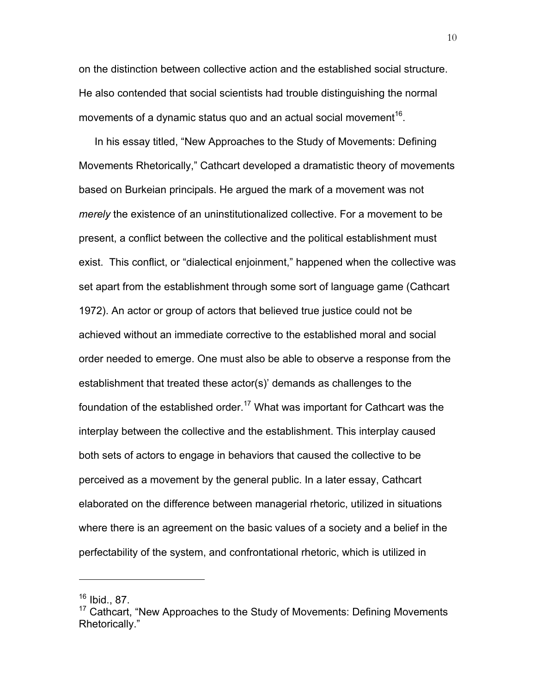on the distinction between collective action and the established social structure. He also contended that social scientists had trouble distinguishing the normal movements of a dynamic status quo and an actual social movement<sup>16</sup>.

In his essay titled, "New Approaches to the Study of Movements: Defining Movements Rhetorically," Cathcart developed a dramatistic theory of movements based on Burkeian principals. He argued the mark of a movement was not *merely* the existence of an uninstitutionalized collective. For a movement to be present, a conflict between the collective and the political establishment must exist. This conflict, or "dialectical enjoinment," happened when the collective was set apart from the establishment through some sort of language game (Cathcart 1972). An actor or group of actors that believed true justice could not be achieved without an immediate corrective to the established moral and social order needed to emerge. One must also be able to observe a response from the establishment that treated these actor(s)' demands as challenges to the foundation of the established order.<sup>17</sup> What was important for Cathcart was the interplay between the collective and the establishment. This interplay caused both sets of actors to engage in behaviors that caused the collective to be perceived as a movement by the general public. In a later essay, Cathcart elaborated on the difference between managerial rhetoric, utilized in situations where there is an agreement on the basic values of a society and a belief in the perfectability of the system, and confrontational rhetoric, which is utilized in

<sup>16</sup> Ibid., 87.

<sup>&</sup>lt;sup>17</sup> Cathcart, "New Approaches to the Study of Movements: Defining Movements Rhetorically."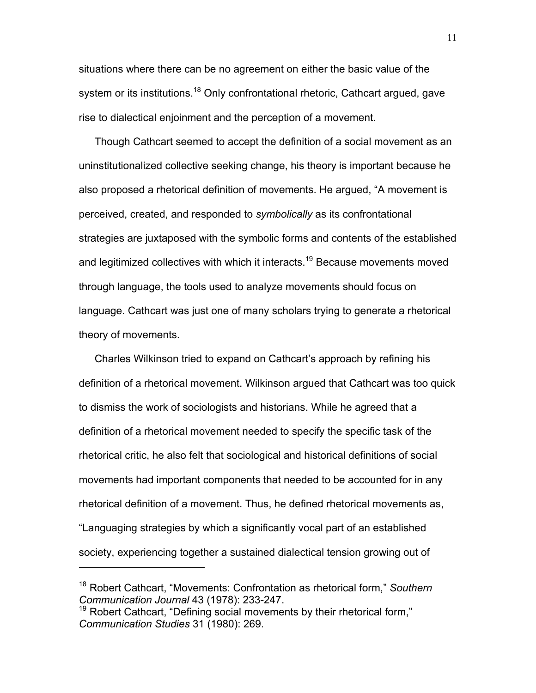situations where there can be no agreement on either the basic value of the system or its institutions.<sup>18</sup> Only confrontational rhetoric, Cathcart argued, gave rise to dialectical enjoinment and the perception of a movement.

Though Cathcart seemed to accept the definition of a social movement as an uninstitutionalized collective seeking change, his theory is important because he also proposed a rhetorical definition of movements. He argued, "A movement is perceived, created, and responded to *symbolically* as its confrontational strategies are juxtaposed with the symbolic forms and contents of the established and legitimized collectives with which it interacts.<sup>19</sup> Because movements moved through language, the tools used to analyze movements should focus on language. Cathcart was just one of many scholars trying to generate a rhetorical theory of movements.

Charles Wilkinson tried to expand on Cathcart's approach by refining his definition of a rhetorical movement. Wilkinson argued that Cathcart was too quick to dismiss the work of sociologists and historians. While he agreed that a definition of a rhetorical movement needed to specify the specific task of the rhetorical critic, he also felt that sociological and historical definitions of social movements had important components that needed to be accounted for in any rhetorical definition of a movement. Thus, he defined rhetorical movements as, "Languaging strategies by which a significantly vocal part of an established society, experiencing together a sustained dialectical tension growing out of

<sup>18</sup> Robert Cathcart, "Movements: Confrontation as rhetorical form," *Southern Communication Journal* 43 (1978): 233-247.

 $19$  Robert Cathcart, "Defining social movements by their rhetorical form," *Communication Studies* 31 (1980): 269.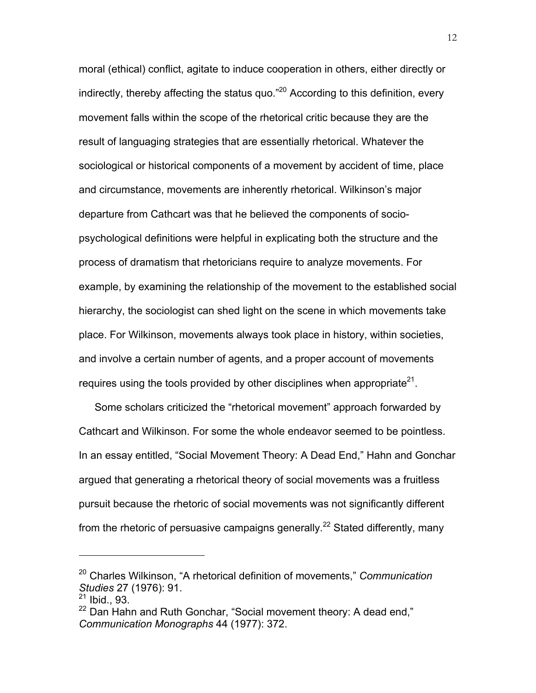moral (ethical) conflict, agitate to induce cooperation in others, either directly or indirectly, thereby affecting the status quo. $"^{20}$  According to this definition, every movement falls within the scope of the rhetorical critic because they are the result of languaging strategies that are essentially rhetorical. Whatever the sociological or historical components of a movement by accident of time, place and circumstance, movements are inherently rhetorical. Wilkinson's major departure from Cathcart was that he believed the components of sociopsychological definitions were helpful in explicating both the structure and the process of dramatism that rhetoricians require to analyze movements. For example, by examining the relationship of the movement to the established social hierarchy, the sociologist can shed light on the scene in which movements take place. For Wilkinson, movements always took place in history, within societies, and involve a certain number of agents, and a proper account of movements requires using the tools provided by other disciplines when appropriate $21$ .

Some scholars criticized the "rhetorical movement" approach forwarded by Cathcart and Wilkinson. For some the whole endeavor seemed to be pointless. In an essay entitled, "Social Movement Theory: A Dead End," Hahn and Gonchar argued that generating a rhetorical theory of social movements was a fruitless pursuit because the rhetoric of social movements was not significantly different from the rhetoric of persuasive campaigns generally.<sup>22</sup> Stated differently, many

<sup>20</sup> Charles Wilkinson, "A rhetorical definition of movements," *Communication Studies* 27 (1976): 91.

 $^{21}$  Ibid., 93.

<sup>&</sup>lt;sup>22</sup> Dan Hahn and Ruth Gonchar, "Social movement theory: A dead end," *Communication Monographs* 44 (1977): 372.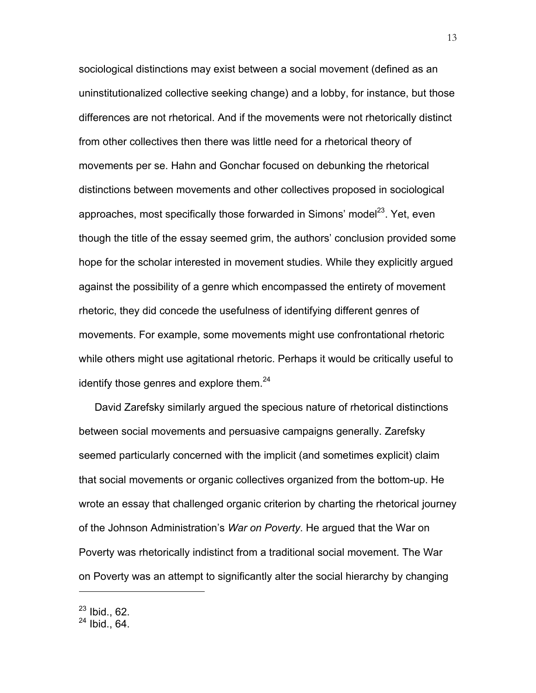sociological distinctions may exist between a social movement (defined as an uninstitutionalized collective seeking change) and a lobby, for instance, but those differences are not rhetorical. And if the movements were not rhetorically distinct from other collectives then there was little need for a rhetorical theory of movements per se. Hahn and Gonchar focused on debunking the rhetorical distinctions between movements and other collectives proposed in sociological approaches, most specifically those forwarded in Simons' model $^{23}$ . Yet, even though the title of the essay seemed grim, the authors' conclusion provided some hope for the scholar interested in movement studies. While they explicitly argued against the possibility of a genre which encompassed the entirety of movement rhetoric, they did concede the usefulness of identifying different genres of movements. For example, some movements might use confrontational rhetoric while others might use agitational rhetoric. Perhaps it would be critically useful to identify those genres and explore them. $24$ 

David Zarefsky similarly argued the specious nature of rhetorical distinctions between social movements and persuasive campaigns generally. Zarefsky seemed particularly concerned with the implicit (and sometimes explicit) claim that social movements or organic collectives organized from the bottom-up. He wrote an essay that challenged organic criterion by charting the rhetorical journey of the Johnson Administration's *War on Poverty*. He argued that the War on Poverty was rhetorically indistinct from a traditional social movement. The War on Poverty was an attempt to significantly alter the social hierarchy by changing

 $^{23}$  Ibid., 62.

 $24$  Ibid., 64.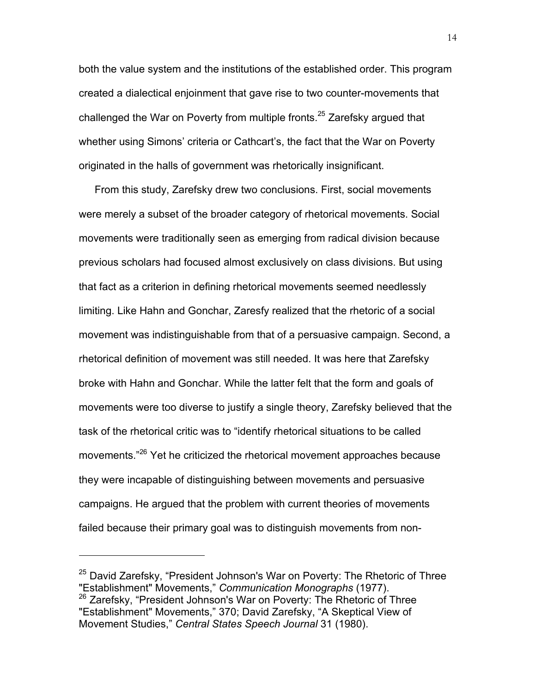both the value system and the institutions of the established order. This program created a dialectical enjoinment that gave rise to two counter-movements that challenged the War on Poverty from multiple fronts.<sup>25</sup> Zarefsky argued that whether using Simons' criteria or Cathcart's, the fact that the War on Poverty originated in the halls of government was rhetorically insignificant.

From this study, Zarefsky drew two conclusions. First, social movements were merely a subset of the broader category of rhetorical movements. Social movements were traditionally seen as emerging from radical division because previous scholars had focused almost exclusively on class divisions. But using that fact as a criterion in defining rhetorical movements seemed needlessly limiting. Like Hahn and Gonchar, Zaresfy realized that the rhetoric of a social movement was indistinguishable from that of a persuasive campaign. Second, a rhetorical definition of movement was still needed. It was here that Zarefsky broke with Hahn and Gonchar. While the latter felt that the form and goals of movements were too diverse to justify a single theory, Zarefsky believed that the task of the rhetorical critic was to "identify rhetorical situations to be called movements.<sup>"26</sup> Yet he criticized the rhetorical movement approaches because they were incapable of distinguishing between movements and persuasive campaigns. He argued that the problem with current theories of movements failed because their primary goal was to distinguish movements from non-

 $25$  David Zarefsky, "President Johnson's War on Poverty: The Rhetoric of Three "Establishment" Movements," *Communication Monographs* (1977).

<sup>&</sup>lt;sup>26</sup> Zarefsky, "President Johnson's War on Poverty: The Rhetoric of Three "Establishment" Movements," 370; David Zarefsky, "A Skeptical View of Movement Studies," *Central States Speech Journal* 31 (1980).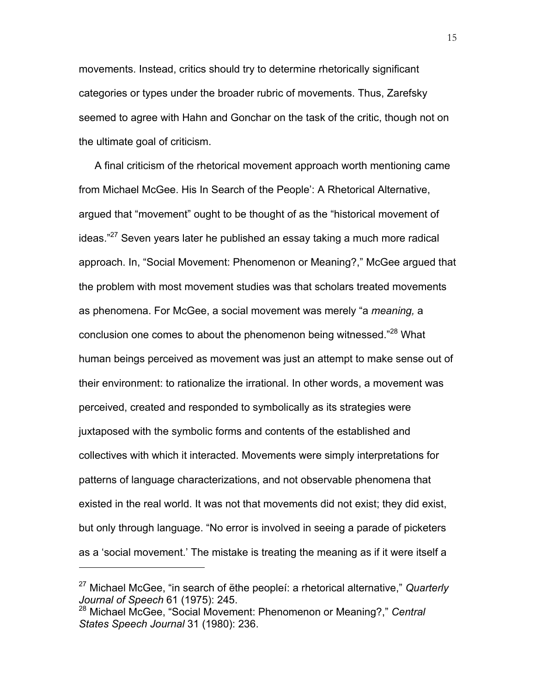movements. Instead, critics should try to determine rhetorically significant categories or types under the broader rubric of movements. Thus, Zarefsky seemed to agree with Hahn and Gonchar on the task of the critic, though not on the ultimate goal of criticism.

A final criticism of the rhetorical movement approach worth mentioning came from Michael McGee. His In Search of the People': A Rhetorical Alternative, argued that "movement" ought to be thought of as the "historical movement of ideas."<sup>27</sup> Seven years later he published an essay taking a much more radical approach. In, "Social Movement: Phenomenon or Meaning?," McGee argued that the problem with most movement studies was that scholars treated movements as phenomena. For McGee, a social movement was merely "a *meaning,* a conclusion one comes to about the phenomenon being witnessed."<sup>28</sup> What human beings perceived as movement was just an attempt to make sense out of their environment: to rationalize the irrational. In other words, a movement was perceived, created and responded to symbolically as its strategies were juxtaposed with the symbolic forms and contents of the established and collectives with which it interacted. Movements were simply interpretations for patterns of language characterizations, and not observable phenomena that existed in the real world. It was not that movements did not exist; they did exist, but only through language. "No error is involved in seeing a parade of picketers as a 'social movement.' The mistake is treating the meaning as if it were itself a

<sup>27</sup> Michael McGee, "in search of ëthe peopleí: a rhetorical alternative," *Quarterly* 

<sup>&</sup>lt;sup>28</sup> Michael McGee, "Social Movement: Phenomenon or Meaning?," Central *States Speech Journal* 31 (1980): 236.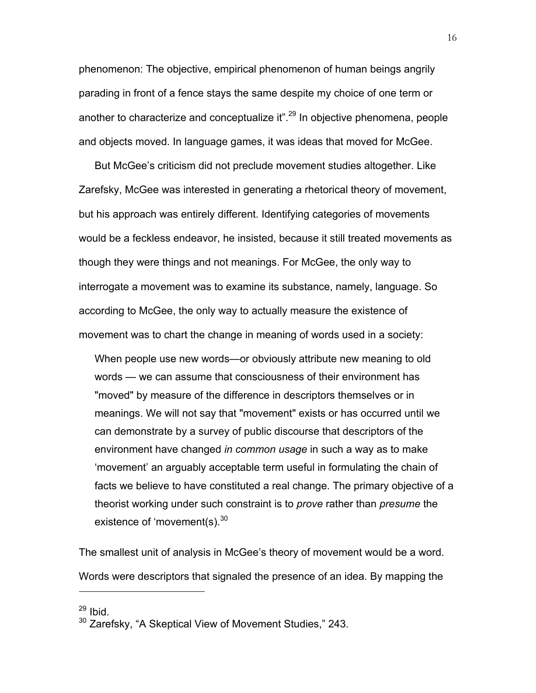phenomenon: The objective, empirical phenomenon of human beings angrily parading in front of a fence stays the same despite my choice of one term or another to characterize and conceptualize it".<sup>29</sup> In objective phenomena, people and objects moved. In language games, it was ideas that moved for McGee.

But McGee's criticism did not preclude movement studies altogether. Like Zarefsky, McGee was interested in generating a rhetorical theory of movement, but his approach was entirely different. Identifying categories of movements would be a feckless endeavor, he insisted, because it still treated movements as though they were things and not meanings. For McGee, the only way to interrogate a movement was to examine its substance, namely, language. So according to McGee, the only way to actually measure the existence of movement was to chart the change in meaning of words used in a society:

When people use new words—or obviously attribute new meaning to old words — we can assume that consciousness of their environment has "moved" by measure of the difference in descriptors themselves or in meanings. We will not say that "movement" exists or has occurred until we can demonstrate by a survey of public discourse that descriptors of the environment have changed *in common usage* in such a way as to make 'movement' an arguably acceptable term useful in formulating the chain of facts we believe to have constituted a real change. The primary objective of a theorist working under such constraint is to *prove* rather than *presume* the existence of 'movement(s).<sup>30</sup>

The smallest unit of analysis in McGee's theory of movement would be a word. Words were descriptors that signaled the presence of an idea. By mapping the

 $29$  Ibid.

<sup>&</sup>lt;sup>30</sup> Zarefsky, "A Skeptical View of Movement Studies," 243.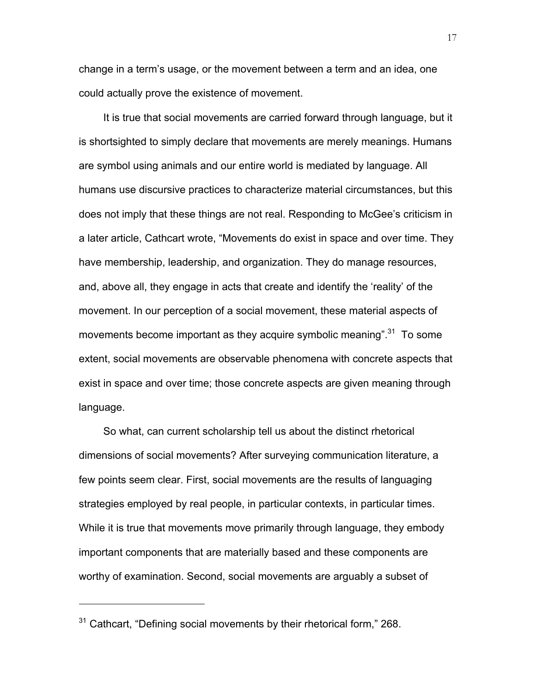change in a term's usage, or the movement between a term and an idea, one could actually prove the existence of movement.

It is true that social movements are carried forward through language, but it is shortsighted to simply declare that movements are merely meanings. Humans are symbol using animals and our entire world is mediated by language. All humans use discursive practices to characterize material circumstances, but this does not imply that these things are not real. Responding to McGee's criticism in a later article, Cathcart wrote, "Movements do exist in space and over time. They have membership, leadership, and organization. They do manage resources, and, above all, they engage in acts that create and identify the 'reality' of the movement. In our perception of a social movement, these material aspects of movements become important as they acquire symbolic meaning".<sup>31</sup> To some extent, social movements are observable phenomena with concrete aspects that exist in space and over time; those concrete aspects are given meaning through language.

So what, can current scholarship tell us about the distinct rhetorical dimensions of social movements? After surveying communication literature, a few points seem clear. First, social movements are the results of languaging strategies employed by real people, in particular contexts, in particular times. While it is true that movements move primarily through language, they embody important components that are materially based and these components are worthy of examination. Second, social movements are arguably a subset of

<sup>&</sup>lt;sup>31</sup> Cathcart, "Defining social movements by their rhetorical form," 268.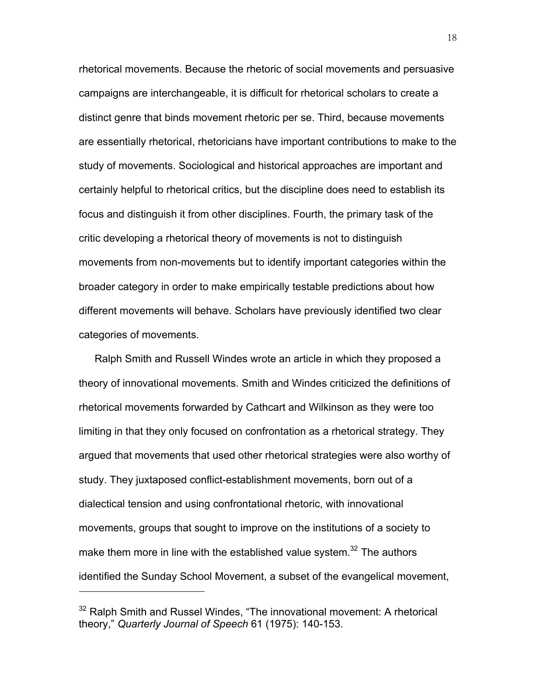rhetorical movements. Because the rhetoric of social movements and persuasive campaigns are interchangeable, it is difficult for rhetorical scholars to create a distinct genre that binds movement rhetoric per se. Third, because movements are essentially rhetorical, rhetoricians have important contributions to make to the study of movements. Sociological and historical approaches are important and certainly helpful to rhetorical critics, but the discipline does need to establish its focus and distinguish it from other disciplines. Fourth, the primary task of the critic developing a rhetorical theory of movements is not to distinguish movements from non-movements but to identify important categories within the broader category in order to make empirically testable predictions about how different movements will behave. Scholars have previously identified two clear categories of movements.

Ralph Smith and Russell Windes wrote an article in which they proposed a theory of innovational movements. Smith and Windes criticized the definitions of rhetorical movements forwarded by Cathcart and Wilkinson as they were too limiting in that they only focused on confrontation as a rhetorical strategy. They argued that movements that used other rhetorical strategies were also worthy of study. They juxtaposed conflict-establishment movements, born out of a dialectical tension and using confrontational rhetoric, with innovational movements, groups that sought to improve on the institutions of a society to make them more in line with the established value system.<sup>32</sup> The authors identified the Sunday School Movement, a subset of the evangelical movement,

<sup>&</sup>lt;sup>32</sup> Ralph Smith and Russel Windes, "The innovational movement: A rhetorical theory," *Quarterly Journal of Speech* 61 (1975): 140-153.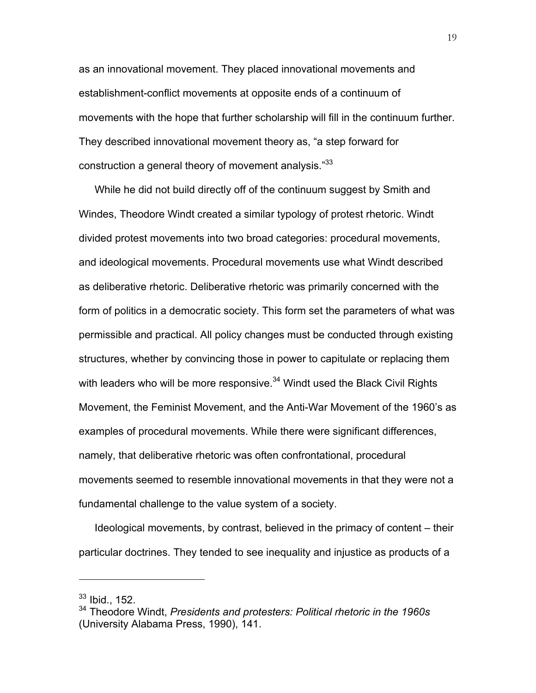as an innovational movement. They placed innovational movements and establishment-conflict movements at opposite ends of a continuum of movements with the hope that further scholarship will fill in the continuum further. They described innovational movement theory as, "a step forward for construction a general theory of movement analysis."<sup>33</sup>

While he did not build directly off of the continuum suggest by Smith and Windes, Theodore Windt created a similar typology of protest rhetoric. Windt divided protest movements into two broad categories: procedural movements, and ideological movements. Procedural movements use what Windt described as deliberative rhetoric. Deliberative rhetoric was primarily concerned with the form of politics in a democratic society. This form set the parameters of what was permissible and practical. All policy changes must be conducted through existing structures, whether by convincing those in power to capitulate or replacing them with leaders who will be more responsive.<sup>34</sup> Windt used the Black Civil Rights Movement, the Feminist Movement, and the Anti-War Movement of the 1960's as examples of procedural movements. While there were significant differences, namely, that deliberative rhetoric was often confrontational, procedural movements seemed to resemble innovational movements in that they were not a fundamental challenge to the value system of a society.

Ideological movements, by contrast, believed in the primacy of content – their particular doctrines. They tended to see inequality and injustice as products of a

 $33$  Ibid., 152.

<sup>34</sup> Theodore Windt, *Presidents and protesters: Political rhetoric in the 1960s* (University Alabama Press, 1990), 141.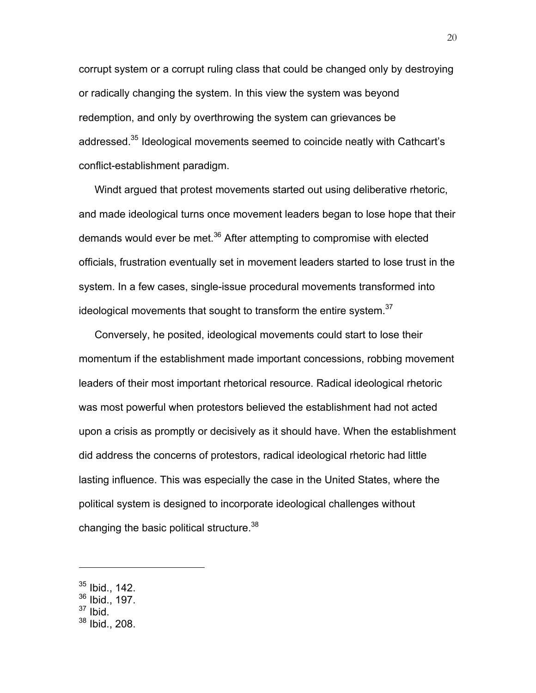corrupt system or a corrupt ruling class that could be changed only by destroying or radically changing the system. In this view the system was beyond redemption, and only by overthrowing the system can grievances be addressed.<sup>35</sup> Ideological movements seemed to coincide neatly with Cathcart's conflict-establishment paradigm.

Windt argued that protest movements started out using deliberative rhetoric, and made ideological turns once movement leaders began to lose hope that their demands would ever be met.<sup>36</sup> After attempting to compromise with elected officials, frustration eventually set in movement leaders started to lose trust in the system. In a few cases, single-issue procedural movements transformed into ideological movements that sought to transform the entire system. $37$ 

Conversely, he posited, ideological movements could start to lose their momentum if the establishment made important concessions, robbing movement leaders of their most important rhetorical resource. Radical ideological rhetoric was most powerful when protestors believed the establishment had not acted upon a crisis as promptly or decisively as it should have. When the establishment did address the concerns of protestors, radical ideological rhetoric had little lasting influence. This was especially the case in the United States, where the political system is designed to incorporate ideological challenges without changing the basic political structure.<sup>38</sup>

 $37$  Ibid.

<sup>35</sup> Ibid., 142.

<sup>36</sup> Ibid., 197.

<sup>38</sup> Ibid., 208.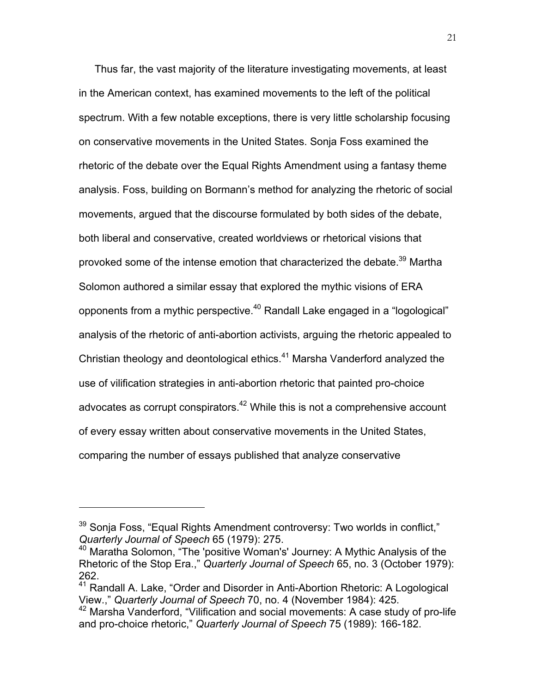Thus far, the vast majority of the literature investigating movements, at least in the American context, has examined movements to the left of the political spectrum. With a few notable exceptions, there is very little scholarship focusing on conservative movements in the United States. Sonja Foss examined the rhetoric of the debate over the Equal Rights Amendment using a fantasy theme analysis. Foss, building on Bormann's method for analyzing the rhetoric of social movements, argued that the discourse formulated by both sides of the debate, both liberal and conservative, created worldviews or rhetorical visions that provoked some of the intense emotion that characterized the debate.<sup>39</sup> Martha Solomon authored a similar essay that explored the mythic visions of ERA opponents from a mythic perspective.<sup>40</sup> Randall Lake engaged in a "logological" analysis of the rhetoric of anti-abortion activists, arguing the rhetoric appealed to Christian theology and deontological ethics.41 Marsha Vanderford analyzed the use of vilification strategies in anti-abortion rhetoric that painted pro-choice advocates as corrupt conspirators.<sup>42</sup> While this is not a comprehensive account of every essay written about conservative movements in the United States, comparing the number of essays published that analyze conservative

<sup>&</sup>lt;sup>39</sup> Sonja Foss, "Equal Rights Amendment controversy: Two worlds in conflict," *Quarterly Journal of Speech* 65 (1979): 275.

<sup>40</sup> Maratha Solomon, "The 'positive Woman's' Journey: A Mythic Analysis of the Rhetoric of the Stop Era.," *Quarterly Journal of Speech* 65, no. 3 (October 1979): 262.

<sup>41</sup> Randall A. Lake, "Order and Disorder in Anti-Abortion Rhetoric: A Logological View.," *Quarterly Journal of Speech 70*, no. 4 (November 1984): 425.<br><sup>42</sup> Marsha Vanderford, "Vilification and social movements: A case study of pro-life

and pro-choice rhetoric," *Quarterly Journal of Speech* 75 (1989): 166-182.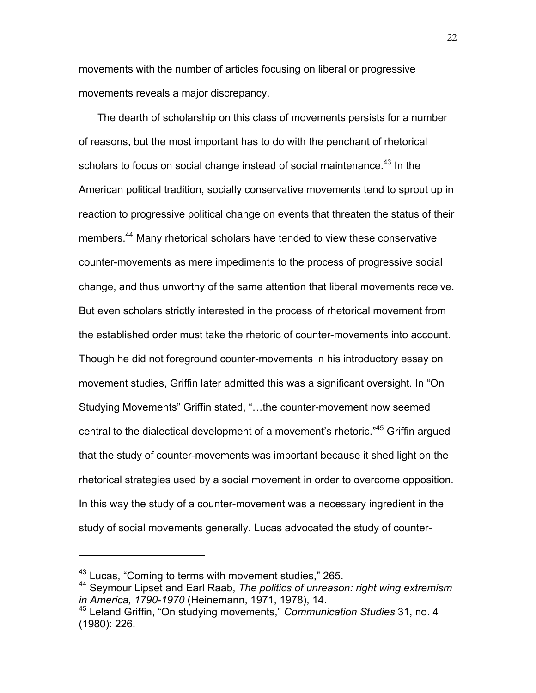movements with the number of articles focusing on liberal or progressive movements reveals a major discrepancy.

The dearth of scholarship on this class of movements persists for a number of reasons, but the most important has to do with the penchant of rhetorical scholars to focus on social change instead of social maintenance.<sup>43</sup> In the American political tradition, socially conservative movements tend to sprout up in reaction to progressive political change on events that threaten the status of their members.<sup>44</sup> Many rhetorical scholars have tended to view these conservative counter-movements as mere impediments to the process of progressive social change, and thus unworthy of the same attention that liberal movements receive. But even scholars strictly interested in the process of rhetorical movement from the established order must take the rhetoric of counter-movements into account. Though he did not foreground counter-movements in his introductory essay on movement studies, Griffin later admitted this was a significant oversight. In "On Studying Movements" Griffin stated, "…the counter-movement now seemed central to the dialectical development of a movement's rhetoric."45 Griffin argued that the study of counter-movements was important because it shed light on the rhetorical strategies used by a social movement in order to overcome opposition. In this way the study of a counter-movement was a necessary ingredient in the study of social movements generally. Lucas advocated the study of counter-

<sup>43</sup> Lucas, "Coming to terms with movement studies," 265.

<sup>44</sup> Seymour Lipset and Earl Raab, *The politics of unreason: right wing extremism in America, 1790-1970* (Heinemann, 1971, 1978), 14.<br><sup>45</sup> Leland Griffin, "On studying movements," *Communication Studies* 31, no. 4

<sup>(1980): 226.</sup>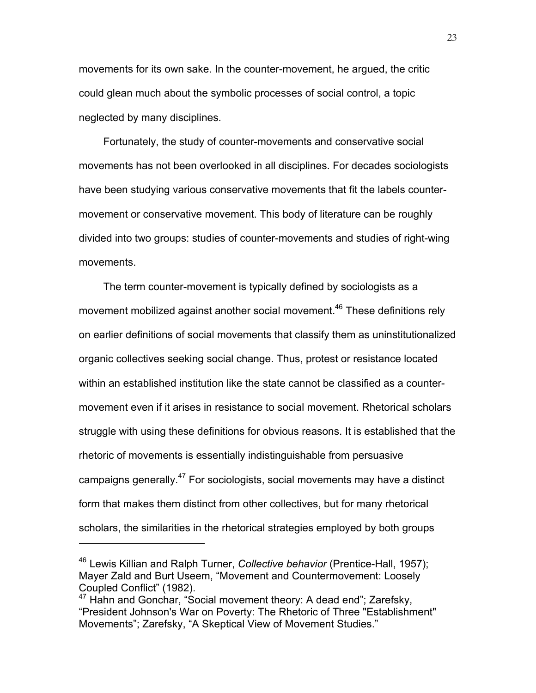movements for its own sake. In the counter-movement, he argued, the critic could glean much about the symbolic processes of social control, a topic neglected by many disciplines.

Fortunately, the study of counter-movements and conservative social movements has not been overlooked in all disciplines. For decades sociologists have been studying various conservative movements that fit the labels countermovement or conservative movement. This body of literature can be roughly divided into two groups: studies of counter-movements and studies of right-wing movements.

The term counter-movement is typically defined by sociologists as a movement mobilized against another social movement.<sup>46</sup> These definitions rely on earlier definitions of social movements that classify them as uninstitutionalized organic collectives seeking social change. Thus, protest or resistance located within an established institution like the state cannot be classified as a countermovement even if it arises in resistance to social movement. Rhetorical scholars struggle with using these definitions for obvious reasons. It is established that the rhetoric of movements is essentially indistinguishable from persuasive campaigns generally.<sup>47</sup> For sociologists, social movements may have a distinct form that makes them distinct from other collectives, but for many rhetorical scholars, the similarities in the rhetorical strategies employed by both groups

<sup>46</sup> Lewis Killian and Ralph Turner, *Collective behavior* (Prentice-Hall, 1957); Mayer Zald and Burt Useem, "Movement and Countermovement: Loosely Coupled Conflict" (1982).

 $47$  Hahn and Gonchar, "Social movement theory: A dead end"; Zarefsky, "President Johnson's War on Poverty: The Rhetoric of Three "Establishment" Movements"; Zarefsky, "A Skeptical View of Movement Studies."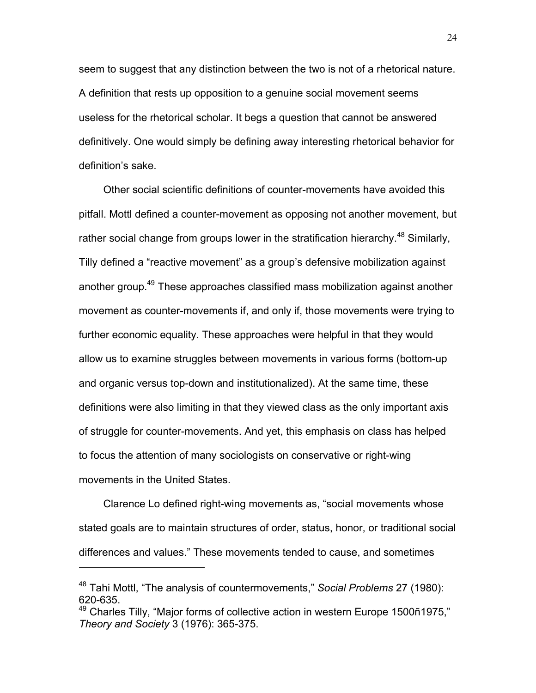seem to suggest that any distinction between the two is not of a rhetorical nature. A definition that rests up opposition to a genuine social movement seems useless for the rhetorical scholar. It begs a question that cannot be answered definitively. One would simply be defining away interesting rhetorical behavior for definition's sake.

Other social scientific definitions of counter-movements have avoided this pitfall. Mottl defined a counter-movement as opposing not another movement, but rather social change from groups lower in the stratification hierarchy.<sup>48</sup> Similarly, Tilly defined a "reactive movement" as a group's defensive mobilization against another group.<sup>49</sup> These approaches classified mass mobilization against another movement as counter-movements if, and only if, those movements were trying to further economic equality. These approaches were helpful in that they would allow us to examine struggles between movements in various forms (bottom-up and organic versus top-down and institutionalized). At the same time, these definitions were also limiting in that they viewed class as the only important axis of struggle for counter-movements. And yet, this emphasis on class has helped to focus the attention of many sociologists on conservative or right-wing movements in the United States.

Clarence Lo defined right-wing movements as, "social movements whose stated goals are to maintain structures of order, status, honor, or traditional social differences and values." These movements tended to cause, and sometimes

<sup>48</sup> Tahi Mottl, "The analysis of countermovements," *Social Problems* 27 (1980): 620-635.

<sup>&</sup>lt;sup>49</sup> Charles Tilly, "Major forms of collective action in western Europe 1500ñ1975," *Theory and Society* 3 (1976): 365-375.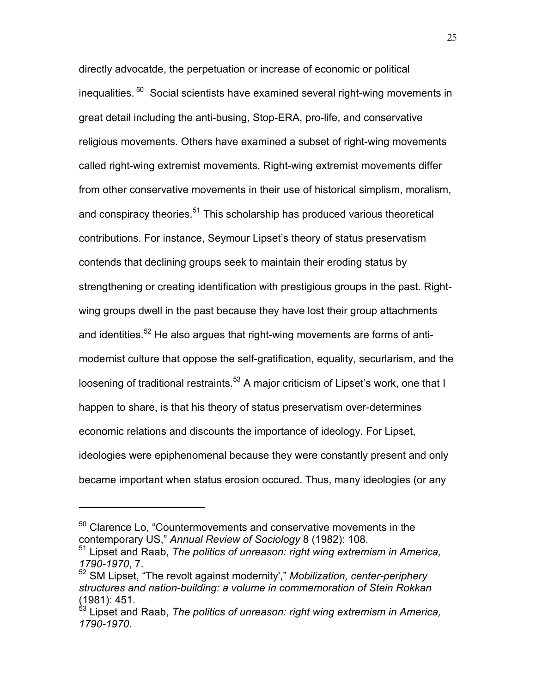directly advocatde, the perpetuation or increase of economic or political inequalities.<sup>50</sup> Social scientists have examined several right-wing movements in great detail including the anti-busing, Stop-ERA, pro-life, and conservative religious movements. Others have examined a subset of right-wing movements called right-wing extremist movements. Right-wing extremist movements differ from other conservative movements in their use of historical simplism, moralism, and conspiracy theories.<sup>51</sup> This scholarship has produced various theoretical contributions. For instance, Seymour Lipset's theory of status preservatism contends that declining groups seek to maintain their eroding status by strengthening or creating identification with prestigious groups in the past. Rightwing groups dwell in the past because they have lost their group attachments and identities.<sup>52</sup> He also argues that right-wing movements are forms of antimodernist culture that oppose the self-gratification, equality, securlarism, and the loosening of traditional restraints.<sup>53</sup> A major criticism of Lipset's work, one that I happen to share, is that his theory of status preservatism over-determines economic relations and discounts the importance of ideology. For Lipset, ideologies were epiphenomenal because they were constantly present and only became important when status erosion occured. Thus, many ideologies (or any

<sup>&</sup>lt;sup>50</sup> Clarence Lo, "Countermovements and conservative movements in the contemporary US," *Annual Review of Sociology* 8 (1982): 108.

<sup>51</sup> Lipset and Raab, *The politics of unreason: right wing extremism in America, 1790-1970*, 7.

<sup>52</sup> SM Lipset, "The revolt against modernity'," *Mobilization, center-periphery structures and nation-building: a volume in commemoration of Stein Rokkan* (1981): 451.

<sup>&</sup>lt;sup>53</sup> Lipset and Raab, *The politics of unreason: right wing extremism in America, 1790-1970*.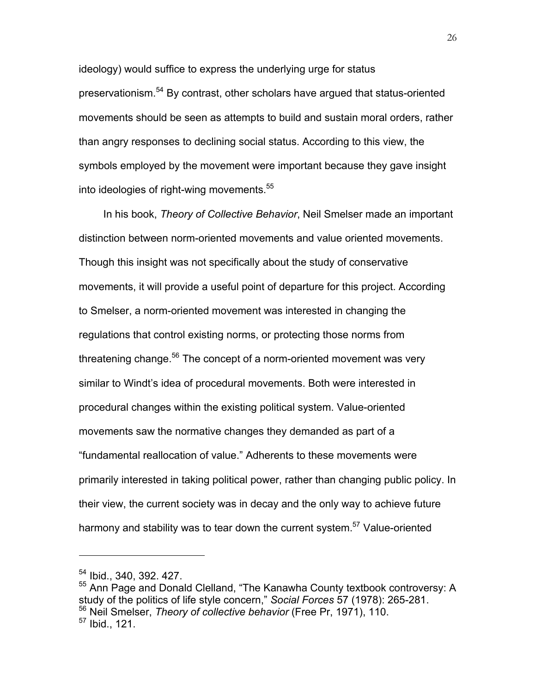ideology) would suffice to express the underlying urge for status preservationism.54 By contrast, other scholars have argued that status-oriented movements should be seen as attempts to build and sustain moral orders, rather than angry responses to declining social status. According to this view, the symbols employed by the movement were important because they gave insight into ideologies of right-wing movements.<sup>55</sup>

In his book, *Theory of Collective Behavior*, Neil Smelser made an important distinction between norm-oriented movements and value oriented movements. Though this insight was not specifically about the study of conservative movements, it will provide a useful point of departure for this project. According to Smelser, a norm-oriented movement was interested in changing the regulations that control existing norms, or protecting those norms from threatening change.<sup>56</sup> The concept of a norm-oriented movement was very similar to Windt's idea of procedural movements. Both were interested in procedural changes within the existing political system. Value-oriented movements saw the normative changes they demanded as part of a "fundamental reallocation of value." Adherents to these movements were primarily interested in taking political power, rather than changing public policy. In their view, the current society was in decay and the only way to achieve future harmony and stability was to tear down the current system.<sup>57</sup> Value-oriented

<sup>54</sup> Ibid., 340, 392. 427.

<sup>55</sup> Ann Page and Donald Clelland, "The Kanawha County textbook controversy: A study of the politics of life style concern," *Social Forces* 57 (1978): 265-281. <sup>56</sup> Neil Smelser, *Theory of collective behavior* (Free Pr, 1971), 110. <sup>57</sup> Ibid., 121.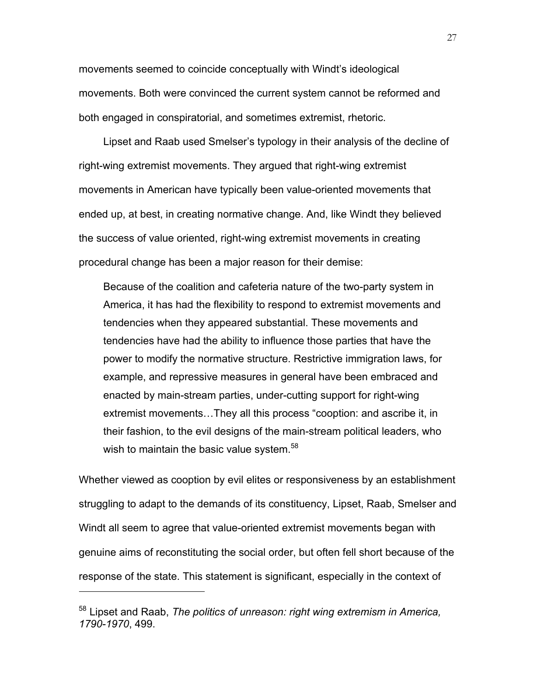movements seemed to coincide conceptually with Windt's ideological movements. Both were convinced the current system cannot be reformed and both engaged in conspiratorial, and sometimes extremist, rhetoric.

Lipset and Raab used Smelser's typology in their analysis of the decline of right-wing extremist movements. They argued that right-wing extremist movements in American have typically been value-oriented movements that ended up, at best, in creating normative change. And, like Windt they believed the success of value oriented, right-wing extremist movements in creating procedural change has been a major reason for their demise:

Because of the coalition and cafeteria nature of the two-party system in America, it has had the flexibility to respond to extremist movements and tendencies when they appeared substantial. These movements and tendencies have had the ability to influence those parties that have the power to modify the normative structure. Restrictive immigration laws, for example, and repressive measures in general have been embraced and enacted by main-stream parties, under-cutting support for right-wing extremist movements…They all this process "cooption: and ascribe it, in their fashion, to the evil designs of the main-stream political leaders, who wish to maintain the basic value system.<sup>58</sup>

Whether viewed as cooption by evil elites or responsiveness by an establishment struggling to adapt to the demands of its constituency, Lipset, Raab, Smelser and Windt all seem to agree that value-oriented extremist movements began with genuine aims of reconstituting the social order, but often fell short because of the response of the state. This statement is significant, especially in the context of

<sup>58</sup> Lipset and Raab, *The politics of unreason: right wing extremism in America, 1790-1970*, 499.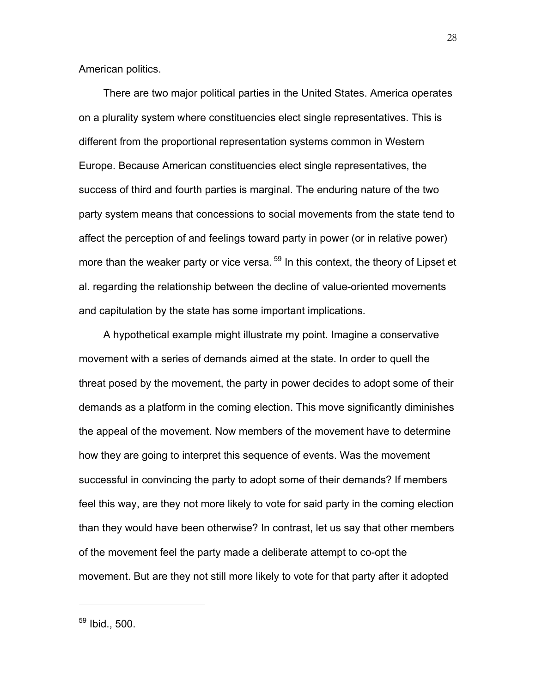American politics.

There are two major political parties in the United States. America operates on a plurality system where constituencies elect single representatives. This is different from the proportional representation systems common in Western Europe. Because American constituencies elect single representatives, the success of third and fourth parties is marginal. The enduring nature of the two party system means that concessions to social movements from the state tend to affect the perception of and feelings toward party in power (or in relative power) more than the weaker party or vice versa.<sup>59</sup> In this context, the theory of Lipset et al. regarding the relationship between the decline of value-oriented movements and capitulation by the state has some important implications.

A hypothetical example might illustrate my point. Imagine a conservative movement with a series of demands aimed at the state. In order to quell the threat posed by the movement, the party in power decides to adopt some of their demands as a platform in the coming election. This move significantly diminishes the appeal of the movement. Now members of the movement have to determine how they are going to interpret this sequence of events. Was the movement successful in convincing the party to adopt some of their demands? If members feel this way, are they not more likely to vote for said party in the coming election than they would have been otherwise? In contrast, let us say that other members of the movement feel the party made a deliberate attempt to co-opt the movement. But are they not still more likely to vote for that party after it adopted

<sup>59</sup> Ibid., 500.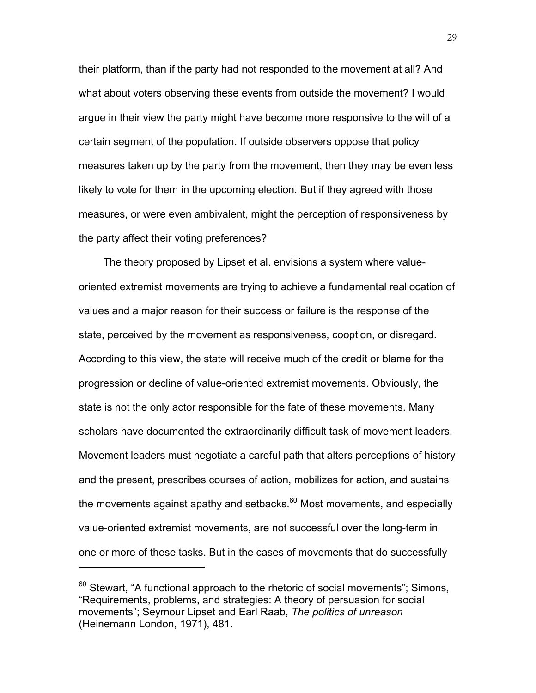their platform, than if the party had not responded to the movement at all? And what about voters observing these events from outside the movement? I would argue in their view the party might have become more responsive to the will of a certain segment of the population. If outside observers oppose that policy measures taken up by the party from the movement, then they may be even less likely to vote for them in the upcoming election. But if they agreed with those measures, or were even ambivalent, might the perception of responsiveness by the party affect their voting preferences?

The theory proposed by Lipset et al. envisions a system where valueoriented extremist movements are trying to achieve a fundamental reallocation of values and a major reason for their success or failure is the response of the state, perceived by the movement as responsiveness, cooption, or disregard. According to this view, the state will receive much of the credit or blame for the progression or decline of value-oriented extremist movements. Obviously, the state is not the only actor responsible for the fate of these movements. Many scholars have documented the extraordinarily difficult task of movement leaders. Movement leaders must negotiate a careful path that alters perceptions of history and the present, prescribes courses of action, mobilizes for action, and sustains the movements against apathy and setbacks. $60$  Most movements, and especially value-oriented extremist movements, are not successful over the long-term in one or more of these tasks. But in the cases of movements that do successfully

 $60$  Stewart, "A functional approach to the rhetoric of social movements"; Simons, "Requirements, problems, and strategies: A theory of persuasion for social movements"; Seymour Lipset and Earl Raab, *The politics of unreason* (Heinemann London, 1971), 481.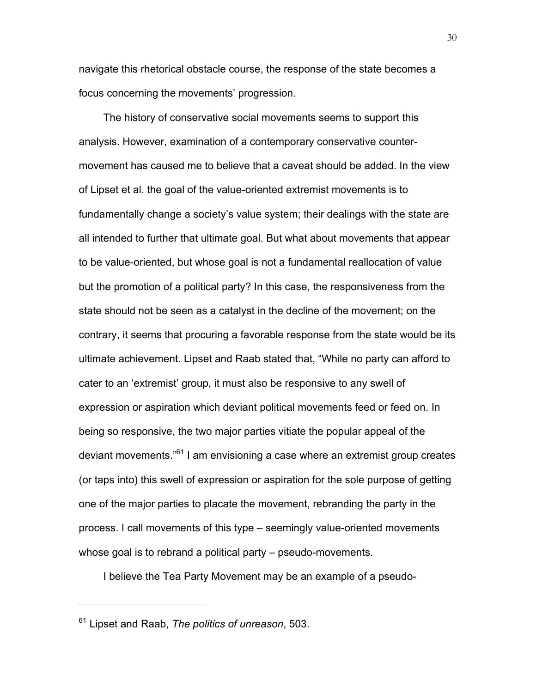navigate this rhetorical obstacle course, the response of the state becomes a focus concerning the movements' progression.

The history of conservative social movements seems to support this analysis. However, examination of a contemporary conservative countermovement has caused me to believe that a caveat should be added. In the view of Lipset et al. the goal of the value-oriented extremist movements is to fundamentally change a society's value system; their dealings with the state are all intended to further that ultimate goal. But what about movements that appear to be value-oriented, but whose goal is not a fundamental reallocation of value but the promotion of a political party? In this case, the responsiveness from the state should not be seen as a catalyst in the decline of the movement; on the contrary, it seems that procuring a favorable response from the state would be its ultimate achievement. Lipset and Raab stated that, "While no party can afford to cater to an 'extremist' group, it must also be responsive to any swell of expression or aspiration which deviant political movements feed or feed on. In being so responsive, the two major parties vitiate the popular appeal of the deviant movements."61 I am envisioning a case where an extremist group creates (or taps into) this swell of expression or aspiration for the sole purpose of getting one of the major parties to placate the movement, rebranding the party in the process. I call movements of this type – seemingly value-oriented movements whose goal is to rebrand a political party – pseudo-movements.

I believe the Tea Party Movement may be an example of a pseudo-

<sup>61</sup> Lipset and Raab, *The politics of unreason*, 503.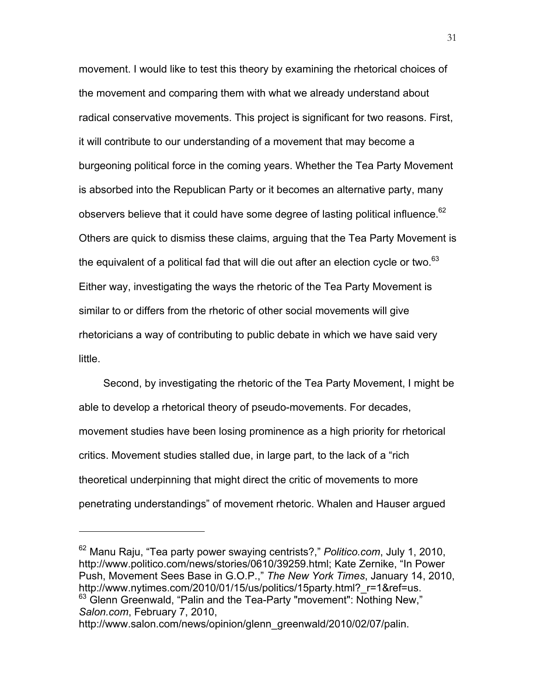movement. I would like to test this theory by examining the rhetorical choices of the movement and comparing them with what we already understand about radical conservative movements. This project is significant for two reasons. First, it will contribute to our understanding of a movement that may become a burgeoning political force in the coming years. Whether the Tea Party Movement is absorbed into the Republican Party or it becomes an alternative party, many observers believe that it could have some degree of lasting political influence.<sup>62</sup> Others are quick to dismiss these claims, arguing that the Tea Party Movement is the equivalent of a political fad that will die out after an election cycle or two. $^{63}$ Either way, investigating the ways the rhetoric of the Tea Party Movement is similar to or differs from the rhetoric of other social movements will give rhetoricians a way of contributing to public debate in which we have said very little.

Second, by investigating the rhetoric of the Tea Party Movement, I might be able to develop a rhetorical theory of pseudo-movements. For decades, movement studies have been losing prominence as a high priority for rhetorical critics. Movement studies stalled due, in large part, to the lack of a "rich theoretical underpinning that might direct the critic of movements to more penetrating understandings" of movement rhetoric. Whalen and Hauser argued

<sup>62</sup> Manu Raju, "Tea party power swaying centrists?," *Politico.com*, July 1, 2010, http://www.politico.com/news/stories/0610/39259.html; Kate Zernike, "In Power Push, Movement Sees Base in G.O.P.," *The New York Times*, January 14, 2010, http://www.nytimes.com/2010/01/15/us/politics/15party.html?\_r=1&ref=us.  $63$  Glenn Greenwald, "Palin and the Tea-Party "movement": Nothing New," *Salon.com*, February 7, 2010,

http://www.salon.com/news/opinion/glenn\_greenwald/2010/02/07/palin.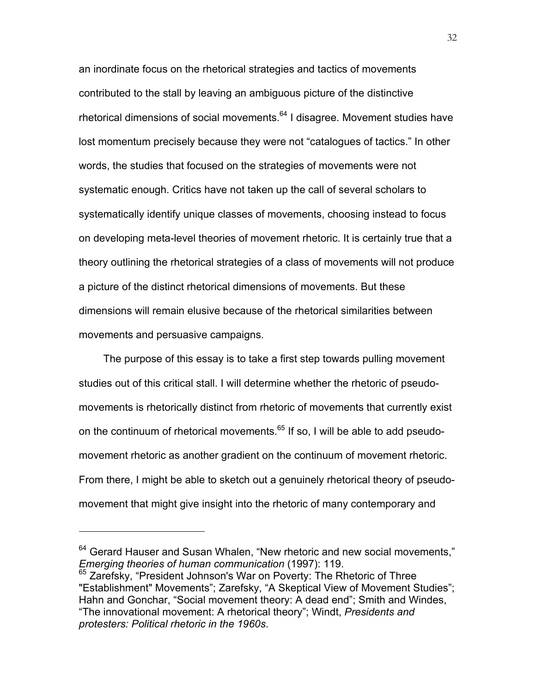an inordinate focus on the rhetorical strategies and tactics of movements contributed to the stall by leaving an ambiguous picture of the distinctive rhetorical dimensions of social movements.<sup>64</sup> I disagree. Movement studies have lost momentum precisely because they were not "catalogues of tactics." In other words, the studies that focused on the strategies of movements were not systematic enough. Critics have not taken up the call of several scholars to systematically identify unique classes of movements, choosing instead to focus on developing meta-level theories of movement rhetoric. It is certainly true that a theory outlining the rhetorical strategies of a class of movements will not produce a picture of the distinct rhetorical dimensions of movements. But these dimensions will remain elusive because of the rhetorical similarities between movements and persuasive campaigns.

The purpose of this essay is to take a first step towards pulling movement studies out of this critical stall. I will determine whether the rhetoric of pseudomovements is rhetorically distinct from rhetoric of movements that currently exist on the continuum of rhetorical movements. $65$  If so, I will be able to add pseudomovement rhetoric as another gradient on the continuum of movement rhetoric. From there, I might be able to sketch out a genuinely rhetorical theory of pseudomovement that might give insight into the rhetoric of many contemporary and

 $64$  Gerard Hauser and Susan Whalen, "New rhetoric and new social movements," *Emerging theories of human communication* (1997): 119.

<sup>&</sup>lt;sup>65</sup> Zarefsky, "President Johnson's War on Poverty: The Rhetoric of Three "Establishment" Movements"; Zarefsky, "A Skeptical View of Movement Studies"; Hahn and Gonchar, "Social movement theory: A dead end"; Smith and Windes, "The innovational movement: A rhetorical theory"; Windt, *Presidents and protesters: Political rhetoric in the 1960s*.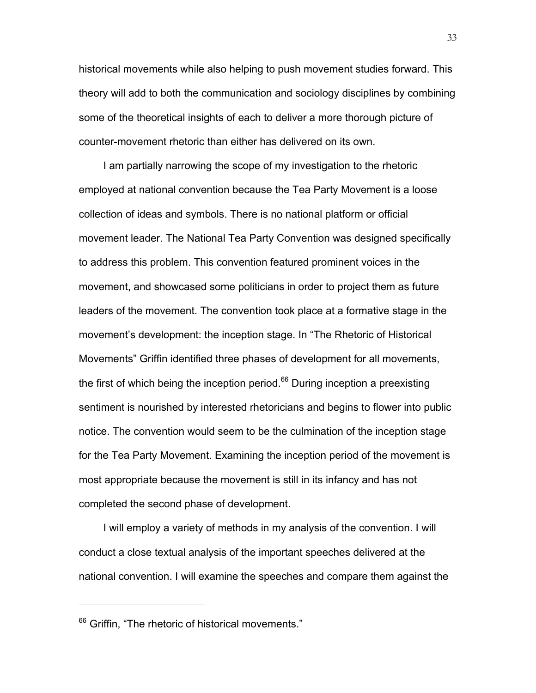historical movements while also helping to push movement studies forward. This theory will add to both the communication and sociology disciplines by combining some of the theoretical insights of each to deliver a more thorough picture of counter-movement rhetoric than either has delivered on its own.

I am partially narrowing the scope of my investigation to the rhetoric employed at national convention because the Tea Party Movement is a loose collection of ideas and symbols. There is no national platform or official movement leader. The National Tea Party Convention was designed specifically to address this problem. This convention featured prominent voices in the movement, and showcased some politicians in order to project them as future leaders of the movement. The convention took place at a formative stage in the movement's development: the inception stage. In "The Rhetoric of Historical Movements" Griffin identified three phases of development for all movements, the first of which being the inception period. $66$  During inception a preexisting sentiment is nourished by interested rhetoricians and begins to flower into public notice. The convention would seem to be the culmination of the inception stage for the Tea Party Movement. Examining the inception period of the movement is most appropriate because the movement is still in its infancy and has not completed the second phase of development.

I will employ a variety of methods in my analysis of the convention. I will conduct a close textual analysis of the important speeches delivered at the national convention. I will examine the speeches and compare them against the

<sup>&</sup>lt;sup>66</sup> Griffin, "The rhetoric of historical movements."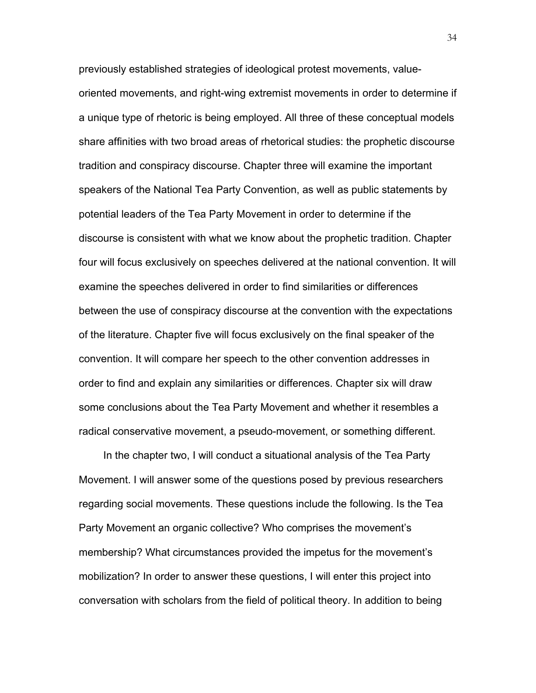previously established strategies of ideological protest movements, valueoriented movements, and right-wing extremist movements in order to determine if a unique type of rhetoric is being employed. All three of these conceptual models share affinities with two broad areas of rhetorical studies: the prophetic discourse tradition and conspiracy discourse. Chapter three will examine the important speakers of the National Tea Party Convention, as well as public statements by potential leaders of the Tea Party Movement in order to determine if the discourse is consistent with what we know about the prophetic tradition. Chapter four will focus exclusively on speeches delivered at the national convention. It will examine the speeches delivered in order to find similarities or differences between the use of conspiracy discourse at the convention with the expectations of the literature. Chapter five will focus exclusively on the final speaker of the convention. It will compare her speech to the other convention addresses in order to find and explain any similarities or differences. Chapter six will draw some conclusions about the Tea Party Movement and whether it resembles a radical conservative movement, a pseudo-movement, or something different.

In the chapter two, I will conduct a situational analysis of the Tea Party Movement. I will answer some of the questions posed by previous researchers regarding social movements. These questions include the following. Is the Tea Party Movement an organic collective? Who comprises the movement's membership? What circumstances provided the impetus for the movement's mobilization? In order to answer these questions, I will enter this project into conversation with scholars from the field of political theory. In addition to being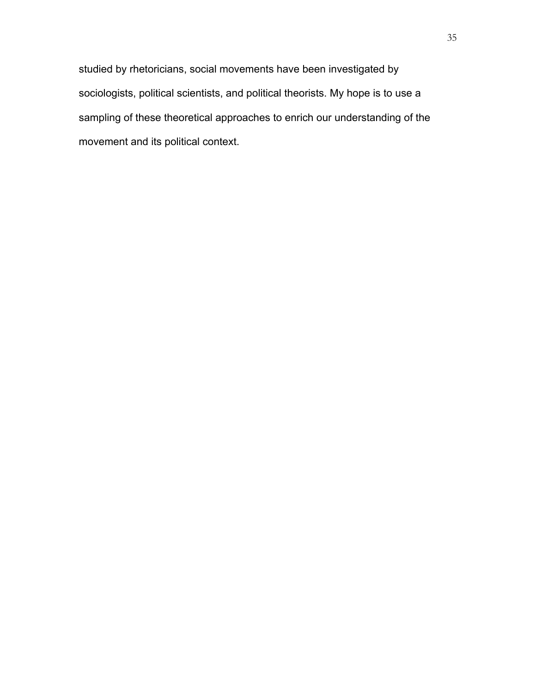studied by rhetoricians, social movements have been investigated by sociologists, political scientists, and political theorists. My hope is to use a sampling of these theoretical approaches to enrich our understanding of the movement and its political context.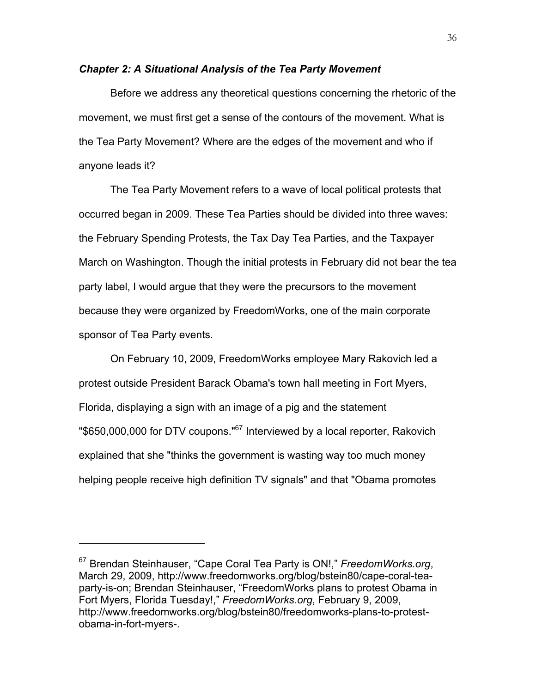## *Chapter 2: A Situational Analysis of the Tea Party Movement*

Before we address any theoretical questions concerning the rhetoric of the movement, we must first get a sense of the contours of the movement. What is the Tea Party Movement? Where are the edges of the movement and who if anyone leads it?

The Tea Party Movement refers to a wave of local political protests that occurred began in 2009. These Tea Parties should be divided into three waves: the February Spending Protests, the Tax Day Tea Parties, and the Taxpayer March on Washington. Though the initial protests in February did not bear the tea party label, I would argue that they were the precursors to the movement because they were organized by FreedomWorks, one of the main corporate sponsor of Tea Party events.

On February 10, 2009, FreedomWorks employee Mary Rakovich led a protest outside President Barack Obama's town hall meeting in Fort Myers, Florida, displaying a sign with an image of a pig and the statement "\$650,000,000 for DTV coupons."<sup>67</sup> Interviewed by a local reporter, Rakovich explained that she "thinks the government is wasting way too much money helping people receive high definition TV signals" and that "Obama promotes

<sup>67</sup> Brendan Steinhauser, "Cape Coral Tea Party is ON!," *FreedomWorks.org*, March 29, 2009, http://www.freedomworks.org/blog/bstein80/cape-coral-teaparty-is-on; Brendan Steinhauser, "FreedomWorks plans to protest Obama in Fort Myers, Florida Tuesday!," *FreedomWorks.org*, February 9, 2009, http://www.freedomworks.org/blog/bstein80/freedomworks-plans-to-protestobama-in-fort-myers-.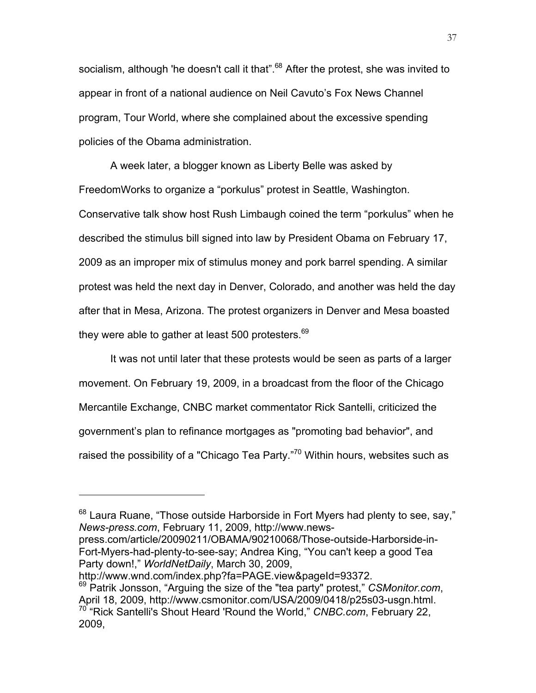socialism, although 'he doesn't call it that".<sup>68</sup> After the protest, she was invited to appear in front of a national audience on Neil Cavuto's Fox News Channel program, Tour World, where she complained about the excessive spending policies of the Obama administration.

A week later, a blogger known as Liberty Belle was asked by FreedomWorks to organize a "porkulus" protest in Seattle, Washington. Conservative talk show host Rush Limbaugh coined the term "porkulus" when he described the stimulus bill signed into law by President Obama on February 17, 2009 as an improper mix of stimulus money and pork barrel spending. A similar protest was held the next day in Denver, Colorado, and another was held the day after that in Mesa, Arizona. The protest organizers in Denver and Mesa boasted they were able to gather at least 500 protesters. $69$ 

It was not until later that these protests would be seen as parts of a larger movement. On February 19, 2009, in a broadcast from the floor of the Chicago Mercantile Exchange, CNBC market commentator Rick Santelli, criticized the government's plan to refinance mortgages as "promoting bad behavior", and raised the possibility of a "Chicago Tea Party. $n^{70}$  Within hours, websites such as

press.com/article/20090211/OBAMA/90210068/Those-outside-Harborside-in-Fort-Myers-had-plenty-to-see-say; Andrea King, "You can't keep a good Tea Party down!," *WorldNetDaily*, March 30, 2009,

http://www.wnd.com/index.php?fa=PAGE.view&pageId=93372.

 $\overline{a}$ 

37

 $68$  Laura Ruane, "Those outside Harborside in Fort Myers had plenty to see, say," *News-press.com*, February 11, 2009, http://www.news-

<sup>&</sup>lt;sup>69</sup> Patrik Jonsson, "Arguing the size of the "tea party" protest," *CSMonitor.com*,<br>April 18, 2009, http://www.csmonitor.com/USA/2009/0418/p25s03-usgn.html. <sup>70</sup> "Rick Santelli's Shout Heard 'Round the World," *CNBC.com*, February 22, 2009,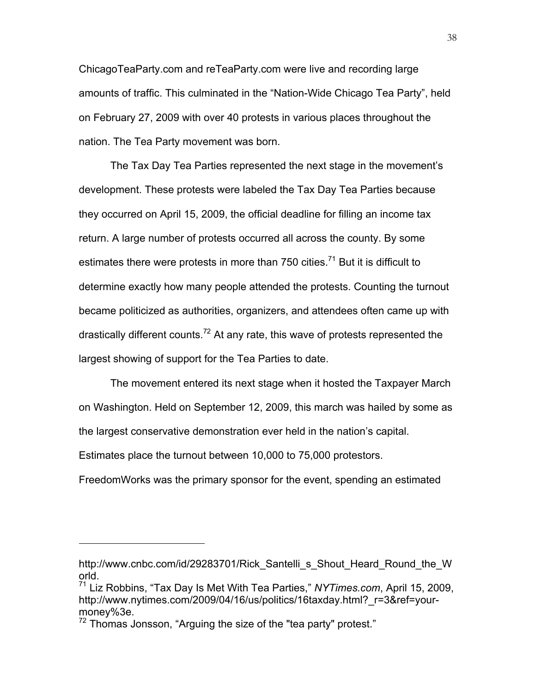ChicagoTeaParty.com and reTeaParty.com were live and recording large amounts of traffic. This culminated in the "Nation-Wide Chicago Tea Party", held on February 27, 2009 with over 40 protests in various places throughout the nation. The Tea Party movement was born.

The Tax Day Tea Parties represented the next stage in the movement's development. These protests were labeled the Tax Day Tea Parties because they occurred on April 15, 2009, the official deadline for filling an income tax return. A large number of protests occurred all across the county. By some estimates there were protests in more than 750 cities.<sup>71</sup> But it is difficult to determine exactly how many people attended the protests. Counting the turnout became politicized as authorities, organizers, and attendees often came up with drastically different counts.<sup>72</sup> At any rate, this wave of protests represented the largest showing of support for the Tea Parties to date.

The movement entered its next stage when it hosted the Taxpayer March on Washington. Held on September 12, 2009, this march was hailed by some as the largest conservative demonstration ever held in the nation's capital. Estimates place the turnout between 10,000 to 75,000 protestors.

FreedomWorks was the primary sponsor for the event, spending an estimated

http://www.cnbc.com/id/29283701/Rick Santelli s Shout Heard Round the W orld.

<sup>71</sup> Liz Robbins, "Tax Day Is Met With Tea Parties," *NYTimes.com*, April 15, 2009, http://www.nytimes.com/2009/04/16/us/politics/16taxday.html? r=3&ref=yourmoney%3e.

 $72$  Thomas Jonsson, "Arguing the size of the "tea party" protest."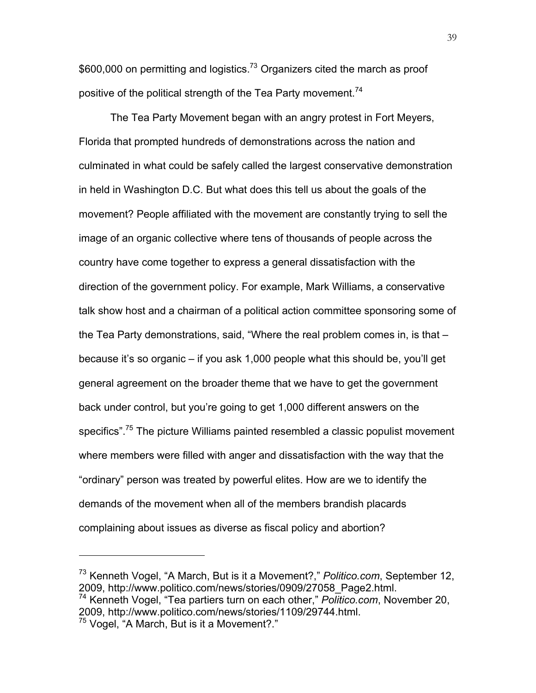\$600,000 on permitting and logistics.<sup>73</sup> Organizers cited the march as proof positive of the political strength of the Tea Party movement.<sup>74</sup>

The Tea Party Movement began with an angry protest in Fort Meyers, Florida that prompted hundreds of demonstrations across the nation and culminated in what could be safely called the largest conservative demonstration in held in Washington D.C. But what does this tell us about the goals of the movement? People affiliated with the movement are constantly trying to sell the image of an organic collective where tens of thousands of people across the country have come together to express a general dissatisfaction with the direction of the government policy. For example, Mark Williams, a conservative talk show host and a chairman of a political action committee sponsoring some of the Tea Party demonstrations, said, "Where the real problem comes in, is that – because it's so organic – if you ask 1,000 people what this should be, you'll get general agreement on the broader theme that we have to get the government back under control, but you're going to get 1,000 different answers on the specifics".<sup>75</sup> The picture Williams painted resembled a classic populist movement where members were filled with anger and dissatisfaction with the way that the "ordinary" person was treated by powerful elites. How are we to identify the demands of the movement when all of the members brandish placards complaining about issues as diverse as fiscal policy and abortion?

<sup>73</sup> Kenneth Vogel, "A March, But is it a Movement?," *Politico.com*, September 12, 2009, http://www.politico.com/news/stories/0909/27058\_Page2.html. <sup>74</sup> Kenneth Vogel, "Tea partiers turn on each other," *Politico.com*, November 20,

<sup>2009,</sup> http://www.politico.com/news/stories/1109/29744.html.

<sup>75</sup> Vogel, "A March, But is it a Movement?."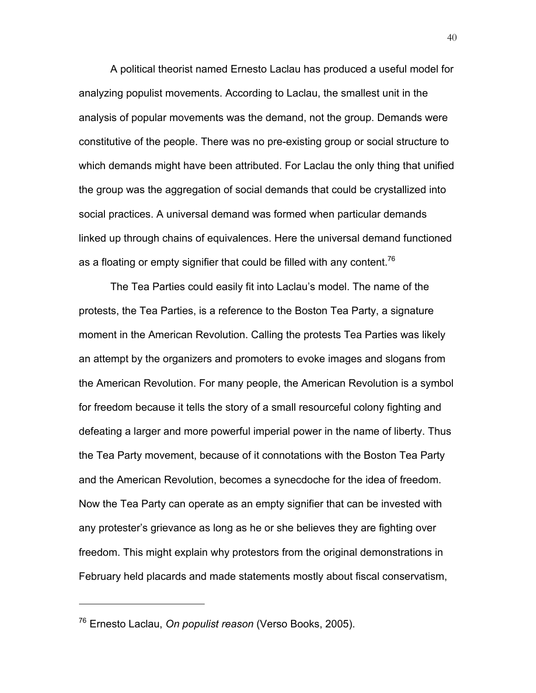A political theorist named Ernesto Laclau has produced a useful model for analyzing populist movements. According to Laclau, the smallest unit in the analysis of popular movements was the demand, not the group. Demands were constitutive of the people. There was no pre-existing group or social structure to which demands might have been attributed. For Laclau the only thing that unified the group was the aggregation of social demands that could be crystallized into social practices. A universal demand was formed when particular demands linked up through chains of equivalences. Here the universal demand functioned as a floating or empty signifier that could be filled with any content.<sup>76</sup>

The Tea Parties could easily fit into Laclau's model. The name of the protests, the Tea Parties, is a reference to the Boston Tea Party, a signature moment in the American Revolution. Calling the protests Tea Parties was likely an attempt by the organizers and promoters to evoke images and slogans from the American Revolution. For many people, the American Revolution is a symbol for freedom because it tells the story of a small resourceful colony fighting and defeating a larger and more powerful imperial power in the name of liberty. Thus the Tea Party movement, because of it connotations with the Boston Tea Party and the American Revolution, becomes a synecdoche for the idea of freedom. Now the Tea Party can operate as an empty signifier that can be invested with any protester's grievance as long as he or she believes they are fighting over freedom. This might explain why protestors from the original demonstrations in February held placards and made statements mostly about fiscal conservatism,

<sup>76</sup> Ernesto Laclau, *On populist reason* (Verso Books, 2005).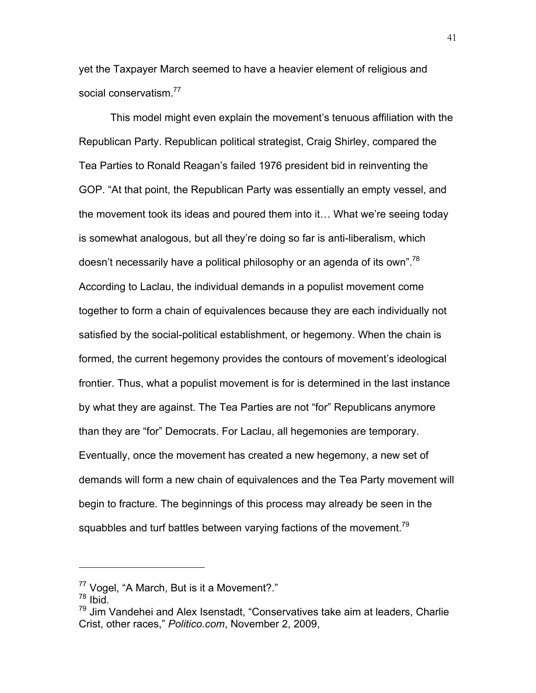yet the Taxpayer March seemed to have a heavier element of religious and social conservatism<sup>77</sup>

This model might even explain the movement's tenuous affiliation with the Republican Party. Republican political strategist, Craig Shirley, compared the Tea Parties to Ronald Reagan's failed 1976 president bid in reinventing the GOP. "At that point, the Republican Party was essentially an empty vessel, and the movement took its ideas and poured them into it… What we're seeing today is somewhat analogous, but all they're doing so far is anti-liberalism, which doesn't necessarily have a political philosophy or an agenda of its own".<sup>78</sup> According to Laclau, the individual demands in a populist movement come together to form a chain of equivalences because they are each individually not satisfied by the social-political establishment, or hegemony. When the chain is formed, the current hegemony provides the contours of movement's ideological frontier. Thus, what a populist movement is for is determined in the last instance by what they are against. The Tea Parties are not "for" Republicans anymore than they are "for" Democrats. For Laclau, all hegemonies are temporary. Eventually, once the movement has created a new hegemony, a new set of demands will form a new chain of equivalences and the Tea Party movement will begin to fracture. The beginnings of this process may already be seen in the squabbles and turf battles between varying factions of the movement.<sup>79</sup>

<sup>77</sup> Vogel, "A March, But is it a Movement?."

 $78$  Ibid.

 $79$  Jim Vandehei and Alex Isenstadt, "Conservatives take aim at leaders, Charlie Crist, other races," *Politico.com*, November 2, 2009,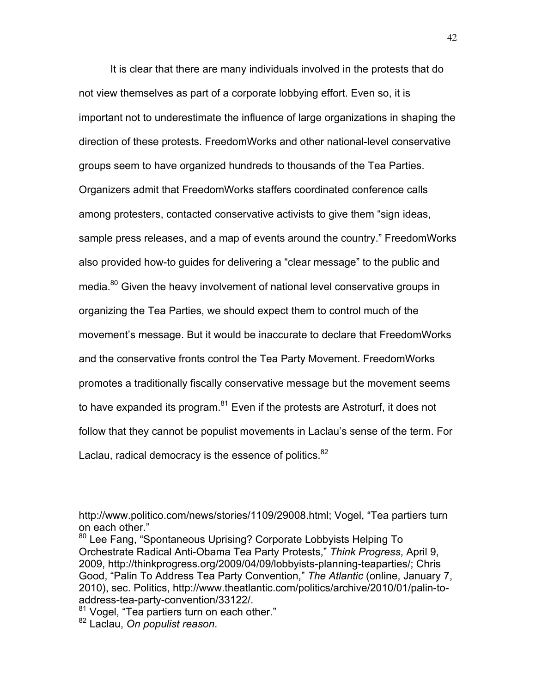It is clear that there are many individuals involved in the protests that do not view themselves as part of a corporate lobbying effort. Even so, it is important not to underestimate the influence of large organizations in shaping the direction of these protests. FreedomWorks and other national-level conservative groups seem to have organized hundreds to thousands of the Tea Parties. Organizers admit that FreedomWorks staffers coordinated conference calls among protesters, contacted conservative activists to give them "sign ideas, sample press releases, and a map of events around the country." FreedomWorks also provided how-to guides for delivering a "clear message" to the public and media.<sup>80</sup> Given the heavy involvement of national level conservative groups in organizing the Tea Parties, we should expect them to control much of the movement's message. But it would be inaccurate to declare that FreedomWorks and the conservative fronts control the Tea Party Movement. FreedomWorks promotes a traditionally fiscally conservative message but the movement seems to have expanded its program.<sup>81</sup> Even if the protests are Astroturf, it does not follow that they cannot be populist movements in Laclau's sense of the term. For Laclau, radical democracy is the essence of politics.<sup>82</sup>

http://www.politico.com/news/stories/1109/29008.html; Vogel, "Tea partiers turn on each other."

<sup>80</sup> Lee Fang, "Spontaneous Uprising? Corporate Lobbyists Helping To Orchestrate Radical Anti-Obama Tea Party Protests," *Think Progress*, April 9, 2009, http://thinkprogress.org/2009/04/09/lobbyists-planning-teaparties/; Chris Good, "Palin To Address Tea Party Convention," *The Atlantic* (online, January 7, 2010), sec. Politics, http://www.theatlantic.com/politics/archive/2010/01/palin-toaddress-tea-party-convention/33122/.

<sup>&</sup>lt;sup>81</sup> Vogel, "Tea partiers turn on each other."

<sup>82</sup> Laclau, *On populist reason*.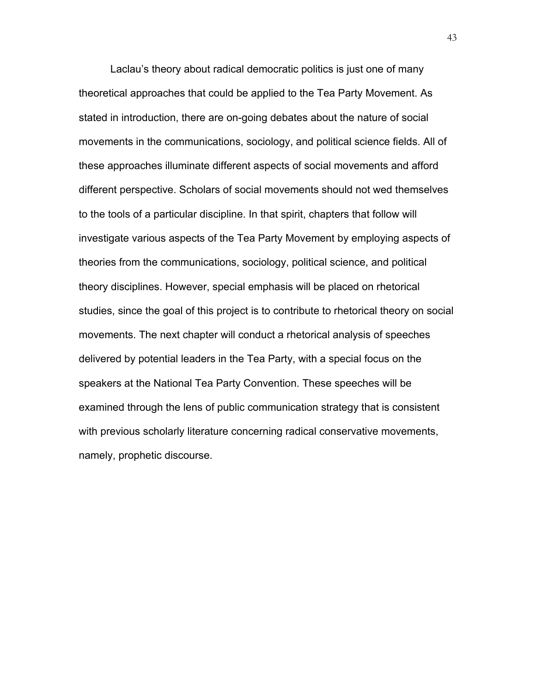Laclau's theory about radical democratic politics is just one of many theoretical approaches that could be applied to the Tea Party Movement. As stated in introduction, there are on-going debates about the nature of social movements in the communications, sociology, and political science fields. All of these approaches illuminate different aspects of social movements and afford different perspective. Scholars of social movements should not wed themselves to the tools of a particular discipline. In that spirit, chapters that follow will investigate various aspects of the Tea Party Movement by employing aspects of theories from the communications, sociology, political science, and political theory disciplines. However, special emphasis will be placed on rhetorical studies, since the goal of this project is to contribute to rhetorical theory on social movements. The next chapter will conduct a rhetorical analysis of speeches delivered by potential leaders in the Tea Party, with a special focus on the speakers at the National Tea Party Convention. These speeches will be examined through the lens of public communication strategy that is consistent with previous scholarly literature concerning radical conservative movements, namely, prophetic discourse.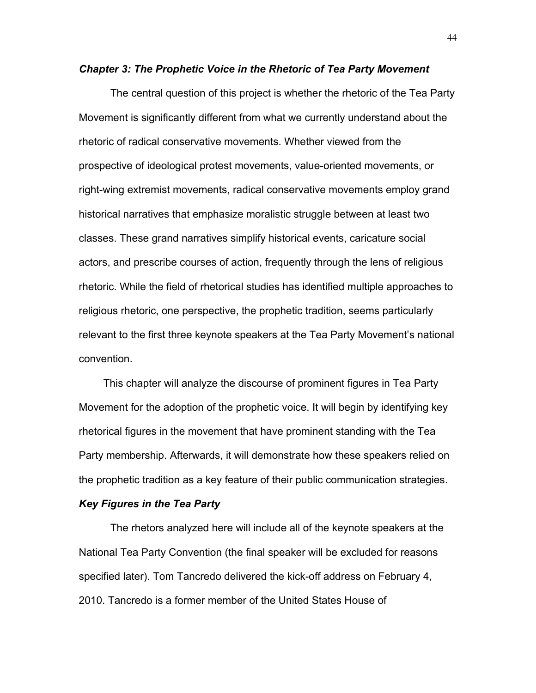### *Chapter 3: The Prophetic Voice in the Rhetoric of Tea Party Movement*

The central question of this project is whether the rhetoric of the Tea Party Movement is significantly different from what we currently understand about the rhetoric of radical conservative movements. Whether viewed from the prospective of ideological protest movements, value-oriented movements, or right-wing extremist movements, radical conservative movements employ grand historical narratives that emphasize moralistic struggle between at least two classes. These grand narratives simplify historical events, caricature social actors, and prescribe courses of action, frequently through the lens of religious rhetoric. While the field of rhetorical studies has identified multiple approaches to religious rhetoric, one perspective, the prophetic tradition, seems particularly relevant to the first three keynote speakers at the Tea Party Movement's national convention.

This chapter will analyze the discourse of prominent figures in Tea Party Movement for the adoption of the prophetic voice. It will begin by identifying key rhetorical figures in the movement that have prominent standing with the Tea Party membership. Afterwards, it will demonstrate how these speakers relied on the prophetic tradition as a key feature of their public communication strategies.

#### *Key Figures in the Tea Party*

The rhetors analyzed here will include all of the keynote speakers at the National Tea Party Convention (the final speaker will be excluded for reasons specified later). Tom Tancredo delivered the kick-off address on February 4, 2010. Tancredo is a former member of the United States House of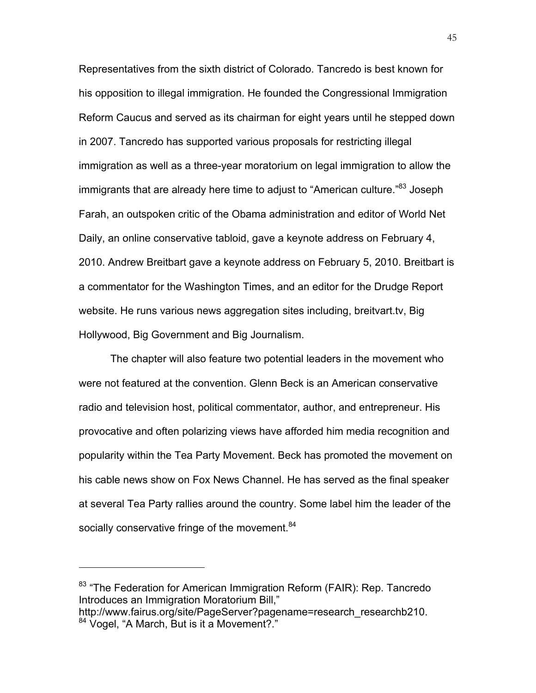Representatives from the sixth district of Colorado. Tancredo is best known for his opposition to illegal immigration. He founded the Congressional Immigration Reform Caucus and served as its chairman for eight years until he stepped down in 2007. Tancredo has supported various proposals for restricting illegal immigration as well as a three-year moratorium on legal immigration to allow the immigrants that are already here time to adjust to "American culture."<sup>83</sup> Joseph Farah, an outspoken critic of the Obama administration and editor of World Net Daily, an online conservative tabloid, gave a keynote address on February 4, 2010. Andrew Breitbart gave a keynote address on February 5, 2010. Breitbart is a commentator for the Washington Times, and an editor for the Drudge Report website. He runs various news aggregation sites including, breitvart.tv, Big Hollywood, Big Government and Big Journalism.

The chapter will also feature two potential leaders in the movement who were not featured at the convention. Glenn Beck is an American conservative radio and television host, political commentator, author, and entrepreneur. His provocative and often polarizing views have afforded him media recognition and popularity within the Tea Party Movement. Beck has promoted the movement on his cable news show on Fox News Channel. He has served as the final speaker at several Tea Party rallies around the country. Some label him the leader of the socially conservative fringe of the movement.<sup>84</sup>

<sup>&</sup>lt;sup>83</sup> "The Federation for American Immigration Reform (FAIR): Rep. Tancredo Introduces an Immigration Moratorium Bill,"

http://www.fairus.org/site/PageServer?pagename=research\_researchb210. 84 Vogel, "A March, But is it a Movement?."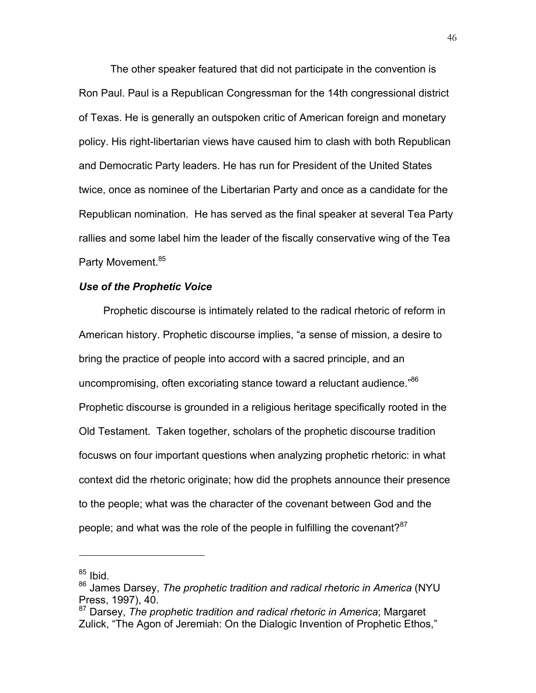The other speaker featured that did not participate in the convention is Ron Paul. Paul is a Republican Congressman for the 14th congressional district of Texas. He is generally an outspoken critic of American foreign and monetary policy. His right-libertarian views have caused him to clash with both Republican and Democratic Party leaders. He has run for President of the United States twice, once as nominee of the Libertarian Party and once as a candidate for the Republican nomination. He has served as the final speaker at several Tea Party rallies and some label him the leader of the fiscally conservative wing of the Tea Party Movement.<sup>85</sup>

## *Use of the Prophetic Voice*

Prophetic discourse is intimately related to the radical rhetoric of reform in American history. Prophetic discourse implies, "a sense of mission, a desire to bring the practice of people into accord with a sacred principle, and an uncompromising, often excoriating stance toward a reluctant audience."<sup>86</sup> Prophetic discourse is grounded in a religious heritage specifically rooted in the Old Testament. Taken together, scholars of the prophetic discourse tradition focusws on four important questions when analyzing prophetic rhetoric: in what context did the rhetoric originate; how did the prophets announce their presence to the people; what was the character of the covenant between God and the people; and what was the role of the people in fulfilling the covenant? $87$ 

 $85$  Ibid.

<sup>86</sup> James Darsey, *The prophetic tradition and radical rhetoric in America* (NYU Press, 1997), 40.

<sup>87</sup> Darsey, *The prophetic tradition and radical rhetoric in America*; Margaret Zulick, "The Agon of Jeremiah: On the Dialogic Invention of Prophetic Ethos,"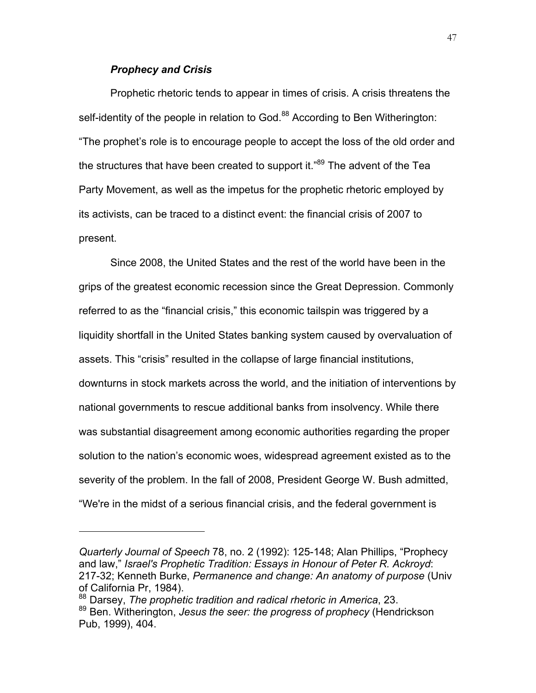# *Prophecy and Crisis*

Prophetic rhetoric tends to appear in times of crisis. A crisis threatens the self-identity of the people in relation to God.<sup>88</sup> According to Ben Witherington: "The prophet's role is to encourage people to accept the loss of the old order and the structures that have been created to support it."<sup>89</sup> The advent of the Tea Party Movement, as well as the impetus for the prophetic rhetoric employed by its activists, can be traced to a distinct event: the financial crisis of 2007 to present.

Since 2008, the United States and the rest of the world have been in the grips of the greatest economic recession since the Great Depression. Commonly referred to as the "financial crisis," this economic tailspin was triggered by a liquidity shortfall in the United States banking system caused by overvaluation of assets. This "crisis" resulted in the collapse of large financial institutions, downturns in stock markets across the world, and the initiation of interventions by national governments to rescue additional banks from insolvency. While there was substantial disagreement among economic authorities regarding the proper solution to the nation's economic woes, widespread agreement existed as to the severity of the problem. In the fall of 2008, President George W. Bush admitted, "We're in the midst of a serious financial crisis, and the federal government is

*Quarterly Journal of Speech* 78, no. 2 (1992): 125-148; Alan Phillips, "Prophecy and law," *Israel's Prophetic Tradition: Essays in Honour of Peter R. Ackroyd*: 217-32; Kenneth Burke, *Permanence and change: An anatomy of purpose* (Univ of California Pr, 1984).

<sup>88</sup> Darsey, *The prophetic tradition and radical rhetoric in America*, 23.

<sup>89</sup> Ben. Witherington, *Jesus the seer: the progress of prophecy* (Hendrickson Pub, 1999), 404.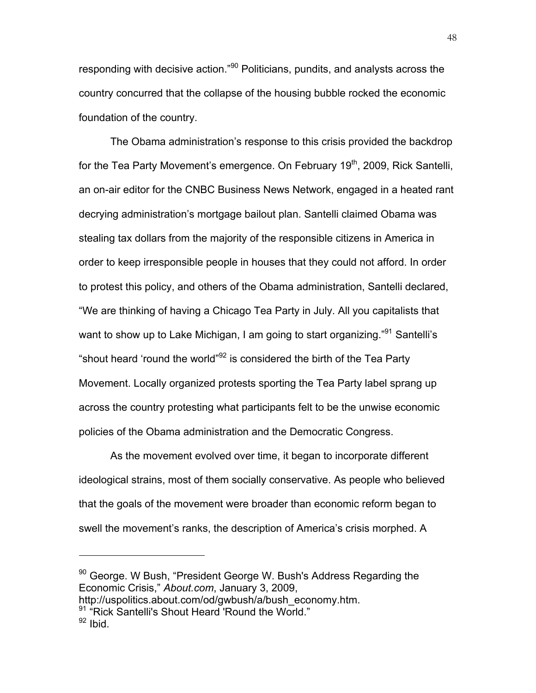responding with decisive action."<sup>90</sup> Politicians, pundits, and analysts across the country concurred that the collapse of the housing bubble rocked the economic foundation of the country.

The Obama administration's response to this crisis provided the backdrop for the Tea Party Movement's emergence. On February  $19<sup>th</sup>$ , 2009, Rick Santelli, an on-air editor for the CNBC Business News Network, engaged in a heated rant decrying administration's mortgage bailout plan. Santelli claimed Obama was stealing tax dollars from the majority of the responsible citizens in America in order to keep irresponsible people in houses that they could not afford. In order to protest this policy, and others of the Obama administration, Santelli declared, "We are thinking of having a Chicago Tea Party in July. All you capitalists that want to show up to Lake Michigan, I am going to start organizing."<sup>91</sup> Santelli's "shout heard 'round the world" $92$  is considered the birth of the Tea Party Movement. Locally organized protests sporting the Tea Party label sprang up across the country protesting what participants felt to be the unwise economic policies of the Obama administration and the Democratic Congress.

As the movement evolved over time, it began to incorporate different ideological strains, most of them socially conservative. As people who believed that the goals of the movement were broader than economic reform began to swell the movement's ranks, the description of America's crisis morphed. A

<sup>90</sup> George. W Bush, "President George W. Bush's Address Regarding the Economic Crisis," *About.com*, January 3, 2009,

http://uspolitics.about.com/od/gwbush/a/bush\_economy.htm.

<sup>91</sup> "Rick Santelli's Shout Heard 'Round the World."

 $92$  Ibid.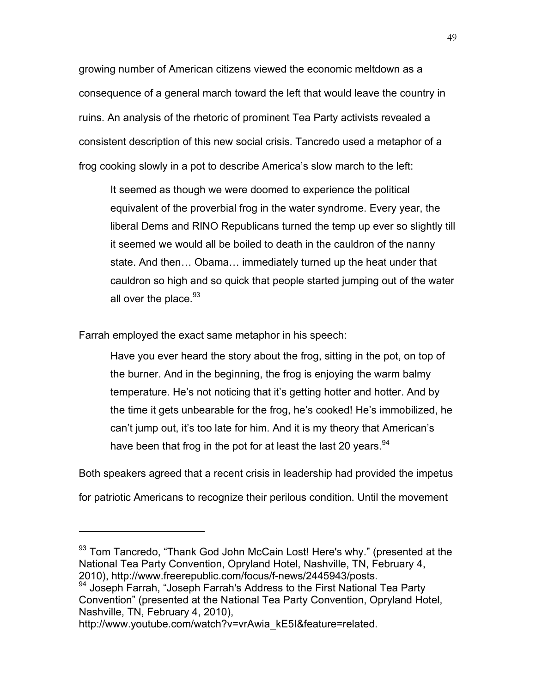growing number of American citizens viewed the economic meltdown as a consequence of a general march toward the left that would leave the country in ruins. An analysis of the rhetoric of prominent Tea Party activists revealed a consistent description of this new social crisis. Tancredo used a metaphor of a frog cooking slowly in a pot to describe America's slow march to the left:

It seemed as though we were doomed to experience the political equivalent of the proverbial frog in the water syndrome. Every year, the liberal Dems and RINO Republicans turned the temp up ever so slightly till it seemed we would all be boiled to death in the cauldron of the nanny state. And then… Obama… immediately turned up the heat under that cauldron so high and so quick that people started jumping out of the water all over the place.<sup>93</sup>

Farrah employed the exact same metaphor in his speech:

Have you ever heard the story about the frog, sitting in the pot, on top of the burner. And in the beginning, the frog is enjoying the warm balmy temperature. He's not noticing that it's getting hotter and hotter. And by the time it gets unbearable for the frog, he's cooked! He's immobilized, he can't jump out, it's too late for him. And it is my theory that American's have been that frog in the pot for at least the last 20 years.<sup>94</sup>

Both speakers agreed that a recent crisis in leadership had provided the impetus

for patriotic Americans to recognize their perilous condition. Until the movement

 $93$  Tom Tancredo, "Thank God John McCain Lost! Here's why." (presented at the National Tea Party Convention, Opryland Hotel, Nashville, TN, February 4, 2010), http://www.freerepublic.com/focus/f-news/2445943/posts.

<sup>94</sup> Joseph Farrah, "Joseph Farrah's Address to the First National Tea Party Convention" (presented at the National Tea Party Convention, Opryland Hotel, Nashville, TN, February 4, 2010),

http://www.youtube.com/watch?v=vrAwia\_kE5I&feature=related.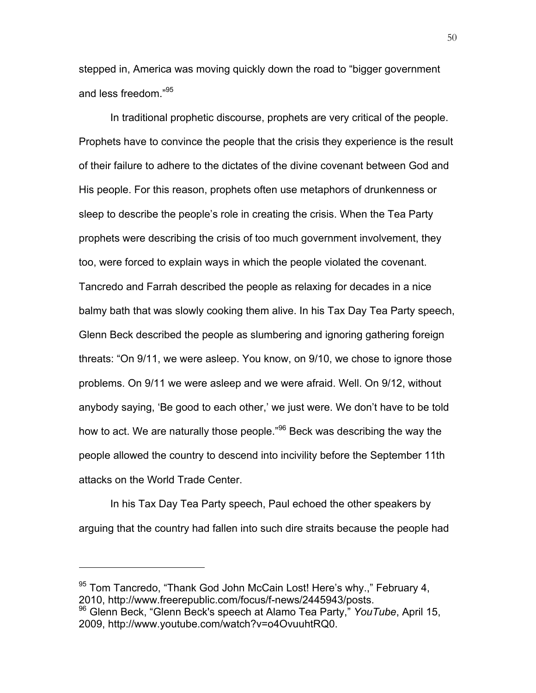stepped in, America was moving quickly down the road to "bigger government and less freedom."95

In traditional prophetic discourse, prophets are very critical of the people. Prophets have to convince the people that the crisis they experience is the result of their failure to adhere to the dictates of the divine covenant between God and His people. For this reason, prophets often use metaphors of drunkenness or sleep to describe the people's role in creating the crisis. When the Tea Party prophets were describing the crisis of too much government involvement, they too, were forced to explain ways in which the people violated the covenant. Tancredo and Farrah described the people as relaxing for decades in a nice balmy bath that was slowly cooking them alive. In his Tax Day Tea Party speech, Glenn Beck described the people as slumbering and ignoring gathering foreign threats: "On 9/11, we were asleep. You know, on 9/10, we chose to ignore those problems. On 9/11 we were asleep and we were afraid. Well. On 9/12, without anybody saying, 'Be good to each other,' we just were. We don't have to be told how to act. We are naturally those people."<sup>96</sup> Beck was describing the way the people allowed the country to descend into incivility before the September 11th attacks on the World Trade Center.

In his Tax Day Tea Party speech, Paul echoed the other speakers by arguing that the country had fallen into such dire straits because the people had

<sup>&</sup>lt;sup>95</sup> Tom Tancredo, "Thank God John McCain Lost! Here's why.," February 4, 2010, http://www.freerepublic.com/focus/f-news/2445943/posts.

<sup>96</sup> Glenn Beck, "Glenn Beck's speech at Alamo Tea Party," *YouTube*, April 15, 2009, http://www.youtube.com/watch?v=o4OvuuhtRQ0.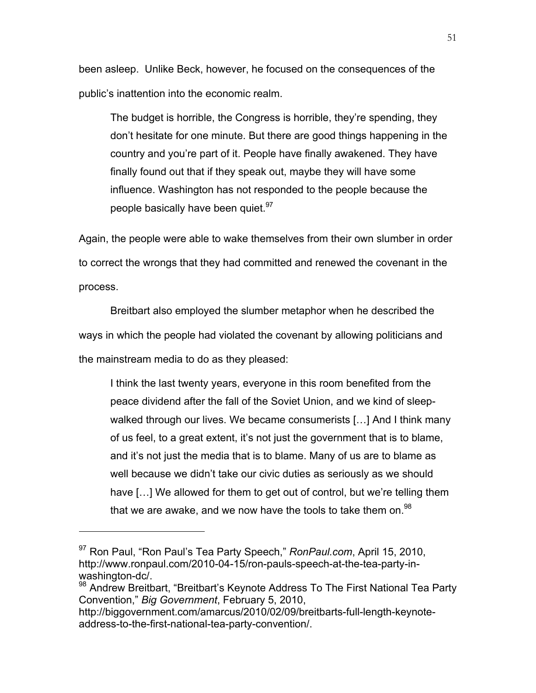been asleep. Unlike Beck, however, he focused on the consequences of the public's inattention into the economic realm.

The budget is horrible, the Congress is horrible, they're spending, they don't hesitate for one minute. But there are good things happening in the country and you're part of it. People have finally awakened. They have finally found out that if they speak out, maybe they will have some influence. Washington has not responded to the people because the people basically have been quiet.<sup>97</sup>

Again, the people were able to wake themselves from their own slumber in order to correct the wrongs that they had committed and renewed the covenant in the process.

Breitbart also employed the slumber metaphor when he described the ways in which the people had violated the covenant by allowing politicians and the mainstream media to do as they pleased:

I think the last twenty years, everyone in this room benefited from the peace dividend after the fall of the Soviet Union, and we kind of sleepwalked through our lives. We became consumerists […] And I think many of us feel, to a great extent, it's not just the government that is to blame, and it's not just the media that is to blame. Many of us are to blame as well because we didn't take our civic duties as seriously as we should have […] We allowed for them to get out of control, but we're telling them that we are awake, and we now have the tools to take them on.<sup>98</sup>

<sup>97</sup> Ron Paul, "Ron Paul's Tea Party Speech," *RonPaul.com*, April 15, 2010, http://www.ronpaul.com/2010-04-15/ron-pauls-speech-at-the-tea-party-inwashington-dc/.

<sup>98</sup> Andrew Breitbart, "Breitbart's Keynote Address To The First National Tea Party Convention," *Big Government*, February 5, 2010,

http://biggovernment.com/amarcus/2010/02/09/breitbarts-full-length-keynoteaddress-to-the-first-national-tea-party-convention/.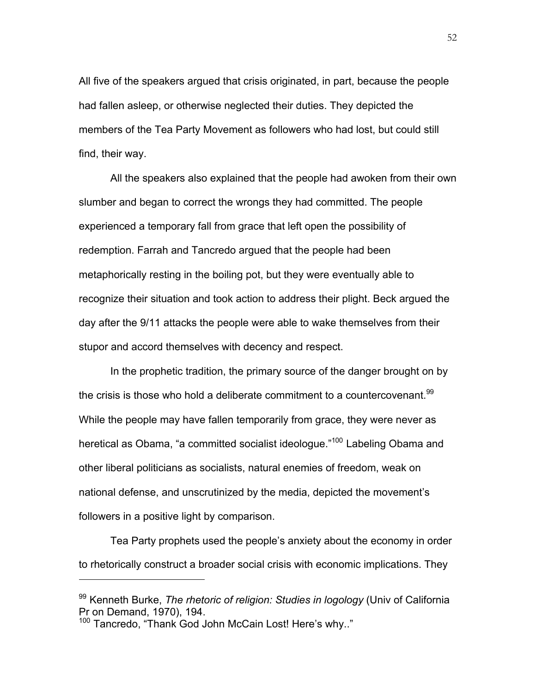All five of the speakers argued that crisis originated, in part, because the people had fallen asleep, or otherwise neglected their duties. They depicted the members of the Tea Party Movement as followers who had lost, but could still find, their way.

All the speakers also explained that the people had awoken from their own slumber and began to correct the wrongs they had committed. The people experienced a temporary fall from grace that left open the possibility of redemption. Farrah and Tancredo argued that the people had been metaphorically resting in the boiling pot, but they were eventually able to recognize their situation and took action to address their plight. Beck argued the day after the 9/11 attacks the people were able to wake themselves from their stupor and accord themselves with decency and respect.

In the prophetic tradition, the primary source of the danger brought on by the crisis is those who hold a deliberate commitment to a countercovenant.<sup>99</sup> While the people may have fallen temporarily from grace, they were never as heretical as Obama, "a committed socialist ideologue."<sup>100</sup> Labeling Obama and other liberal politicians as socialists, natural enemies of freedom, weak on national defense, and unscrutinized by the media, depicted the movement's followers in a positive light by comparison.

Tea Party prophets used the people's anxiety about the economy in order to rhetorically construct a broader social crisis with economic implications. They

<sup>99</sup> Kenneth Burke, *The rhetoric of religion: Studies in logology* (Univ of California Pr on Demand, 1970), 194.

<sup>100</sup> Tancredo, "Thank God John McCain Lost! Here's why.."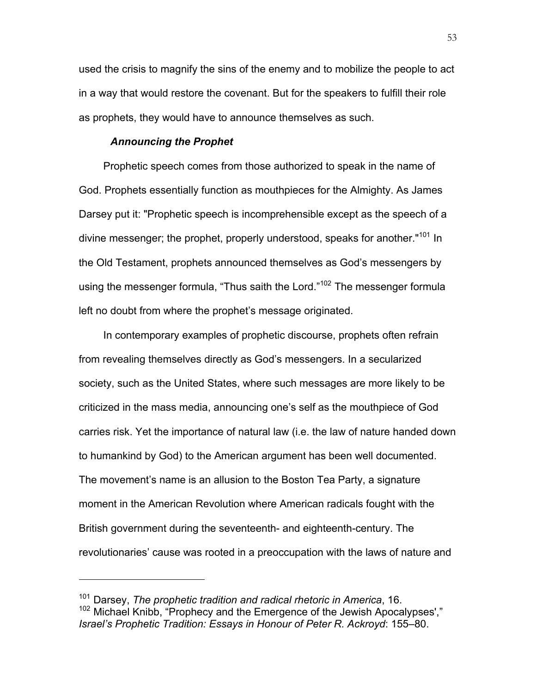used the crisis to magnify the sins of the enemy and to mobilize the people to act in a way that would restore the covenant. But for the speakers to fulfill their role as prophets, they would have to announce themselves as such.

## *Announcing the Prophet*

 $\overline{a}$ 

Prophetic speech comes from those authorized to speak in the name of God. Prophets essentially function as mouthpieces for the Almighty. As James Darsey put it: "Prophetic speech is incomprehensible except as the speech of a divine messenger; the prophet, properly understood, speaks for another."<sup>101</sup> In the Old Testament, prophets announced themselves as God's messengers by using the messenger formula, "Thus saith the Lord."<sup>102</sup> The messenger formula left no doubt from where the prophet's message originated.

In contemporary examples of prophetic discourse, prophets often refrain from revealing themselves directly as God's messengers. In a secularized society, such as the United States, where such messages are more likely to be criticized in the mass media, announcing one's self as the mouthpiece of God carries risk. Yet the importance of natural law (i.e. the law of nature handed down to humankind by God) to the American argument has been well documented. The movement's name is an allusion to the Boston Tea Party, a signature moment in the American Revolution where American radicals fought with the British government during the seventeenth- and eighteenth-century. The revolutionaries' cause was rooted in a preoccupation with the laws of nature and

<sup>101</sup> Darsey, *The prophetic tradition and radical rhetoric in America*, 16. 102 Michael Knibb, "Prophecy and the Emergence of the Jewish Apocalypses'," *Israel's Prophetic Tradition: Essays in Honour of Peter R. Ackroyd*: 155–80.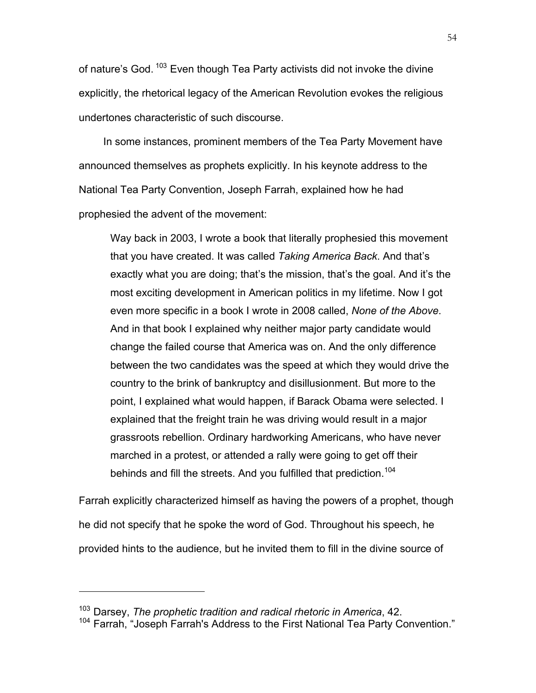of nature's God.<sup>103</sup> Even though Tea Party activists did not invoke the divine explicitly, the rhetorical legacy of the American Revolution evokes the religious undertones characteristic of such discourse.

In some instances, prominent members of the Tea Party Movement have announced themselves as prophets explicitly. In his keynote address to the National Tea Party Convention, Joseph Farrah, explained how he had prophesied the advent of the movement:

Way back in 2003, I wrote a book that literally prophesied this movement that you have created. It was called *Taking America Back*. And that's exactly what you are doing; that's the mission, that's the goal. And it's the most exciting development in American politics in my lifetime. Now I got even more specific in a book I wrote in 2008 called, *None of the Above*. And in that book I explained why neither major party candidate would change the failed course that America was on. And the only difference between the two candidates was the speed at which they would drive the country to the brink of bankruptcy and disillusionment. But more to the point, I explained what would happen, if Barack Obama were selected. I explained that the freight train he was driving would result in a major grassroots rebellion. Ordinary hardworking Americans, who have never marched in a protest, or attended a rally were going to get off their behinds and fill the streets. And you fulfilled that prediction.<sup>104</sup>

Farrah explicitly characterized himself as having the powers of a prophet, though he did not specify that he spoke the word of God. Throughout his speech, he provided hints to the audience, but he invited them to fill in the divine source of

<sup>103</sup> Darsey, *The prophetic tradition and radical rhetoric in America*, 42.

<sup>104</sup> Farrah, "Joseph Farrah's Address to the First National Tea Party Convention."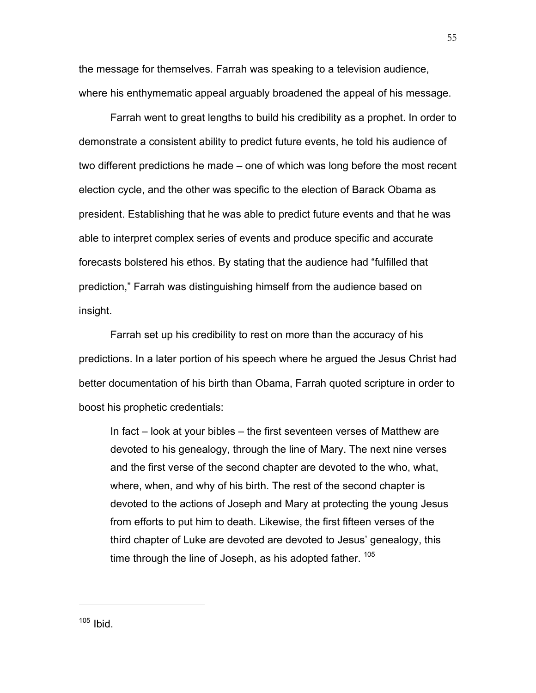the message for themselves. Farrah was speaking to a television audience, where his enthymematic appeal arguably broadened the appeal of his message.

Farrah went to great lengths to build his credibility as a prophet. In order to demonstrate a consistent ability to predict future events, he told his audience of two different predictions he made – one of which was long before the most recent election cycle, and the other was specific to the election of Barack Obama as president. Establishing that he was able to predict future events and that he was able to interpret complex series of events and produce specific and accurate forecasts bolstered his ethos. By stating that the audience had "fulfilled that prediction," Farrah was distinguishing himself from the audience based on insight.

Farrah set up his credibility to rest on more than the accuracy of his predictions. In a later portion of his speech where he argued the Jesus Christ had better documentation of his birth than Obama, Farrah quoted scripture in order to boost his prophetic credentials:

In fact – look at your bibles – the first seventeen verses of Matthew are devoted to his genealogy, through the line of Mary. The next nine verses and the first verse of the second chapter are devoted to the who, what, where, when, and why of his birth. The rest of the second chapter is devoted to the actions of Joseph and Mary at protecting the young Jesus from efforts to put him to death. Likewise, the first fifteen verses of the third chapter of Luke are devoted are devoted to Jesus' genealogy, this time through the line of Joseph, as his adopted father.  $105$ 

55

 $105$  Ibid.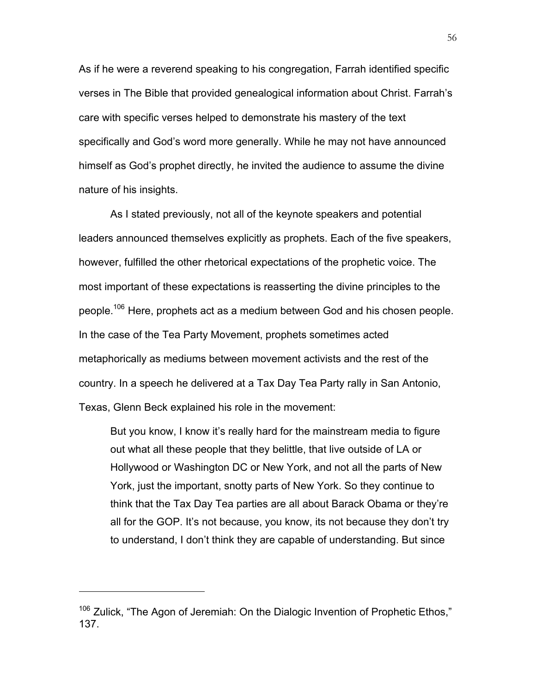As if he were a reverend speaking to his congregation, Farrah identified specific verses in The Bible that provided genealogical information about Christ. Farrah's care with specific verses helped to demonstrate his mastery of the text specifically and God's word more generally. While he may not have announced himself as God's prophet directly, he invited the audience to assume the divine nature of his insights.

As I stated previously, not all of the keynote speakers and potential leaders announced themselves explicitly as prophets. Each of the five speakers, however, fulfilled the other rhetorical expectations of the prophetic voice. The most important of these expectations is reasserting the divine principles to the people.<sup>106</sup> Here, prophets act as a medium between God and his chosen people. In the case of the Tea Party Movement, prophets sometimes acted metaphorically as mediums between movement activists and the rest of the country. In a speech he delivered at a Tax Day Tea Party rally in San Antonio, Texas, Glenn Beck explained his role in the movement:

But you know, I know it's really hard for the mainstream media to figure out what all these people that they belittle, that live outside of LA or Hollywood or Washington DC or New York, and not all the parts of New York, just the important, snotty parts of New York. So they continue to think that the Tax Day Tea parties are all about Barack Obama or they're all for the GOP. It's not because, you know, its not because they don't try to understand, I don't think they are capable of understanding. But since

<sup>&</sup>lt;sup>106</sup> Zulick, "The Agon of Jeremiah: On the Dialogic Invention of Prophetic Ethos," 137.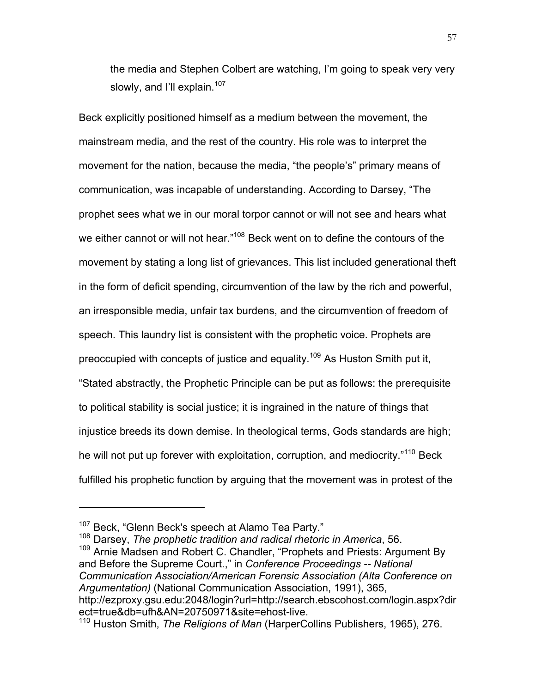the media and Stephen Colbert are watching, I'm going to speak very very slowly, and I'll explain. $107$ 

Beck explicitly positioned himself as a medium between the movement, the mainstream media, and the rest of the country. His role was to interpret the movement for the nation, because the media, "the people's" primary means of communication, was incapable of understanding. According to Darsey, "The prophet sees what we in our moral torpor cannot or will not see and hears what we either cannot or will not hear."<sup>108</sup> Beck went on to define the contours of the movement by stating a long list of grievances. This list included generational theft in the form of deficit spending, circumvention of the law by the rich and powerful, an irresponsible media, unfair tax burdens, and the circumvention of freedom of speech. This laundry list is consistent with the prophetic voice. Prophets are preoccupied with concepts of justice and equality.<sup>109</sup> As Huston Smith put it, "Stated abstractly, the Prophetic Principle can be put as follows: the prerequisite to political stability is social justice; it is ingrained in the nature of things that injustice breeds its down demise. In theological terms, Gods standards are high; he will not put up forever with exploitation, corruption, and mediocrity.<sup>"110</sup> Beck fulfilled his prophetic function by arguing that the movement was in protest of the

 $\overline{a}$ 

<sup>107</sup> Beck, "Glenn Beck's speech at Alamo Tea Party."<br><sup>108</sup> Darsey, *The prophetic tradition and radical rhetoric in America*, 56.

<sup>&</sup>lt;sup>109</sup> Arnie Madsen and Robert C. Chandler, "Prophets and Priests: Argument By and Before the Supreme Court.," in *Conference Proceedings -- National Communication Association/American Forensic Association (Alta Conference on Argumentation)* (National Communication Association, 1991), 365, http://ezproxy.gsu.edu:2048/login?url=http://search.ebscohost.com/login.aspx?dir ect=true&db=ufh&AN=20750971&site=ehost-live.

<sup>110</sup> Huston Smith, *The Religions of Man* (HarperCollins Publishers, 1965), 276.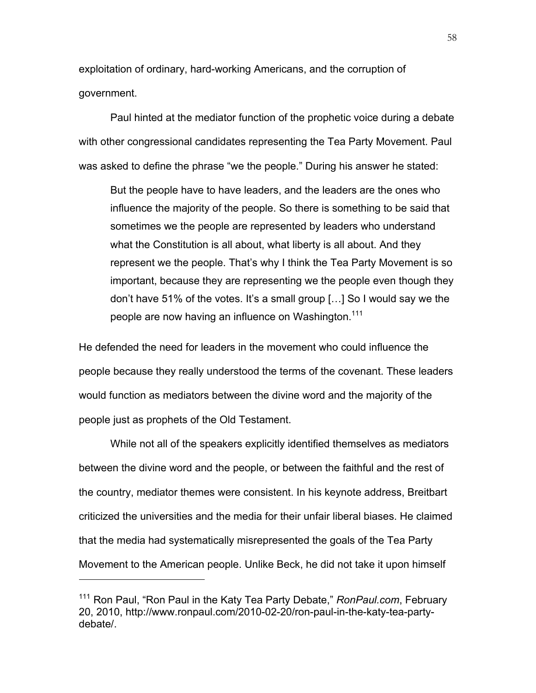exploitation of ordinary, hard-working Americans, and the corruption of government.

Paul hinted at the mediator function of the prophetic voice during a debate with other congressional candidates representing the Tea Party Movement. Paul was asked to define the phrase "we the people." During his answer he stated:

But the people have to have leaders, and the leaders are the ones who influence the majority of the people. So there is something to be said that sometimes we the people are represented by leaders who understand what the Constitution is all about, what liberty is all about. And they represent we the people. That's why I think the Tea Party Movement is so important, because they are representing we the people even though they don't have 51% of the votes. It's a small group […] So I would say we the people are now having an influence on Washington.<sup>111</sup>

He defended the need for leaders in the movement who could influence the people because they really understood the terms of the covenant. These leaders would function as mediators between the divine word and the majority of the people just as prophets of the Old Testament.

While not all of the speakers explicitly identified themselves as mediators between the divine word and the people, or between the faithful and the rest of the country, mediator themes were consistent. In his keynote address, Breitbart criticized the universities and the media for their unfair liberal biases. He claimed that the media had systematically misrepresented the goals of the Tea Party Movement to the American people. Unlike Beck, he did not take it upon himself

<sup>111</sup> Ron Paul, "Ron Paul in the Katy Tea Party Debate," *RonPaul.com*, February 20, 2010, http://www.ronpaul.com/2010-02-20/ron-paul-in-the-katy-tea-partydebate/.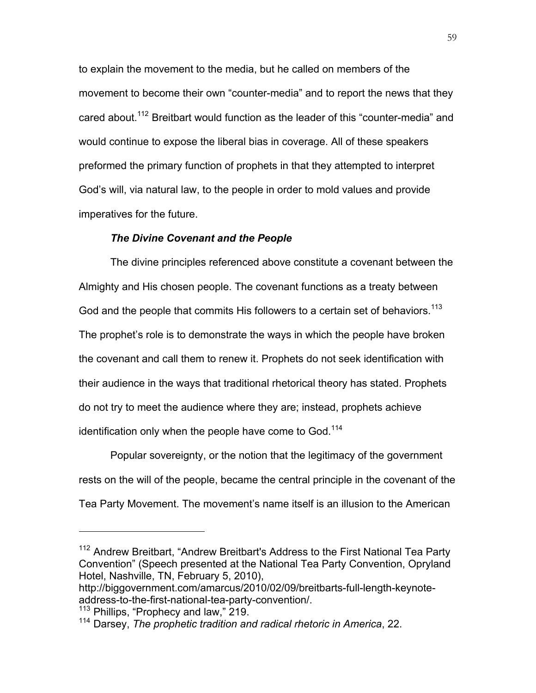to explain the movement to the media, but he called on members of the movement to become their own "counter-media" and to report the news that they cared about.<sup>112</sup> Breitbart would function as the leader of this "counter-media" and would continue to expose the liberal bias in coverage. All of these speakers preformed the primary function of prophets in that they attempted to interpret God's will, via natural law, to the people in order to mold values and provide imperatives for the future.

## *The Divine Covenant and the People*

The divine principles referenced above constitute a covenant between the Almighty and His chosen people. The covenant functions as a treaty between God and the people that commits His followers to a certain set of behaviors.<sup>113</sup> The prophet's role is to demonstrate the ways in which the people have broken the covenant and call them to renew it. Prophets do not seek identification with their audience in the ways that traditional rhetorical theory has stated. Prophets do not try to meet the audience where they are; instead, prophets achieve identification only when the people have come to God.<sup>114</sup>

Popular sovereignty, or the notion that the legitimacy of the government rests on the will of the people, became the central principle in the covenant of the Tea Party Movement. The movement's name itself is an illusion to the American

<sup>&</sup>lt;sup>112</sup> Andrew Breitbart, "Andrew Breitbart's Address to the First National Tea Party Convention" (Speech presented at the National Tea Party Convention, Opryland Hotel, Nashville, TN, February 5, 2010),

http://biggovernment.com/amarcus/2010/02/09/breitbarts-full-length-keynoteaddress-to-the-first-national-tea-party-convention/.

<sup>&</sup>lt;sup>113</sup> Phillips, "Prophecy and law," 219.

<sup>114</sup> Darsey, *The prophetic tradition and radical rhetoric in America*, 22.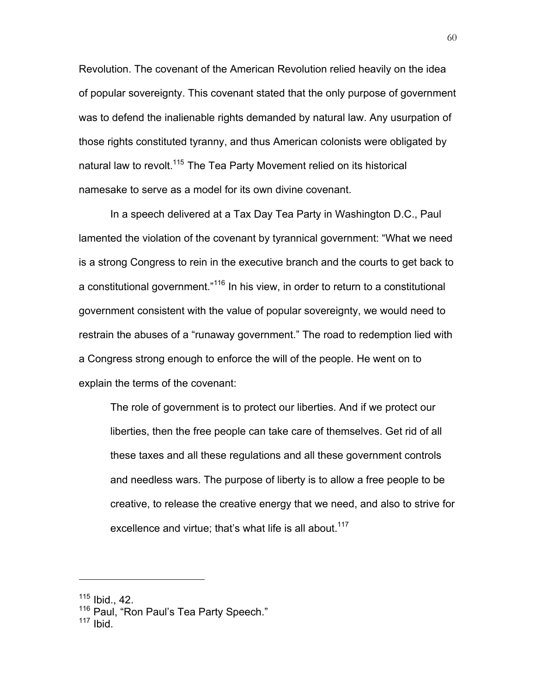Revolution. The covenant of the American Revolution relied heavily on the idea of popular sovereignty. This covenant stated that the only purpose of government was to defend the inalienable rights demanded by natural law. Any usurpation of those rights constituted tyranny, and thus American colonists were obligated by natural law to revolt.<sup>115</sup> The Tea Party Movement relied on its historical namesake to serve as a model for its own divine covenant.

In a speech delivered at a Tax Day Tea Party in Washington D.C., Paul lamented the violation of the covenant by tyrannical government: "What we need is a strong Congress to rein in the executive branch and the courts to get back to a constitutional government."<sup>116</sup> In his view, in order to return to a constitutional government consistent with the value of popular sovereignty, we would need to restrain the abuses of a "runaway government." The road to redemption lied with a Congress strong enough to enforce the will of the people. He went on to explain the terms of the covenant:

The role of government is to protect our liberties. And if we protect our liberties, then the free people can take care of themselves. Get rid of all these taxes and all these regulations and all these government controls and needless wars. The purpose of liberty is to allow a free people to be creative, to release the creative energy that we need, and also to strive for excellence and virtue; that's what life is all about.<sup>117</sup>

 $115$  Ibid., 42.

<sup>&</sup>lt;sup>116</sup> Paul, "Ron Paul's Tea Party Speech."

 $117$  Ibid.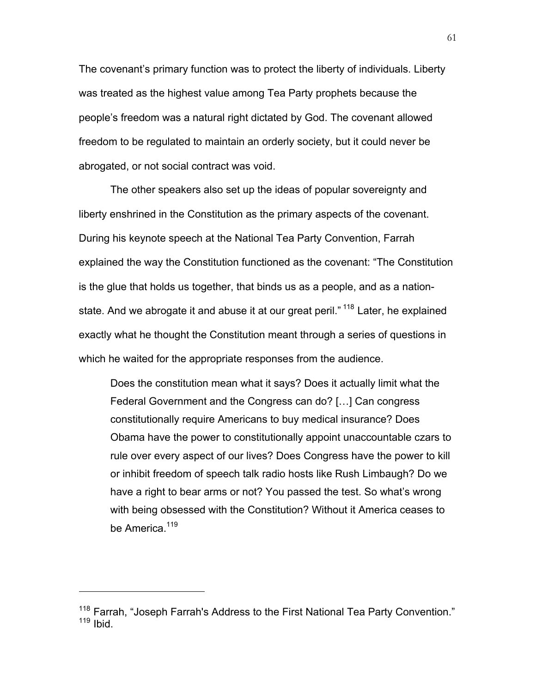The covenant's primary function was to protect the liberty of individuals. Liberty was treated as the highest value among Tea Party prophets because the people's freedom was a natural right dictated by God. The covenant allowed freedom to be regulated to maintain an orderly society, but it could never be abrogated, or not social contract was void.

The other speakers also set up the ideas of popular sovereignty and liberty enshrined in the Constitution as the primary aspects of the covenant. During his keynote speech at the National Tea Party Convention, Farrah explained the way the Constitution functioned as the covenant: "The Constitution is the glue that holds us together, that binds us as a people, and as a nationstate. And we abrogate it and abuse it at our great peril."<sup>118</sup> Later, he explained exactly what he thought the Constitution meant through a series of questions in which he waited for the appropriate responses from the audience.

Does the constitution mean what it says? Does it actually limit what the Federal Government and the Congress can do? […] Can congress constitutionally require Americans to buy medical insurance? Does Obama have the power to constitutionally appoint unaccountable czars to rule over every aspect of our lives? Does Congress have the power to kill or inhibit freedom of speech talk radio hosts like Rush Limbaugh? Do we have a right to bear arms or not? You passed the test. So what's wrong with being obsessed with the Constitution? Without it America ceases to be America.<sup>119</sup>

<sup>&</sup>lt;sup>118</sup> Farrah, "Joseph Farrah's Address to the First National Tea Party Convention."  $119$  Ibid.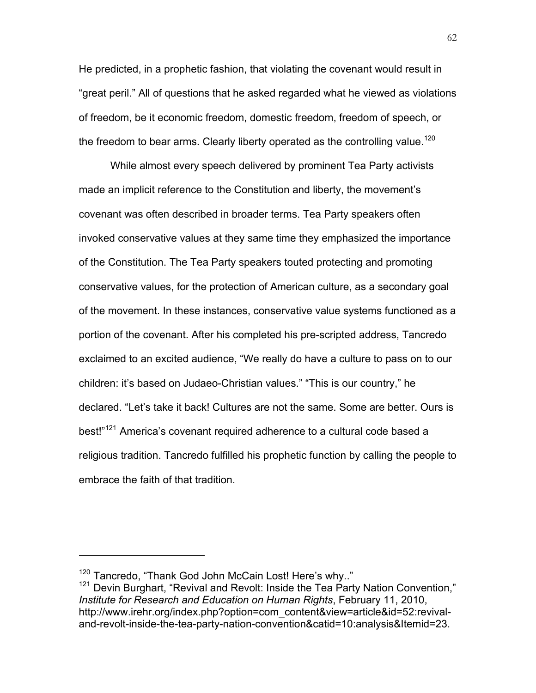He predicted, in a prophetic fashion, that violating the covenant would result in "great peril." All of questions that he asked regarded what he viewed as violations of freedom, be it economic freedom, domestic freedom, freedom of speech, or the freedom to bear arms. Clearly liberty operated as the controlling value.<sup>120</sup>

While almost every speech delivered by prominent Tea Party activists made an implicit reference to the Constitution and liberty, the movement's covenant was often described in broader terms. Tea Party speakers often invoked conservative values at they same time they emphasized the importance of the Constitution. The Tea Party speakers touted protecting and promoting conservative values, for the protection of American culture, as a secondary goal of the movement. In these instances, conservative value systems functioned as a portion of the covenant. After his completed his pre-scripted address, Tancredo exclaimed to an excited audience, "We really do have a culture to pass on to our children: it's based on Judaeo-Christian values." "This is our country," he declared. "Let's take it back! Cultures are not the same. Some are better. Ours is best!"<sup>121</sup> America's covenant required adherence to a cultural code based a religious tradition. Tancredo fulfilled his prophetic function by calling the people to embrace the faith of that tradition.

<sup>&</sup>lt;sup>120</sup> Tancredo, "Thank God John McCain Lost! Here's why.."<br><sup>121</sup> Devin Burghart, "Revival and Revolt: Inside the Tea Party Nation Convention," *Institute for Research and Education on Human Rights*, February 11, 2010, http://www.irehr.org/index.php?option=com\_content&view=article&id=52:revivaland-revolt-inside-the-tea-party-nation-convention&catid=10:analysis&Itemid=23.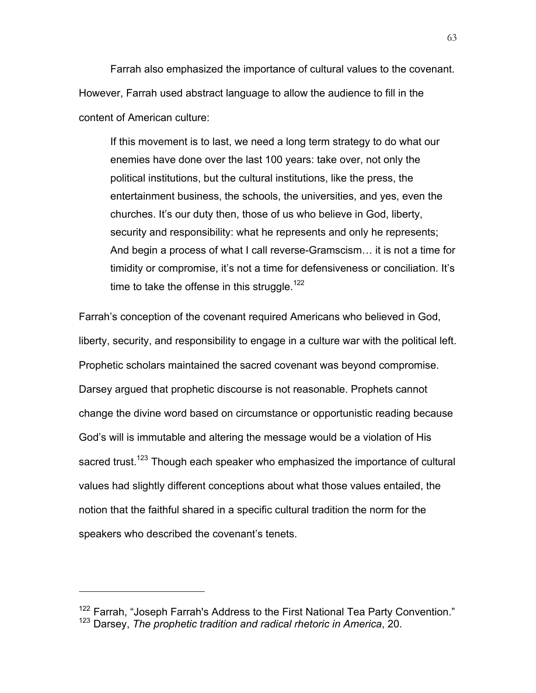Farrah also emphasized the importance of cultural values to the covenant. However, Farrah used abstract language to allow the audience to fill in the content of American culture:

If this movement is to last, we need a long term strategy to do what our enemies have done over the last 100 years: take over, not only the political institutions, but the cultural institutions, like the press, the entertainment business, the schools, the universities, and yes, even the churches. It's our duty then, those of us who believe in God, liberty, security and responsibility: what he represents and only he represents; And begin a process of what I call reverse-Gramscism… it is not a time for timidity or compromise, it's not a time for defensiveness or conciliation. It's time to take the offense in this struggle.<sup>122</sup>

Farrah's conception of the covenant required Americans who believed in God, liberty, security, and responsibility to engage in a culture war with the political left. Prophetic scholars maintained the sacred covenant was beyond compromise. Darsey argued that prophetic discourse is not reasonable. Prophets cannot change the divine word based on circumstance or opportunistic reading because God's will is immutable and altering the message would be a violation of His sacred trust.<sup>123</sup> Though each speaker who emphasized the importance of cultural values had slightly different conceptions about what those values entailed, the notion that the faithful shared in a specific cultural tradition the norm for the speakers who described the covenant's tenets.

<sup>&</sup>lt;sup>122</sup> Farrah, "Joseph Farrah's Address to the First National Tea Party Convention." <sup>123</sup> Darsey, *The prophetic tradition and radical rhetoric in America*, 20.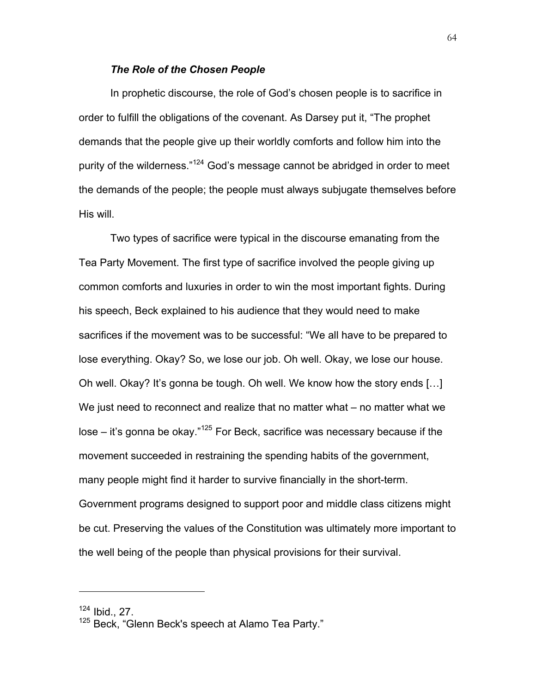## *The Role of the Chosen People*

In prophetic discourse, the role of God's chosen people is to sacrifice in order to fulfill the obligations of the covenant. As Darsey put it, "The prophet demands that the people give up their worldly comforts and follow him into the purity of the wilderness."<sup>124</sup> God's message cannot be abridged in order to meet the demands of the people; the people must always subjugate themselves before His will.

Two types of sacrifice were typical in the discourse emanating from the Tea Party Movement. The first type of sacrifice involved the people giving up common comforts and luxuries in order to win the most important fights. During his speech, Beck explained to his audience that they would need to make sacrifices if the movement was to be successful: "We all have to be prepared to lose everything. Okay? So, we lose our job. Oh well. Okay, we lose our house. Oh well. Okay? It's gonna be tough. Oh well. We know how the story ends […] We just need to reconnect and realize that no matter what – no matter what we lose – it's gonna be okay."<sup>125</sup> For Beck, sacrifice was necessary because if the movement succeeded in restraining the spending habits of the government, many people might find it harder to survive financially in the short-term. Government programs designed to support poor and middle class citizens might be cut. Preserving the values of the Constitution was ultimately more important to the well being of the people than physical provisions for their survival.

 $124$  Ibid., 27.

<sup>125</sup> Beck, "Glenn Beck's speech at Alamo Tea Party."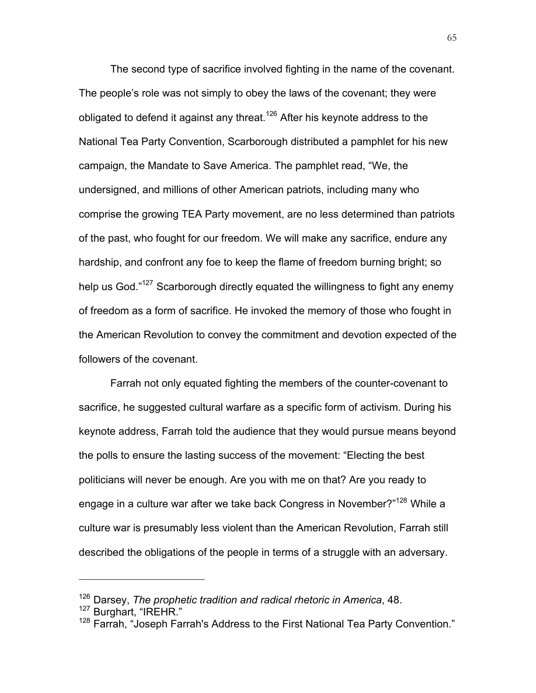The second type of sacrifice involved fighting in the name of the covenant. The people's role was not simply to obey the laws of the covenant; they were obligated to defend it against any threat.<sup>126</sup> After his keynote address to the National Tea Party Convention, Scarborough distributed a pamphlet for his new campaign, the Mandate to Save America. The pamphlet read, "We, the undersigned, and millions of other American patriots, including many who comprise the growing TEA Party movement, are no less determined than patriots of the past, who fought for our freedom. We will make any sacrifice, endure any hardship, and confront any foe to keep the flame of freedom burning bright; so help us God."<sup>127</sup> Scarborough directly equated the willingness to fight any enemy of freedom as a form of sacrifice. He invoked the memory of those who fought in the American Revolution to convey the commitment and devotion expected of the followers of the covenant.

Farrah not only equated fighting the members of the counter-covenant to sacrifice, he suggested cultural warfare as a specific form of activism. During his keynote address, Farrah told the audience that they would pursue means beyond the polls to ensure the lasting success of the movement: "Electing the best politicians will never be enough. Are you with me on that? Are you ready to engage in a culture war after we take back Congress in November?"<sup>128</sup> While a culture war is presumably less violent than the American Revolution, Farrah still described the obligations of the people in terms of a struggle with an adversary.

<sup>126</sup> Darsey, *The prophetic tradition and radical rhetoric in America*, 48.

<sup>127</sup> Burghart, "IREHR."

<sup>&</sup>lt;sup>128</sup> Farrah, "Joseph Farrah's Address to the First National Tea Party Convention."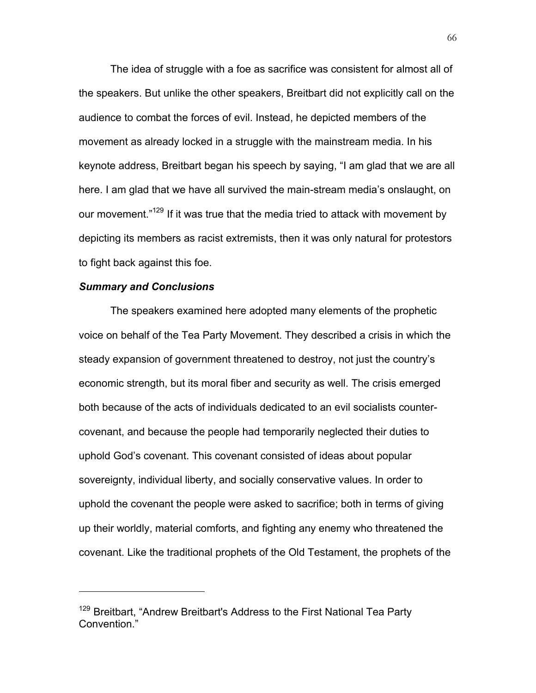The idea of struggle with a foe as sacrifice was consistent for almost all of the speakers. But unlike the other speakers, Breitbart did not explicitly call on the audience to combat the forces of evil. Instead, he depicted members of the movement as already locked in a struggle with the mainstream media. In his keynote address, Breitbart began his speech by saying, "I am glad that we are all here. I am glad that we have all survived the main-stream media's onslaught, on our movement."<sup>129</sup> If it was true that the media tried to attack with movement by depicting its members as racist extremists, then it was only natural for protestors to fight back against this foe.

#### *Summary and Conclusions*

 $\overline{a}$ 

The speakers examined here adopted many elements of the prophetic voice on behalf of the Tea Party Movement. They described a crisis in which the steady expansion of government threatened to destroy, not just the country's economic strength, but its moral fiber and security as well. The crisis emerged both because of the acts of individuals dedicated to an evil socialists countercovenant, and because the people had temporarily neglected their duties to uphold God's covenant. This covenant consisted of ideas about popular sovereignty, individual liberty, and socially conservative values. In order to uphold the covenant the people were asked to sacrifice; both in terms of giving up their worldly, material comforts, and fighting any enemy who threatened the covenant. Like the traditional prophets of the Old Testament, the prophets of the

<sup>&</sup>lt;sup>129</sup> Breitbart, "Andrew Breitbart's Address to the First National Tea Party Convention."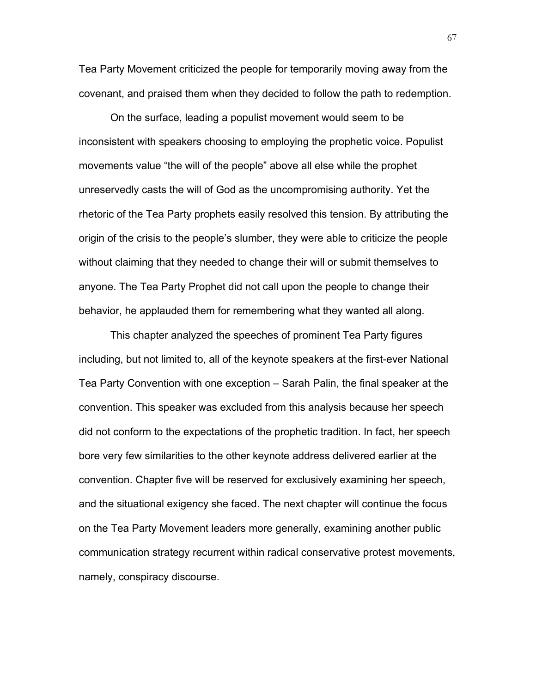Tea Party Movement criticized the people for temporarily moving away from the covenant, and praised them when they decided to follow the path to redemption.

On the surface, leading a populist movement would seem to be inconsistent with speakers choosing to employing the prophetic voice. Populist movements value "the will of the people" above all else while the prophet unreservedly casts the will of God as the uncompromising authority. Yet the rhetoric of the Tea Party prophets easily resolved this tension. By attributing the origin of the crisis to the people's slumber, they were able to criticize the people without claiming that they needed to change their will or submit themselves to anyone. The Tea Party Prophet did not call upon the people to change their behavior, he applauded them for remembering what they wanted all along.

This chapter analyzed the speeches of prominent Tea Party figures including, but not limited to, all of the keynote speakers at the first-ever National Tea Party Convention with one exception – Sarah Palin, the final speaker at the convention. This speaker was excluded from this analysis because her speech did not conform to the expectations of the prophetic tradition. In fact, her speech bore very few similarities to the other keynote address delivered earlier at the convention. Chapter five will be reserved for exclusively examining her speech, and the situational exigency she faced. The next chapter will continue the focus on the Tea Party Movement leaders more generally, examining another public communication strategy recurrent within radical conservative protest movements, namely, conspiracy discourse.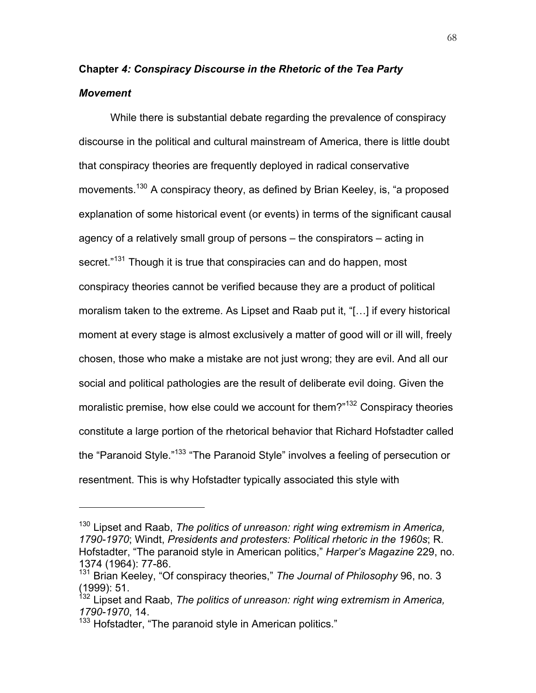# **Chapter** *4: Conspiracy Discourse in the Rhetoric of the Tea Party Movement*

While there is substantial debate regarding the prevalence of conspiracy discourse in the political and cultural mainstream of America, there is little doubt that conspiracy theories are frequently deployed in radical conservative movements.<sup>130</sup> A conspiracy theory, as defined by Brian Keeley, is, "a proposed explanation of some historical event (or events) in terms of the significant causal agency of a relatively small group of persons – the conspirators – acting in secret."<sup>131</sup> Though it is true that conspiracies can and do happen, most conspiracy theories cannot be verified because they are a product of political moralism taken to the extreme. As Lipset and Raab put it, "[…] if every historical moment at every stage is almost exclusively a matter of good will or ill will, freely chosen, those who make a mistake are not just wrong; they are evil. And all our social and political pathologies are the result of deliberate evil doing. Given the moralistic premise, how else could we account for them?"<sup>132</sup> Conspiracy theories constitute a large portion of the rhetorical behavior that Richard Hofstadter called the "Paranoid Style."<sup>133</sup> "The Paranoid Style" involves a feeling of persecution or resentment. This is why Hofstadter typically associated this style with

<sup>130</sup> Lipset and Raab, *The politics of unreason: right wing extremism in America, 1790-1970*; Windt, *Presidents and protesters: Political rhetoric in the 1960s*; R. Hofstadter, "The paranoid style in American politics," *Harper's Magazine* 229, no. 1374 (1964): 77-86.

<sup>&</sup>lt;sup>131</sup> Brian Keeley, "Of conspiracy theories," The Journal of Philosophy 96, no. 3 (1999): 51.

<sup>&</sup>lt;sup>132</sup> Lipset and Raab, *The politics of unreason: right wing extremism in America, 1790-1970*, 14.

<sup>&</sup>lt;sup>133</sup> Hofstadter, "The paranoid style in American politics."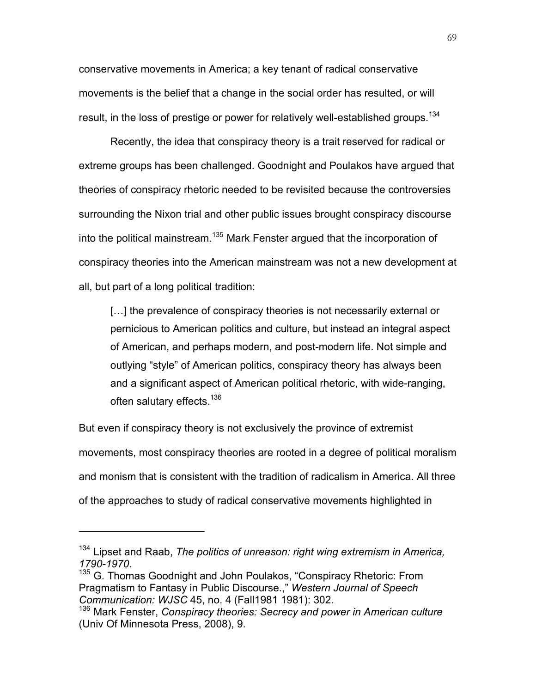conservative movements in America; a key tenant of radical conservative movements is the belief that a change in the social order has resulted, or will result, in the loss of prestige or power for relatively well-established groups.<sup>134</sup>

Recently, the idea that conspiracy theory is a trait reserved for radical or extreme groups has been challenged. Goodnight and Poulakos have argued that theories of conspiracy rhetoric needed to be revisited because the controversies surrounding the Nixon trial and other public issues brought conspiracy discourse into the political mainstream.<sup>135</sup> Mark Fenster argued that the incorporation of conspiracy theories into the American mainstream was not a new development at all, but part of a long political tradition:

[...] the prevalence of conspiracy theories is not necessarily external or pernicious to American politics and culture, but instead an integral aspect of American, and perhaps modern, and post-modern life. Not simple and outlying "style" of American politics, conspiracy theory has always been and a significant aspect of American political rhetoric, with wide-ranging, often salutary effects.<sup>136</sup>

But even if conspiracy theory is not exclusively the province of extremist movements, most conspiracy theories are rooted in a degree of political moralism and monism that is consistent with the tradition of radicalism in America. All three of the approaches to study of radical conservative movements highlighted in

<sup>134</sup> Lipset and Raab, *The politics of unreason: right wing extremism in America,*  1790-1970.<br><sup>135</sup> G. Thomas Goodnight and John Poulakos, "Conspiracy Rhetoric: From

Pragmatism to Fantasy in Public Discourse.," *Western Journal of Speech Communication: WJSC 45, no. 4 (Fall1981 1981): 302.* 1303.<br><sup>136</sup> Mark Fenster, *Conspiracy theories: Secrecy and power in American culture* 

<sup>(</sup>Univ Of Minnesota Press, 2008), 9.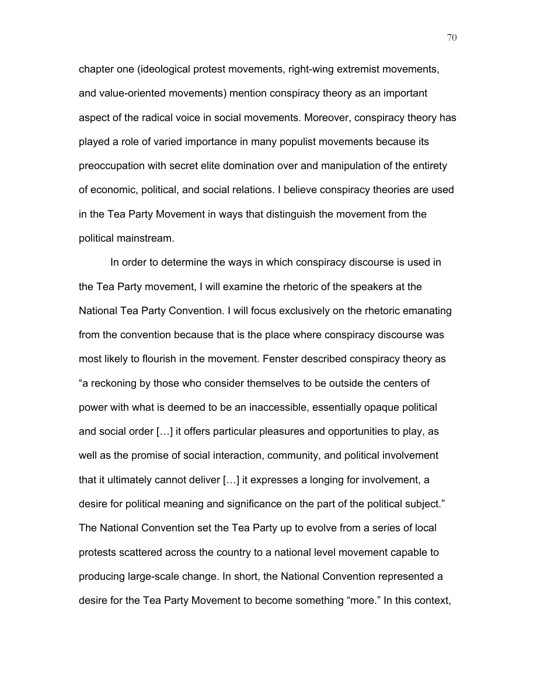chapter one (ideological protest movements, right-wing extremist movements, and value-oriented movements) mention conspiracy theory as an important aspect of the radical voice in social movements. Moreover, conspiracy theory has played a role of varied importance in many populist movements because its preoccupation with secret elite domination over and manipulation of the entirety of economic, political, and social relations. I believe conspiracy theories are used in the Tea Party Movement in ways that distinguish the movement from the political mainstream.

In order to determine the ways in which conspiracy discourse is used in the Tea Party movement, I will examine the rhetoric of the speakers at the National Tea Party Convention. I will focus exclusively on the rhetoric emanating from the convention because that is the place where conspiracy discourse was most likely to flourish in the movement. Fenster described conspiracy theory as "a reckoning by those who consider themselves to be outside the centers of power with what is deemed to be an inaccessible, essentially opaque political and social order […] it offers particular pleasures and opportunities to play, as well as the promise of social interaction, community, and political involvement that it ultimately cannot deliver […] it expresses a longing for involvement, a desire for political meaning and significance on the part of the political subject." The National Convention set the Tea Party up to evolve from a series of local protests scattered across the country to a national level movement capable to producing large-scale change. In short, the National Convention represented a desire for the Tea Party Movement to become something "more." In this context,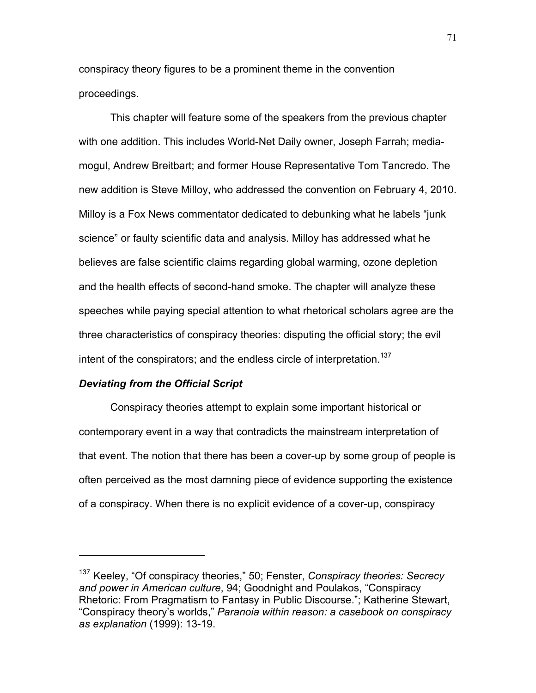conspiracy theory figures to be a prominent theme in the convention proceedings.

This chapter will feature some of the speakers from the previous chapter with one addition. This includes World-Net Daily owner, Joseph Farrah; mediamogul, Andrew Breitbart; and former House Representative Tom Tancredo. The new addition is Steve Milloy, who addressed the convention on February 4, 2010. Milloy is a Fox News commentator dedicated to debunking what he labels "junk science" or faulty scientific data and analysis. Milloy has addressed what he believes are false scientific claims regarding global warming, ozone depletion and the health effects of second-hand smoke. The chapter will analyze these speeches while paying special attention to what rhetorical scholars agree are the three characteristics of conspiracy theories: disputing the official story; the evil intent of the conspirators; and the endless circle of interpretation.<sup>137</sup>

# *Deviating from the Official Script*

 $\overline{a}$ 

Conspiracy theories attempt to explain some important historical or contemporary event in a way that contradicts the mainstream interpretation of that event. The notion that there has been a cover-up by some group of people is often perceived as the most damning piece of evidence supporting the existence of a conspiracy. When there is no explicit evidence of a cover-up, conspiracy

<sup>137</sup> Keeley, "Of conspiracy theories," 50; Fenster, *Conspiracy theories: Secrecy and power in American culture*, 94; Goodnight and Poulakos, "Conspiracy Rhetoric: From Pragmatism to Fantasy in Public Discourse."; Katherine Stewart, "Conspiracy theory's worlds," *Paranoia within reason: a casebook on conspiracy as explanation* (1999): 13-19.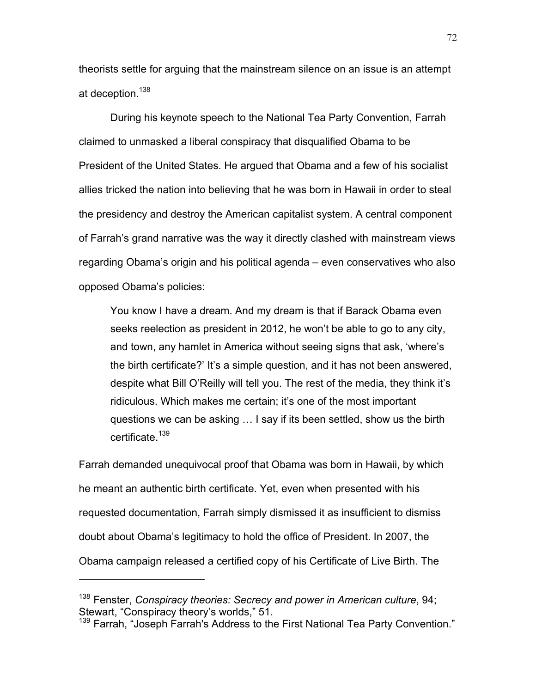theorists settle for arguing that the mainstream silence on an issue is an attempt at deception.<sup>138</sup>

During his keynote speech to the National Tea Party Convention, Farrah claimed to unmasked a liberal conspiracy that disqualified Obama to be President of the United States. He argued that Obama and a few of his socialist allies tricked the nation into believing that he was born in Hawaii in order to steal the presidency and destroy the American capitalist system. A central component of Farrah's grand narrative was the way it directly clashed with mainstream views regarding Obama's origin and his political agenda – even conservatives who also opposed Obama's policies:

You know I have a dream. And my dream is that if Barack Obama even seeks reelection as president in 2012, he won't be able to go to any city, and town, any hamlet in America without seeing signs that ask, 'where's the birth certificate?' It's a simple question, and it has not been answered, despite what Bill O'Reilly will tell you. The rest of the media, they think it's ridiculous. Which makes me certain; it's one of the most important questions we can be asking … I say if its been settled, show us the birth certificate.<sup>139</sup>

Farrah demanded unequivocal proof that Obama was born in Hawaii, by which he meant an authentic birth certificate. Yet, even when presented with his requested documentation, Farrah simply dismissed it as insufficient to dismiss doubt about Obama's legitimacy to hold the office of President. In 2007, the Obama campaign released a certified copy of his Certificate of Live Birth. The

<sup>138</sup> Fenster, *Conspiracy theories: Secrecy and power in American culture*, 94; Stewart, "Conspiracy theory's worlds," 51.

<sup>&</sup>lt;sup>139</sup> Farrah, "Joseph Farrah's Address to the First National Tea Party Convention."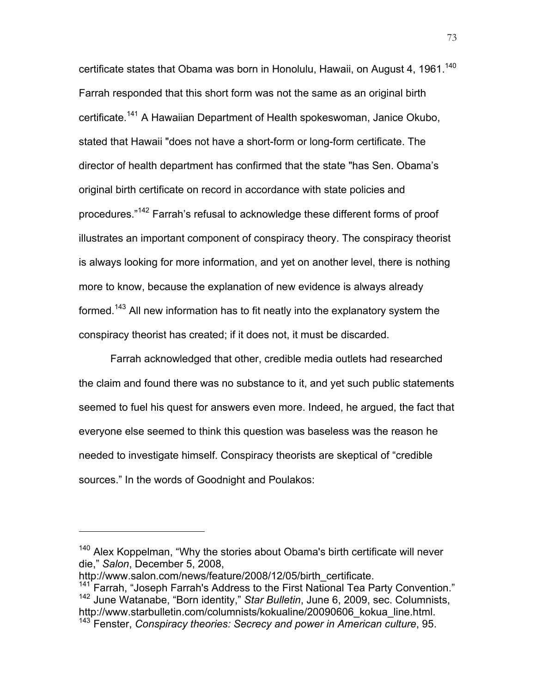certificate states that Obama was born in Honolulu, Hawaii, on August 4, 1961.<sup>140</sup> Farrah responded that this short form was not the same as an original birth certificate.<sup>141</sup> A Hawaiian Department of Health spokeswoman, Janice Okubo, stated that Hawaii "does not have a short-form or long-form certificate. The director of health department has confirmed that the state "has Sen. Obama's original birth certificate on record in accordance with state policies and procedures."142 Farrah's refusal to acknowledge these different forms of proof illustrates an important component of conspiracy theory. The conspiracy theorist is always looking for more information, and yet on another level, there is nothing more to know, because the explanation of new evidence is always already formed.<sup>143</sup> All new information has to fit neatly into the explanatory system the conspiracy theorist has created; if it does not, it must be discarded.

Farrah acknowledged that other, credible media outlets had researched the claim and found there was no substance to it, and yet such public statements seemed to fuel his quest for answers even more. Indeed, he argued, the fact that everyone else seemed to think this question was baseless was the reason he needed to investigate himself. Conspiracy theorists are skeptical of "credible sources." In the words of Goodnight and Poulakos:

http://www.salon.com/news/feature/2008/12/05/birth\_certificate.

<sup>&</sup>lt;sup>140</sup> Alex Koppelman, "Why the stories about Obama's birth certificate will never die," *Salon*, December 5, 2008,

 $141$  Farrah, "Joseph Farrah's Address to the First National Tea Party Convention." <sup>142</sup> June Watanabe, "Born identity," *Star Bulletin*, June 6, 2009, sec. Columnists, http://www.starbulletin.com/columnists/kokualine/20090606\_kokua\_line.html.

<sup>143</sup> Fenster, *Conspiracy theories: Secrecy and power in American culture*, 95.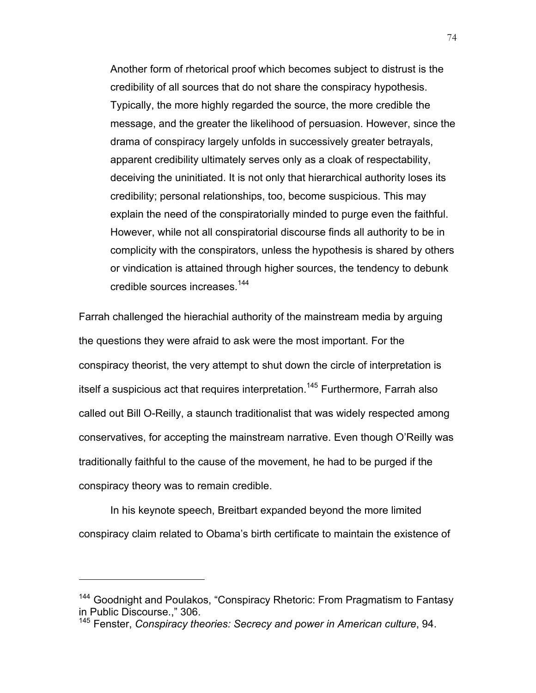Another form of rhetorical proof which becomes subject to distrust is the credibility of all sources that do not share the conspiracy hypothesis. Typically, the more highly regarded the source, the more credible the message, and the greater the likelihood of persuasion. However, since the drama of conspiracy largely unfolds in successively greater betrayals, apparent credibility ultimately serves only as a cloak of respectability, deceiving the uninitiated. It is not only that hierarchical authority loses its credibility; personal relationships, too, become suspicious. This may explain the need of the conspiratorially minded to purge even the faithful. However, while not all conspiratorial discourse finds all authority to be in complicity with the conspirators, unless the hypothesis is shared by others or vindication is attained through higher sources, the tendency to debunk credible sources increases.<sup>144</sup>

Farrah challenged the hierachial authority of the mainstream media by arguing the questions they were afraid to ask were the most important. For the conspiracy theorist, the very attempt to shut down the circle of interpretation is itself a suspicious act that requires interpretation.<sup>145</sup> Furthermore, Farrah also called out Bill O-Reilly, a staunch traditionalist that was widely respected among conservatives, for accepting the mainstream narrative. Even though O'Reilly was traditionally faithful to the cause of the movement, he had to be purged if the conspiracy theory was to remain credible.

In his keynote speech, Breitbart expanded beyond the more limited conspiracy claim related to Obama's birth certificate to maintain the existence of

<sup>&</sup>lt;sup>144</sup> Goodnight and Poulakos, "Conspiracy Rhetoric: From Pragmatism to Fantasy in Public Discourse.," 306.

<sup>145</sup> Fenster, *Conspiracy theories: Secrecy and power in American culture*, 94.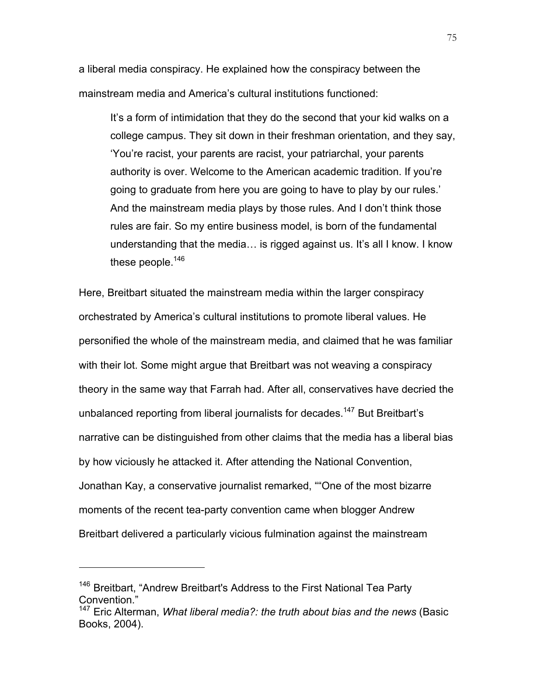a liberal media conspiracy. He explained how the conspiracy between the mainstream media and America's cultural institutions functioned:

It's a form of intimidation that they do the second that your kid walks on a college campus. They sit down in their freshman orientation, and they say, 'You're racist, your parents are racist, your patriarchal, your parents authority is over. Welcome to the American academic tradition. If you're going to graduate from here you are going to have to play by our rules.' And the mainstream media plays by those rules. And I don't think those rules are fair. So my entire business model, is born of the fundamental understanding that the media… is rigged against us. It's all I know. I know these people.<sup>146</sup>

Here, Breitbart situated the mainstream media within the larger conspiracy orchestrated by America's cultural institutions to promote liberal values. He personified the whole of the mainstream media, and claimed that he was familiar with their lot. Some might argue that Breitbart was not weaving a conspiracy theory in the same way that Farrah had. After all, conservatives have decried the unbalanced reporting from liberal journalists for decades.<sup>147</sup> But Breitbart's narrative can be distinguished from other claims that the media has a liberal bias by how viciously he attacked it. After attending the National Convention, Jonathan Kay, a conservative journalist remarked, ""One of the most bizarre moments of the recent tea-party convention came when blogger Andrew Breitbart delivered a particularly vicious fulmination against the mainstream

<sup>&</sup>lt;sup>146</sup> Breitbart, "Andrew Breitbart's Address to the First National Tea Party Convention."

<sup>147</sup> Eric Alterman, *What liberal media?: the truth about bias and the news* (Basic Books, 2004).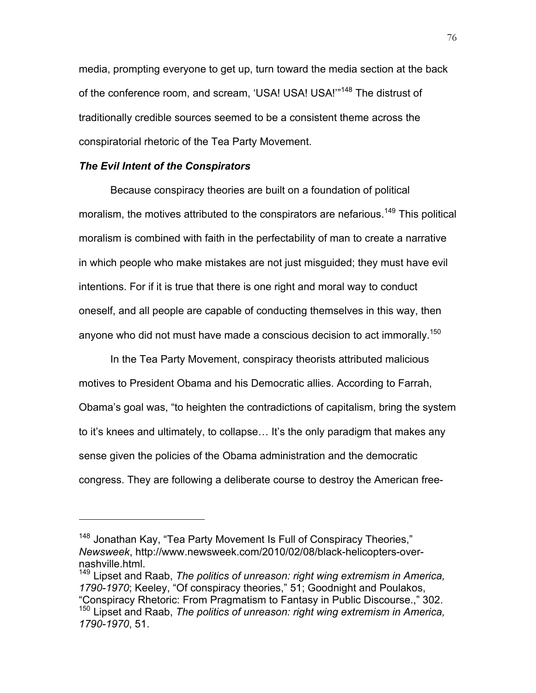media, prompting everyone to get up, turn toward the media section at the back of the conference room, and scream, 'USA! USA! USA!"<sup>148</sup> The distrust of traditionally credible sources seemed to be a consistent theme across the conspiratorial rhetoric of the Tea Party Movement.

## *The Evil Intent of the Conspirators*

 $\overline{a}$ 

Because conspiracy theories are built on a foundation of political moralism, the motives attributed to the conspirators are nefarious.<sup>149</sup> This political moralism is combined with faith in the perfectability of man to create a narrative in which people who make mistakes are not just misguided; they must have evil intentions. For if it is true that there is one right and moral way to conduct oneself, and all people are capable of conducting themselves in this way, then anyone who did not must have made a conscious decision to act immorally.<sup>150</sup>

In the Tea Party Movement, conspiracy theorists attributed malicious motives to President Obama and his Democratic allies. According to Farrah, Obama's goal was, "to heighten the contradictions of capitalism, bring the system to it's knees and ultimately, to collapse… It's the only paradigm that makes any sense given the policies of the Obama administration and the democratic congress. They are following a deliberate course to destroy the American free-

<sup>&</sup>lt;sup>148</sup> Jonathan Kay, "Tea Party Movement Is Full of Conspiracy Theories," *Newsweek*, http://www.newsweek.com/2010/02/08/black-helicopters-overnashville.html.

<sup>149</sup> Lipset and Raab, *The politics of unreason: right wing extremism in America, 1790-1970*; Keeley, "Of conspiracy theories," 51; Goodnight and Poulakos, "Conspiracy Rhetoric: From Pragmatism to Fantasy in Public Discourse.," 302. <sup>150</sup> Lipset and Raab, *The politics of unreason: right wing extremism in America, 1790-1970*, 51.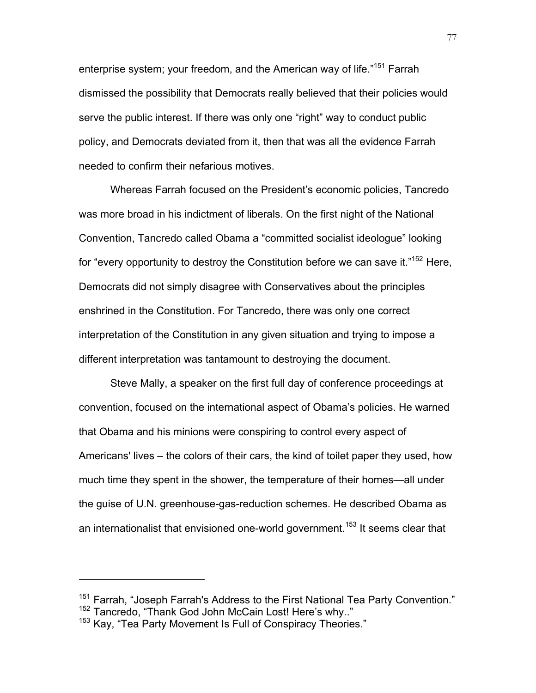enterprise system; your freedom, and the American way of life."<sup>151</sup> Farrah dismissed the possibility that Democrats really believed that their policies would serve the public interest. If there was only one "right" way to conduct public policy, and Democrats deviated from it, then that was all the evidence Farrah needed to confirm their nefarious motives.

Whereas Farrah focused on the President's economic policies, Tancredo was more broad in his indictment of liberals. On the first night of the National Convention, Tancredo called Obama a "committed socialist ideologue" looking for "every opportunity to destroy the Constitution before we can save it."<sup>152</sup> Here, Democrats did not simply disagree with Conservatives about the principles enshrined in the Constitution. For Tancredo, there was only one correct interpretation of the Constitution in any given situation and trying to impose a different interpretation was tantamount to destroying the document.

Steve Mally, a speaker on the first full day of conference proceedings at convention, focused on the international aspect of Obama's policies. He warned that Obama and his minions were conspiring to control every aspect of Americans' lives – the colors of their cars, the kind of toilet paper they used, how much time they spent in the shower, the temperature of their homes—all under the guise of U.N. greenhouse-gas-reduction schemes. He described Obama as an internationalist that envisioned one-world government.<sup>153</sup> It seems clear that

<sup>&</sup>lt;sup>151</sup> Farrah, "Joseph Farrah's Address to the First National Tea Party Convention."<br><sup>152</sup> Tancredo, "Thank God John McCain Lost! Here's why.."

<sup>&</sup>lt;sup>153</sup> Kay, "Tea Party Movement Is Full of Conspiracy Theories."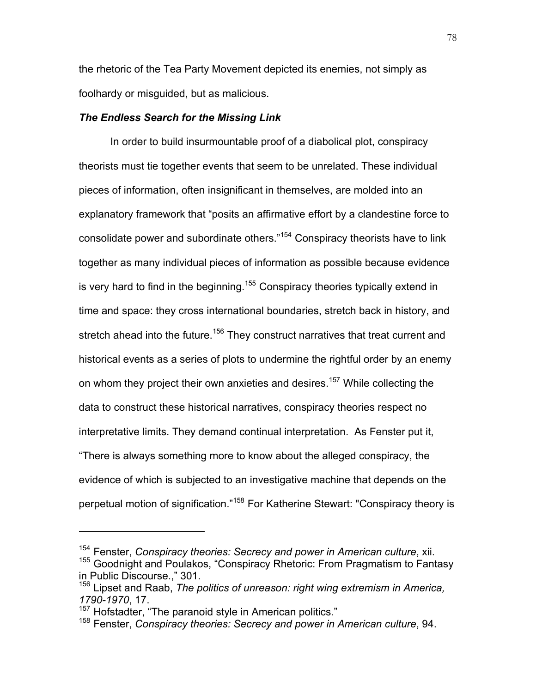the rhetoric of the Tea Party Movement depicted its enemies, not simply as foolhardy or misguided, but as malicious.

#### *The Endless Search for the Missing Link*

In order to build insurmountable proof of a diabolical plot, conspiracy theorists must tie together events that seem to be unrelated. These individual pieces of information, often insignificant in themselves, are molded into an explanatory framework that "posits an affirmative effort by a clandestine force to consolidate power and subordinate others."154 Conspiracy theorists have to link together as many individual pieces of information as possible because evidence is very hard to find in the beginning.<sup>155</sup> Conspiracy theories typically extend in time and space: they cross international boundaries, stretch back in history, and stretch ahead into the future.<sup>156</sup> They construct narratives that treat current and historical events as a series of plots to undermine the rightful order by an enemy on whom they project their own anxieties and desires.<sup>157</sup> While collecting the data to construct these historical narratives, conspiracy theories respect no interpretative limits. They demand continual interpretation. As Fenster put it, "There is always something more to know about the alleged conspiracy, the evidence of which is subjected to an investigative machine that depends on the perpetual motion of signification."<sup>158</sup> For Katherine Stewart: "Conspiracy theory is

<sup>154</sup> Fenster, *Conspiracy theories: Secrecy and power in American culture*, xii.

<sup>&</sup>lt;sup>155</sup> Goodnight and Poulakos, "Conspiracy Rhetoric: From Pragmatism to Fantasy in Public Discourse.," 301.

<sup>156</sup> Lipset and Raab, *The politics of unreason: right wing extremism in America, 1790-1970*, 17.

<sup>&</sup>lt;sup>157</sup> Hofstadter, "The paranoid style in American politics."

<sup>158</sup> Fenster, *Conspiracy theories: Secrecy and power in American culture*, 94.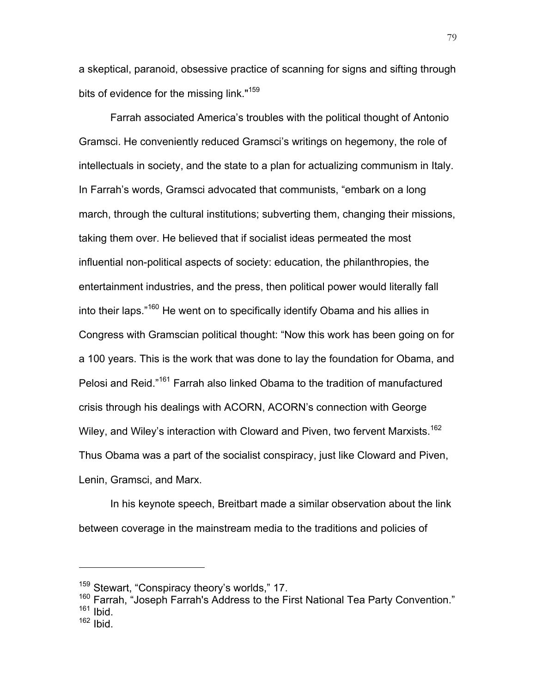a skeptical, paranoid, obsessive practice of scanning for signs and sifting through bits of evidence for the missing link."<sup>159</sup>

Farrah associated America's troubles with the political thought of Antonio Gramsci. He conveniently reduced Gramsci's writings on hegemony, the role of intellectuals in society, and the state to a plan for actualizing communism in Italy. In Farrah's words, Gramsci advocated that communists, "embark on a long march, through the cultural institutions; subverting them, changing their missions, taking them over. He believed that if socialist ideas permeated the most influential non-political aspects of society: education, the philanthropies, the entertainment industries, and the press, then political power would literally fall into their laps."160 He went on to specifically identify Obama and his allies in Congress with Gramscian political thought: "Now this work has been going on for a 100 years. This is the work that was done to lay the foundation for Obama, and Pelosi and Reid."161 Farrah also linked Obama to the tradition of manufactured crisis through his dealings with ACORN, ACORN's connection with George Wiley, and Wiley's interaction with Cloward and Piven, two fervent Marxists.<sup>162</sup> Thus Obama was a part of the socialist conspiracy, just like Cloward and Piven, Lenin, Gramsci, and Marx.

In his keynote speech, Breitbart made a similar observation about the link between coverage in the mainstream media to the traditions and policies of

<sup>&</sup>lt;sup>159</sup> Stewart, "Conspiracy theory's worlds," 17.

 $160$  Farrah, "Joseph Farrah's Address to the First National Tea Party Convention."<br> $161$  Ibid.

 $162$  Ibid.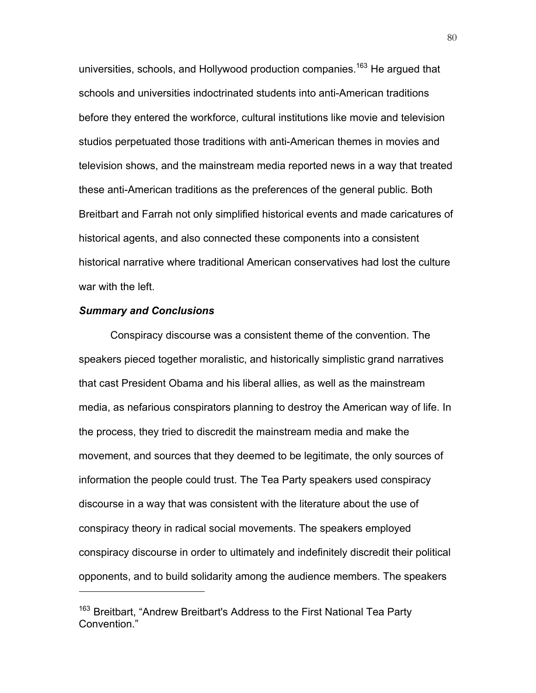universities, schools, and Hollywood production companies.<sup>163</sup> He argued that schools and universities indoctrinated students into anti-American traditions before they entered the workforce, cultural institutions like movie and television studios perpetuated those traditions with anti-American themes in movies and television shows, and the mainstream media reported news in a way that treated these anti-American traditions as the preferences of the general public. Both Breitbart and Farrah not only simplified historical events and made caricatures of historical agents, and also connected these components into a consistent historical narrative where traditional American conservatives had lost the culture war with the left.

#### *Summary and Conclusions*

 $\overline{a}$ 

Conspiracy discourse was a consistent theme of the convention. The speakers pieced together moralistic, and historically simplistic grand narratives that cast President Obama and his liberal allies, as well as the mainstream media, as nefarious conspirators planning to destroy the American way of life. In the process, they tried to discredit the mainstream media and make the movement, and sources that they deemed to be legitimate, the only sources of information the people could trust. The Tea Party speakers used conspiracy discourse in a way that was consistent with the literature about the use of conspiracy theory in radical social movements. The speakers employed conspiracy discourse in order to ultimately and indefinitely discredit their political opponents, and to build solidarity among the audience members. The speakers

<sup>&</sup>lt;sup>163</sup> Breitbart, "Andrew Breitbart's Address to the First National Tea Party Convention."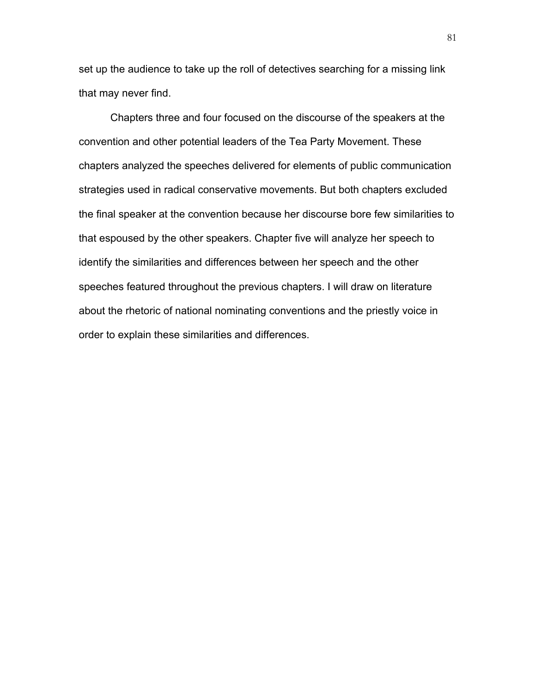set up the audience to take up the roll of detectives searching for a missing link that may never find.

Chapters three and four focused on the discourse of the speakers at the convention and other potential leaders of the Tea Party Movement. These chapters analyzed the speeches delivered for elements of public communication strategies used in radical conservative movements. But both chapters excluded the final speaker at the convention because her discourse bore few similarities to that espoused by the other speakers. Chapter five will analyze her speech to identify the similarities and differences between her speech and the other speeches featured throughout the previous chapters. I will draw on literature about the rhetoric of national nominating conventions and the priestly voice in order to explain these similarities and differences.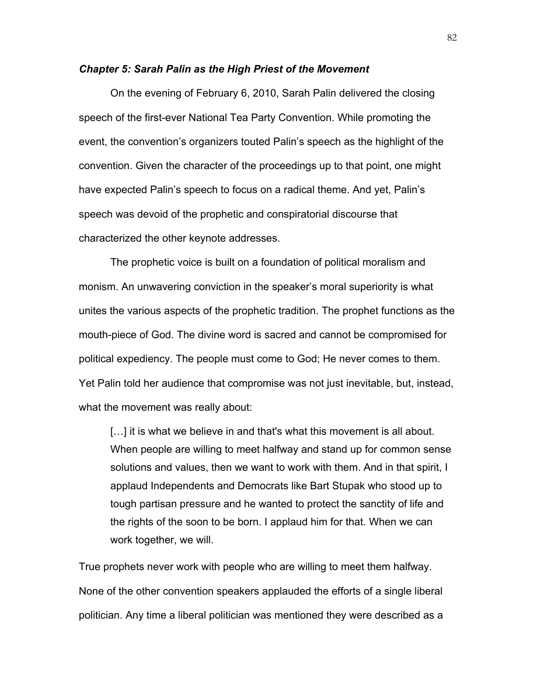#### *Chapter 5: Sarah Palin as the High Priest of the Movement*

On the evening of February 6, 2010, Sarah Palin delivered the closing speech of the first-ever National Tea Party Convention. While promoting the event, the convention's organizers touted Palin's speech as the highlight of the convention. Given the character of the proceedings up to that point, one might have expected Palin's speech to focus on a radical theme. And yet, Palin's speech was devoid of the prophetic and conspiratorial discourse that characterized the other keynote addresses.

The prophetic voice is built on a foundation of political moralism and monism. An unwavering conviction in the speaker's moral superiority is what unites the various aspects of the prophetic tradition. The prophet functions as the mouth-piece of God. The divine word is sacred and cannot be compromised for political expediency. The people must come to God; He never comes to them. Yet Palin told her audience that compromise was not just inevitable, but, instead, what the movement was really about:

[...] it is what we believe in and that's what this movement is all about. When people are willing to meet halfway and stand up for common sense solutions and values, then we want to work with them. And in that spirit, I applaud Independents and Democrats like Bart Stupak who stood up to tough partisan pressure and he wanted to protect the sanctity of life and the rights of the soon to be born. I applaud him for that. When we can work together, we will.

True prophets never work with people who are willing to meet them halfway. None of the other convention speakers applauded the efforts of a single liberal politician. Any time a liberal politician was mentioned they were described as a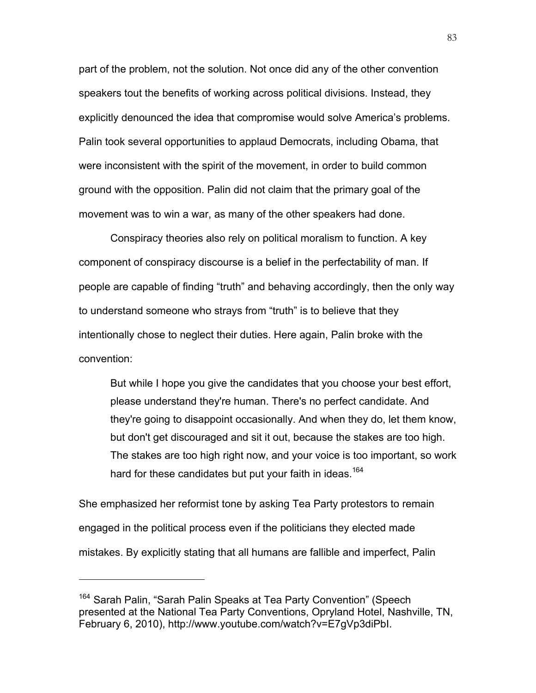part of the problem, not the solution. Not once did any of the other convention speakers tout the benefits of working across political divisions. Instead, they explicitly denounced the idea that compromise would solve America's problems. Palin took several opportunities to applaud Democrats, including Obama, that were inconsistent with the spirit of the movement, in order to build common ground with the opposition. Palin did not claim that the primary goal of the movement was to win a war, as many of the other speakers had done.

Conspiracy theories also rely on political moralism to function. A key component of conspiracy discourse is a belief in the perfectability of man. If people are capable of finding "truth" and behaving accordingly, then the only way to understand someone who strays from "truth" is to believe that they intentionally chose to neglect their duties. Here again, Palin broke with the convention:

But while I hope you give the candidates that you choose your best effort, please understand they're human. There's no perfect candidate. And they're going to disappoint occasionally. And when they do, let them know, but don't get discouraged and sit it out, because the stakes are too high. The stakes are too high right now, and your voice is too important, so work hard for these candidates but put your faith in ideas.<sup>164</sup>

She emphasized her reformist tone by asking Tea Party protestors to remain engaged in the political process even if the politicians they elected made mistakes. By explicitly stating that all humans are fallible and imperfect, Palin

<sup>&</sup>lt;sup>164</sup> Sarah Palin, "Sarah Palin Speaks at Tea Party Convention" (Speech presented at the National Tea Party Conventions, Opryland Hotel, Nashville, TN, February 6, 2010), http://www.youtube.com/watch?v=E7gVp3diPbI.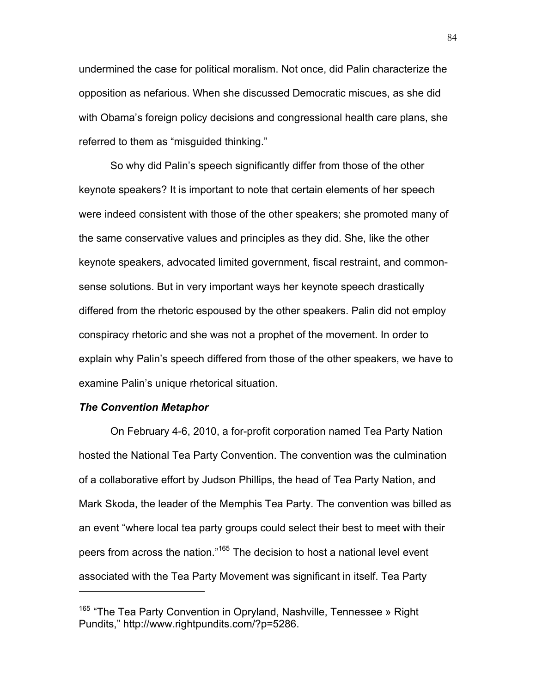undermined the case for political moralism. Not once, did Palin characterize the opposition as nefarious. When she discussed Democratic miscues, as she did with Obama's foreign policy decisions and congressional health care plans, she referred to them as "misguided thinking."

So why did Palin's speech significantly differ from those of the other keynote speakers? It is important to note that certain elements of her speech were indeed consistent with those of the other speakers; she promoted many of the same conservative values and principles as they did. She, like the other keynote speakers, advocated limited government, fiscal restraint, and commonsense solutions. But in very important ways her keynote speech drastically differed from the rhetoric espoused by the other speakers. Palin did not employ conspiracy rhetoric and she was not a prophet of the movement. In order to explain why Palin's speech differed from those of the other speakers, we have to examine Palin's unique rhetorical situation.

#### *The Convention Metaphor*

 $\overline{a}$ 

On February 4-6, 2010, a for-profit corporation named Tea Party Nation hosted the National Tea Party Convention. The convention was the culmination of a collaborative effort by Judson Phillips, the head of Tea Party Nation, and Mark Skoda, the leader of the Memphis Tea Party. The convention was billed as an event "where local tea party groups could select their best to meet with their peers from across the nation."<sup>165</sup> The decision to host a national level event associated with the Tea Party Movement was significant in itself. Tea Party

<sup>&</sup>lt;sup>165</sup> "The Tea Party Convention in Opryland, Nashville, Tennessee » Right Pundits," http://www.rightpundits.com/?p=5286.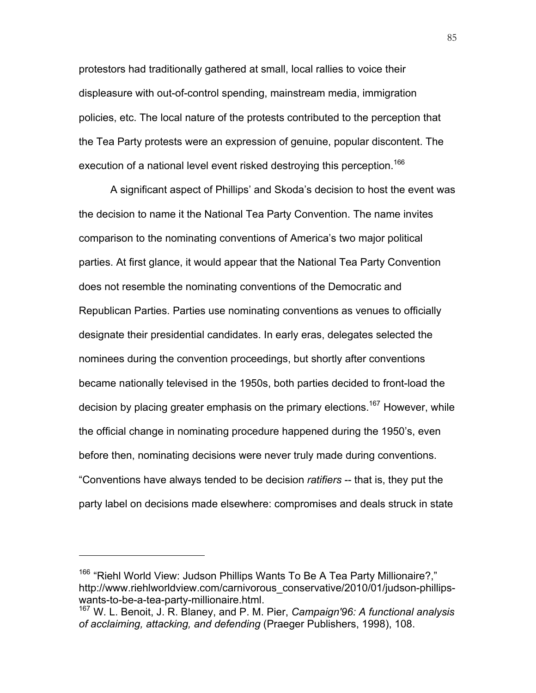protestors had traditionally gathered at small, local rallies to voice their displeasure with out-of-control spending, mainstream media, immigration policies, etc. The local nature of the protests contributed to the perception that the Tea Party protests were an expression of genuine, popular discontent. The execution of a national level event risked destroying this perception.<sup>166</sup>

A significant aspect of Phillips' and Skoda's decision to host the event was the decision to name it the National Tea Party Convention. The name invites comparison to the nominating conventions of America's two major political parties. At first glance, it would appear that the National Tea Party Convention does not resemble the nominating conventions of the Democratic and Republican Parties. Parties use nominating conventions as venues to officially designate their presidential candidates. In early eras, delegates selected the nominees during the convention proceedings, but shortly after conventions became nationally televised in the 1950s, both parties decided to front-load the decision by placing greater emphasis on the primary elections.<sup>167</sup> However, while the official change in nominating procedure happened during the 1950's, even before then, nominating decisions were never truly made during conventions. "Conventions have always tended to be decision *ratifiers* -- that is, they put the party label on decisions made elsewhere: compromises and deals struck in state

<sup>&</sup>lt;sup>166</sup> "Riehl World View: Judson Phillips Wants To Be A Tea Party Millionaire?," http://www.riehlworldview.com/carnivorous\_conservative/2010/01/judson-phillipswants-to-be-a-tea-party-millionaire.html.

<sup>167</sup> W. L. Benoit, J. R. Blaney, and P. M. Pier, *Campaign'96: A functional analysis of acclaiming, attacking, and defending* (Praeger Publishers, 1998), 108.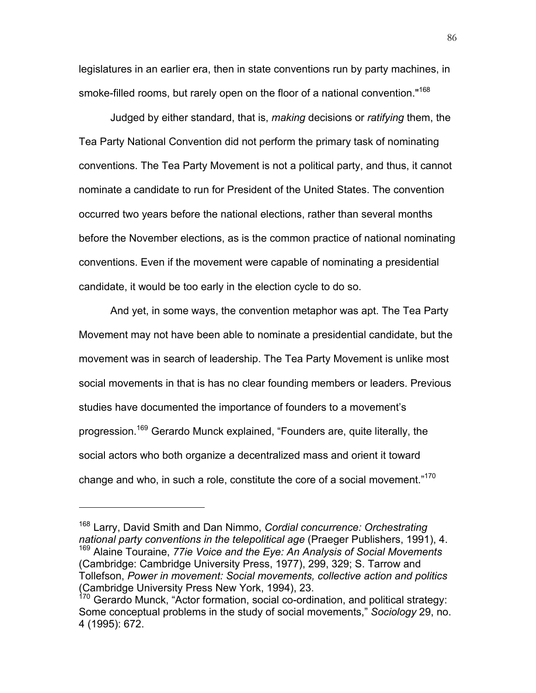legislatures in an earlier era, then in state conventions run by party machines, in smoke-filled rooms, but rarely open on the floor of a national convention."<sup>168</sup>

Judged by either standard, that is, *making* decisions or *ratifying* them, the Tea Party National Convention did not perform the primary task of nominating conventions. The Tea Party Movement is not a political party, and thus, it cannot nominate a candidate to run for President of the United States. The convention occurred two years before the national elections, rather than several months before the November elections, as is the common practice of national nominating conventions. Even if the movement were capable of nominating a presidential candidate, it would be too early in the election cycle to do so.

And yet, in some ways, the convention metaphor was apt. The Tea Party Movement may not have been able to nominate a presidential candidate, but the movement was in search of leadership. The Tea Party Movement is unlike most social movements in that is has no clear founding members or leaders. Previous studies have documented the importance of founders to a movement's progression.<sup>169</sup> Gerardo Munck explained, "Founders are, quite literally, the social actors who both organize a decentralized mass and orient it toward change and who, in such a role, constitute the core of a social movement."<sup>170</sup>

<sup>168</sup> Larry, David Smith and Dan Nimmo, *Cordial concurrence: Orchestrating national party conventions in the telepolitical age* (Praeger Publishers, 1991), 4. <sup>169</sup> Alaine Touraine, *77ie Voice and the Eye: An Analysis of Social Movements* (Cambridge: Cambridge University Press, 1977), 299, 329; S. Tarrow and Tollefson, *Power in movement: Social movements, collective action and politics* (Cambridge University Press New York, 1994), 23.

 $170$  Gerardo Munck, "Actor formation, social co-ordination, and political strategy: Some conceptual problems in the study of social movements," *Sociology* 29, no. 4 (1995): 672.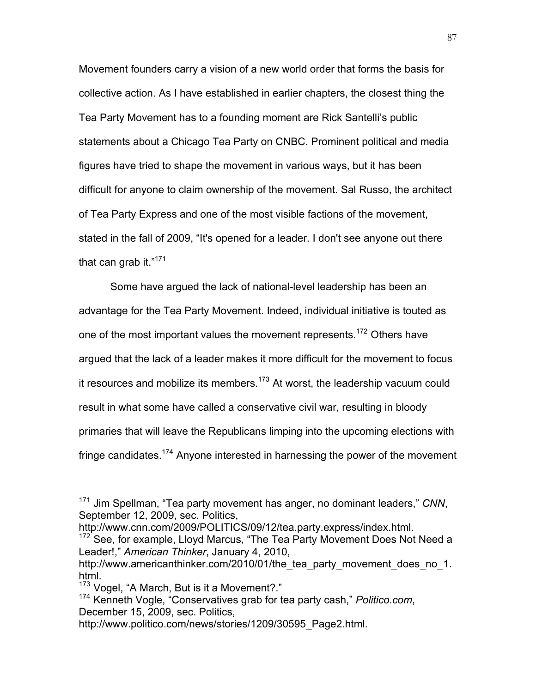Movement founders carry a vision of a new world order that forms the basis for collective action. As I have established in earlier chapters, the closest thing the Tea Party Movement has to a founding moment are Rick Santelli's public statements about a Chicago Tea Party on CNBC. Prominent political and media figures have tried to shape the movement in various ways, but it has been difficult for anyone to claim ownership of the movement. Sal Russo, the architect of Tea Party Express and one of the most visible factions of the movement, stated in the fall of 2009, "It's opened for a leader. I don't see anyone out there that can grab it. $"^{171}$ 

Some have argued the lack of national-level leadership has been an advantage for the Tea Party Movement. Indeed, individual initiative is touted as one of the most important values the movement represents.<sup>172</sup> Others have argued that the lack of a leader makes it more difficult for the movement to focus it resources and mobilize its members.<sup>173</sup> At worst, the leadership vacuum could result in what some have called a conservative civil war, resulting in bloody primaries that will leave the Republicans limping into the upcoming elections with fringe candidates.<sup>174</sup> Anyone interested in harnessing the power of the movement

<sup>171</sup> Jim Spellman, "Tea party movement has anger, no dominant leaders," *CNN*, September 12, 2009, sec. Politics,

http://www.cnn.com/2009/POLITICS/09/12/tea.party.express/index.html.<br><sup>172</sup> See, for example, Lloyd Marcus, "The Tea Party Movement Does Not Need a Leader!," *American Thinker*, January 4, 2010,

http://www.americanthinker.com/2010/01/the tea party movement does no 1. html.

<sup>&</sup>lt;sup>173</sup> Vogel, "A March, But is it a Movement?."

<sup>174</sup> Kenneth Vogle, "Conservatives grab for tea party cash," *Politico.com*, December 15, 2009, sec. Politics,

http://www.politico.com/news/stories/1209/30595\_Page2.html.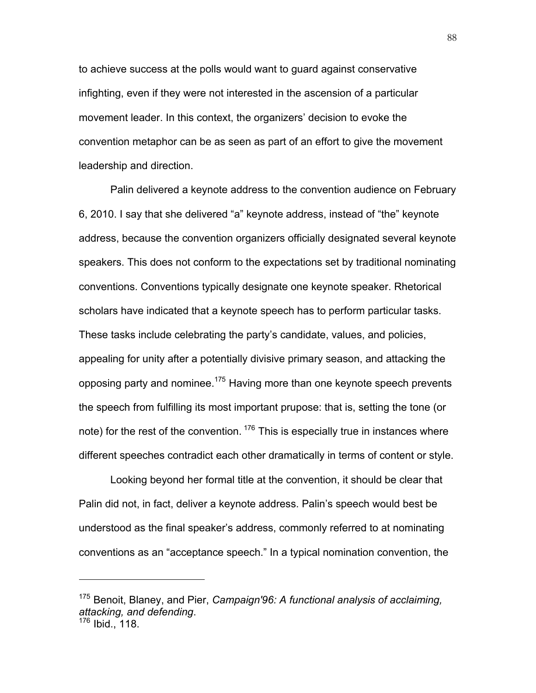to achieve success at the polls would want to guard against conservative infighting, even if they were not interested in the ascension of a particular movement leader. In this context, the organizers' decision to evoke the convention metaphor can be as seen as part of an effort to give the movement leadership and direction.

Palin delivered a keynote address to the convention audience on February 6, 2010. I say that she delivered "a" keynote address, instead of "the" keynote address, because the convention organizers officially designated several keynote speakers. This does not conform to the expectations set by traditional nominating conventions. Conventions typically designate one keynote speaker. Rhetorical scholars have indicated that a keynote speech has to perform particular tasks. These tasks include celebrating the party's candidate, values, and policies, appealing for unity after a potentially divisive primary season, and attacking the opposing party and nominee.<sup>175</sup> Having more than one keynote speech prevents the speech from fulfilling its most important prupose: that is, setting the tone (or note) for the rest of the convention.  $176$  This is especially true in instances where different speeches contradict each other dramatically in terms of content or style.

Looking beyond her formal title at the convention, it should be clear that Palin did not, in fact, deliver a keynote address. Palin's speech would best be understood as the final speaker's address, commonly referred to at nominating conventions as an "acceptance speech." In a typical nomination convention, the

<sup>175</sup> Benoit, Blaney, and Pier, *Campaign'96: A functional analysis of acclaiming, attacking, and defending*. <sup>176</sup> Ibid., 118.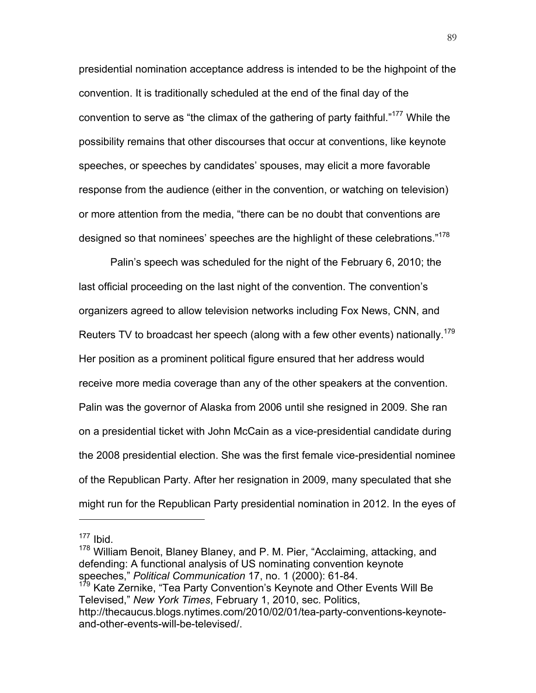presidential nomination acceptance address is intended to be the highpoint of the convention. It is traditionally scheduled at the end of the final day of the convention to serve as "the climax of the gathering of party faithful."<sup>177</sup> While the possibility remains that other discourses that occur at conventions, like keynote speeches, or speeches by candidates' spouses, may elicit a more favorable response from the audience (either in the convention, or watching on television) or more attention from the media, "there can be no doubt that conventions are designed so that nominees' speeches are the highlight of these celebrations."<sup>178</sup>

Palin's speech was scheduled for the night of the February 6, 2010; the last official proceeding on the last night of the convention. The convention's organizers agreed to allow television networks including Fox News, CNN, and Reuters TV to broadcast her speech (along with a few other events) nationally.<sup>179</sup> Her position as a prominent political figure ensured that her address would receive more media coverage than any of the other speakers at the convention. Palin was the governor of Alaska from 2006 until she resigned in 2009. She ran on a presidential ticket with John McCain as a vice-presidential candidate during the 2008 presidential election. She was the first female vice-presidential nominee of the Republican Party. After her resignation in 2009, many speculated that she might run for the Republican Party presidential nomination in 2012. In the eyes of

 $177$  Ibid.

<sup>&</sup>lt;sup>178</sup> William Benoit, Blaney Blaney, and P. M. Pier, "Acclaiming, attacking, and defending: A functional analysis of US nominating convention keynote speeches," *Political Communication* 17, no. 1 (2000): 61-84.

<sup>&</sup>lt;sup>179</sup> Kate Zernike, "Tea Party Convention's Keynote and Other Events Will Be Televised," *New York Times*, February 1, 2010, sec. Politics, http://thecaucus.blogs.nytimes.com/2010/02/01/tea-party-conventions-keynoteand-other-events-will-be-televised/.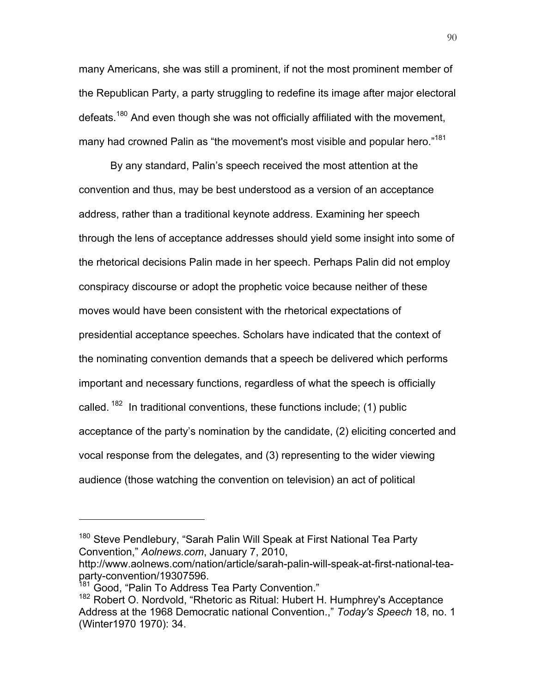many Americans, she was still a prominent, if not the most prominent member of the Republican Party, a party struggling to redefine its image after major electoral defeats.<sup>180</sup> And even though she was not officially affiliated with the movement, many had crowned Palin as "the movement's most visible and popular hero."<sup>181</sup>

By any standard, Palin's speech received the most attention at the convention and thus, may be best understood as a version of an acceptance address, rather than a traditional keynote address. Examining her speech through the lens of acceptance addresses should yield some insight into some of the rhetorical decisions Palin made in her speech. Perhaps Palin did not employ conspiracy discourse or adopt the prophetic voice because neither of these moves would have been consistent with the rhetorical expectations of presidential acceptance speeches. Scholars have indicated that the context of the nominating convention demands that a speech be delivered which performs important and necessary functions, regardless of what the speech is officially called.  $182$  In traditional conventions, these functions include; (1) public acceptance of the party's nomination by the candidate, (2) eliciting concerted and vocal response from the delegates, and (3) representing to the wider viewing audience (those watching the convention on television) an act of political

<sup>&</sup>lt;sup>180</sup> Steve Pendlebury, "Sarah Palin Will Speak at First National Tea Party Convention," *Aolnews.com*, January 7, 2010,

http://www.aolnews.com/nation/article/sarah-palin-will-speak-at-first-national-teaparty-convention/19307596.

<sup>&</sup>lt;sup>181</sup> Good, "Palin To Address Tea Party Convention."

<sup>&</sup>lt;sup>182</sup> Robert O. Nordvold, "Rhetoric as Ritual: Hubert H. Humphrey's Acceptance Address at the 1968 Democratic national Convention.," *Today's Speech* 18, no. 1 (Winter1970 1970): 34.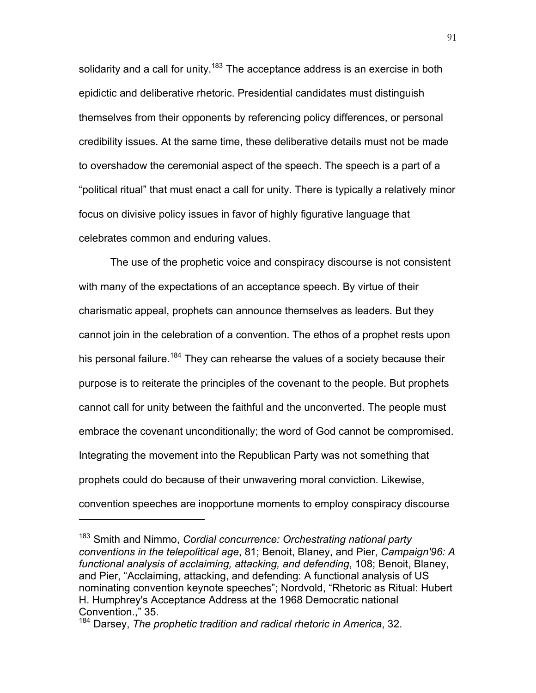solidarity and a call for unity.<sup>183</sup> The acceptance address is an exercise in both epidictic and deliberative rhetoric. Presidential candidates must distinguish themselves from their opponents by referencing policy differences, or personal credibility issues. At the same time, these deliberative details must not be made to overshadow the ceremonial aspect of the speech. The speech is a part of a "political ritual" that must enact a call for unity. There is typically a relatively minor focus on divisive policy issues in favor of highly figurative language that celebrates common and enduring values.

The use of the prophetic voice and conspiracy discourse is not consistent with many of the expectations of an acceptance speech. By virtue of their charismatic appeal, prophets can announce themselves as leaders. But they cannot join in the celebration of a convention. The ethos of a prophet rests upon his personal failure.<sup>184</sup> They can rehearse the values of a society because their purpose is to reiterate the principles of the covenant to the people. But prophets cannot call for unity between the faithful and the unconverted. The people must embrace the covenant unconditionally; the word of God cannot be compromised. Integrating the movement into the Republican Party was not something that prophets could do because of their unwavering moral conviction. Likewise, convention speeches are inopportune moments to employ conspiracy discourse

<sup>183</sup> Smith and Nimmo, *Cordial concurrence: Orchestrating national party conventions in the telepolitical age*, 81; Benoit, Blaney, and Pier, *Campaign'96: A functional analysis of acclaiming, attacking, and defending*, 108; Benoit, Blaney, and Pier, "Acclaiming, attacking, and defending: A functional analysis of US nominating convention keynote speeches"; Nordvold, "Rhetoric as Ritual: Hubert H. Humphrey's Acceptance Address at the 1968 Democratic national Convention.," 35.

<sup>184</sup> Darsey, *The prophetic tradition and radical rhetoric in America*, 32.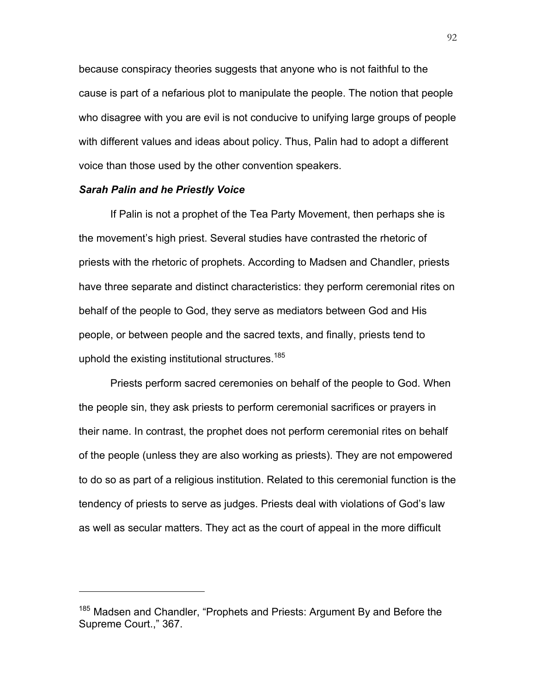because conspiracy theories suggests that anyone who is not faithful to the cause is part of a nefarious plot to manipulate the people. The notion that people who disagree with you are evil is not conducive to unifying large groups of people with different values and ideas about policy. Thus, Palin had to adopt a different voice than those used by the other convention speakers.

#### *Sarah Palin and he Priestly Voice*

 $\overline{a}$ 

If Palin is not a prophet of the Tea Party Movement, then perhaps she is the movement's high priest. Several studies have contrasted the rhetoric of priests with the rhetoric of prophets. According to Madsen and Chandler, priests have three separate and distinct characteristics: they perform ceremonial rites on behalf of the people to God, they serve as mediators between God and His people, or between people and the sacred texts, and finally, priests tend to uphold the existing institutional structures.<sup>185</sup>

Priests perform sacred ceremonies on behalf of the people to God. When the people sin, they ask priests to perform ceremonial sacrifices or prayers in their name. In contrast, the prophet does not perform ceremonial rites on behalf of the people (unless they are also working as priests). They are not empowered to do so as part of a religious institution. Related to this ceremonial function is the tendency of priests to serve as judges. Priests deal with violations of God's law as well as secular matters. They act as the court of appeal in the more difficult

<sup>&</sup>lt;sup>185</sup> Madsen and Chandler, "Prophets and Priests: Argument By and Before the Supreme Court.," 367.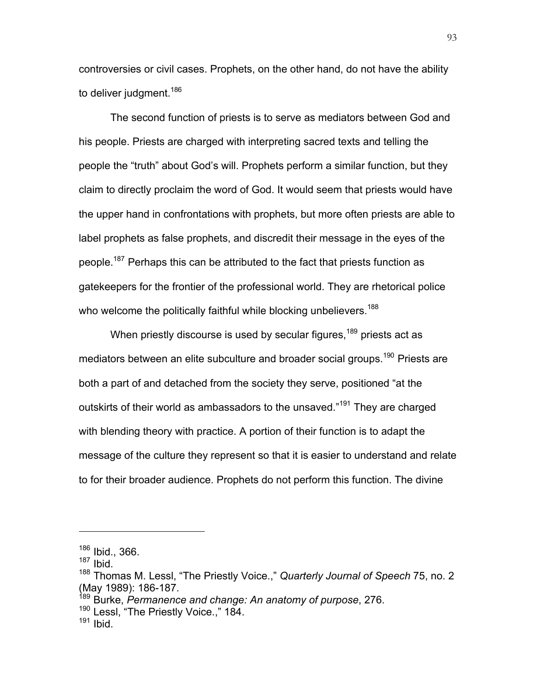controversies or civil cases. Prophets, on the other hand, do not have the ability to deliver judgment.<sup>186</sup>

The second function of priests is to serve as mediators between God and his people. Priests are charged with interpreting sacred texts and telling the people the "truth" about God's will. Prophets perform a similar function, but they claim to directly proclaim the word of God. It would seem that priests would have the upper hand in confrontations with prophets, but more often priests are able to label prophets as false prophets, and discredit their message in the eyes of the people.<sup>187</sup> Perhaps this can be attributed to the fact that priests function as gatekeepers for the frontier of the professional world. They are rhetorical police who welcome the politically faithful while blocking unbelievers.<sup>188</sup>

When priestly discourse is used by secular figures,<sup>189</sup> priests act as mediators between an elite subculture and broader social groups.<sup>190</sup> Priests are both a part of and detached from the society they serve, positioned "at the outskirts of their world as ambassadors to the unsaved."<sup>191</sup> They are charged with blending theory with practice. A portion of their function is to adapt the message of the culture they represent so that it is easier to understand and relate to for their broader audience. Prophets do not perform this function. The divine

 $\overline{a}$ 

<sup>189</sup> Burke, *Permanence and change: An anatomy of purpose*, 276.

<sup>186</sup> Ibid., 366.

 $187$  Ibid.

<sup>188</sup> Thomas M. Lessl, "The Priestly Voice.," *Quarterly Journal of Speech* 75, no. 2 (May 1989): 186-187.

<sup>190</sup> Lessl, "The Priestly Voice.," 184.

 $191$  Ibid.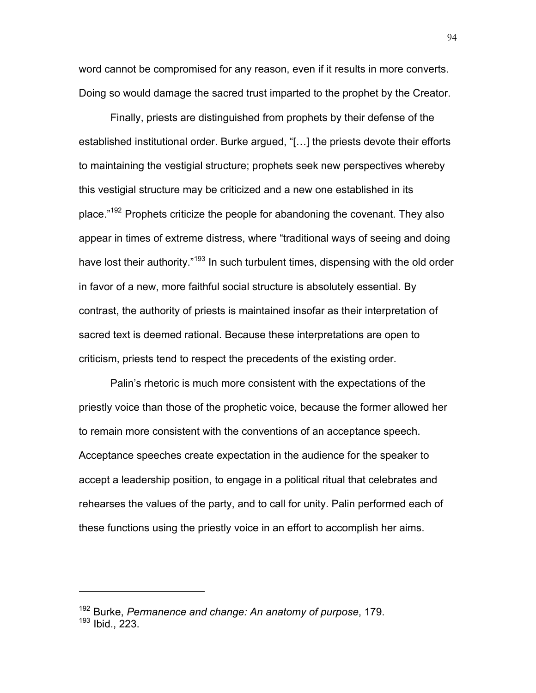word cannot be compromised for any reason, even if it results in more converts. Doing so would damage the sacred trust imparted to the prophet by the Creator.

Finally, priests are distinguished from prophets by their defense of the established institutional order. Burke argued, "[…] the priests devote their efforts to maintaining the vestigial structure; prophets seek new perspectives whereby this vestigial structure may be criticized and a new one established in its place."<sup>192</sup> Prophets criticize the people for abandoning the covenant. They also appear in times of extreme distress, where "traditional ways of seeing and doing have lost their authority."<sup>193</sup> In such turbulent times, dispensing with the old order in favor of a new, more faithful social structure is absolutely essential. By contrast, the authority of priests is maintained insofar as their interpretation of sacred text is deemed rational. Because these interpretations are open to criticism, priests tend to respect the precedents of the existing order.

Palin's rhetoric is much more consistent with the expectations of the priestly voice than those of the prophetic voice, because the former allowed her to remain more consistent with the conventions of an acceptance speech. Acceptance speeches create expectation in the audience for the speaker to accept a leadership position, to engage in a political ritual that celebrates and rehearses the values of the party, and to call for unity. Palin performed each of these functions using the priestly voice in an effort to accomplish her aims.

<sup>192</sup> Burke, *Permanence and change: An anatomy of purpose*, 179.

<sup>193</sup> Ibid., 223.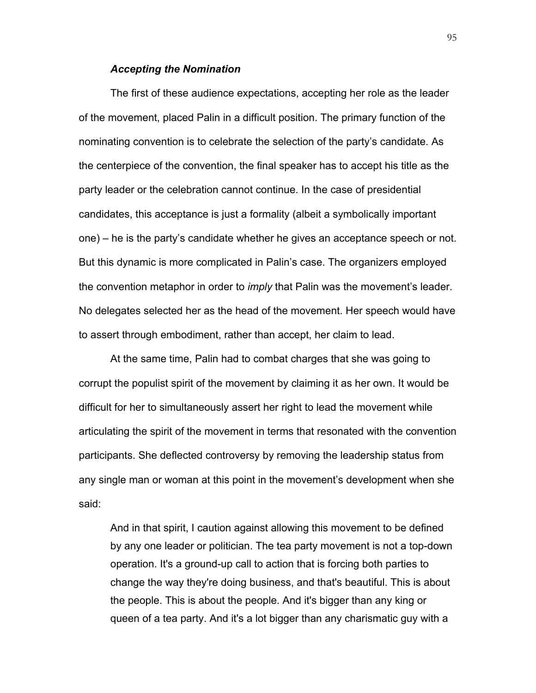## *Accepting the Nomination*

The first of these audience expectations, accepting her role as the leader of the movement, placed Palin in a difficult position. The primary function of the nominating convention is to celebrate the selection of the party's candidate. As the centerpiece of the convention, the final speaker has to accept his title as the party leader or the celebration cannot continue. In the case of presidential candidates, this acceptance is just a formality (albeit a symbolically important one) – he is the party's candidate whether he gives an acceptance speech or not. But this dynamic is more complicated in Palin's case. The organizers employed the convention metaphor in order to *imply* that Palin was the movement's leader. No delegates selected her as the head of the movement. Her speech would have to assert through embodiment, rather than accept, her claim to lead.

At the same time, Palin had to combat charges that she was going to corrupt the populist spirit of the movement by claiming it as her own. It would be difficult for her to simultaneously assert her right to lead the movement while articulating the spirit of the movement in terms that resonated with the convention participants. She deflected controversy by removing the leadership status from any single man or woman at this point in the movement's development when she said:

And in that spirit, I caution against allowing this movement to be defined by any one leader or politician. The tea party movement is not a top-down operation. It's a ground-up call to action that is forcing both parties to change the way they're doing business, and that's beautiful. This is about the people. This is about the people. And it's bigger than any king or queen of a tea party. And it's a lot bigger than any charismatic guy with a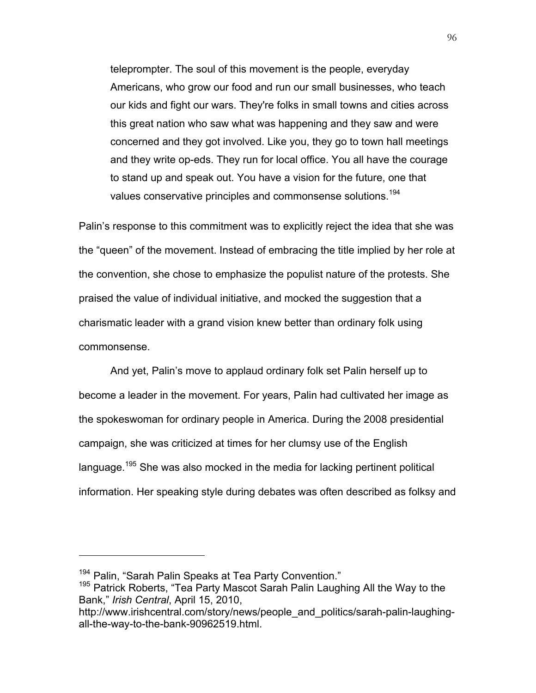teleprompter. The soul of this movement is the people, everyday Americans, who grow our food and run our small businesses, who teach our kids and fight our wars. They're folks in small towns and cities across this great nation who saw what was happening and they saw and were concerned and they got involved. Like you, they go to town hall meetings and they write op-eds. They run for local office. You all have the courage to stand up and speak out. You have a vision for the future, one that values conservative principles and commonsense solutions.<sup>194</sup>

Palin's response to this commitment was to explicitly reject the idea that she was the "queen" of the movement. Instead of embracing the title implied by her role at the convention, she chose to emphasize the populist nature of the protests. She praised the value of individual initiative, and mocked the suggestion that a charismatic leader with a grand vision knew better than ordinary folk using commonsense.

And yet, Palin's move to applaud ordinary folk set Palin herself up to become a leader in the movement. For years, Palin had cultivated her image as the spokeswoman for ordinary people in America. During the 2008 presidential campaign, she was criticized at times for her clumsy use of the English language.<sup>195</sup> She was also mocked in the media for lacking pertinent political information. Her speaking style during debates was often described as folksy and

 $194$  Palin, "Sarah Palin Speaks at Tea Party Convention."<br><sup>195</sup> Patrick Roberts, "Tea Party Mascot Sarah Palin Laughing All the Way to the Bank," *Irish Central*, April 15, 2010,

http://www.irishcentral.com/story/news/people\_and\_politics/sarah-palin-laughingall-the-way-to-the-bank-90962519.html.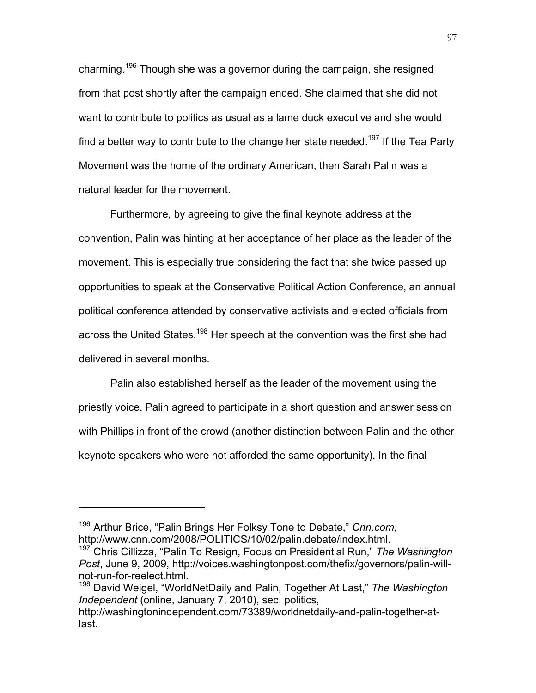charming.196 Though she was a governor during the campaign, she resigned from that post shortly after the campaign ended. She claimed that she did not want to contribute to politics as usual as a lame duck executive and she would find a better way to contribute to the change her state needed.<sup>197</sup> If the Tea Party Movement was the home of the ordinary American, then Sarah Palin was a natural leader for the movement.

Furthermore, by agreeing to give the final keynote address at the convention, Palin was hinting at her acceptance of her place as the leader of the movement. This is especially true considering the fact that she twice passed up opportunities to speak at the Conservative Political Action Conference, an annual political conference attended by conservative activists and elected officials from across the United States.<sup>198</sup> Her speech at the convention was the first she had delivered in several months.

Palin also established herself as the leader of the movement using the priestly voice. Palin agreed to participate in a short question and answer session with Phillips in front of the crowd (another distinction between Palin and the other keynote speakers who were not afforded the same opportunity). In the final

<sup>196</sup> Arthur Brice, "Palin Brings Her Folksy Tone to Debate," *Cnn.com*, http://www.cnn.com/2008/POLITICS/10/02/palin.debate/index.html.

<sup>197</sup> Chris Cillizza, "Palin To Resign, Focus on Presidential Run," *The Washington Post*, June 9, 2009, http://voices.washingtonpost.com/thefix/governors/palin-willnot-run-for-reelect.html.

<sup>198</sup> David Weigel, "WorldNetDaily and Palin, Together At Last," *The Washington Independent* (online, January 7, 2010), sec. politics,

http://washingtonindependent.com/73389/worldnetdaily-and-palin-together-atlast.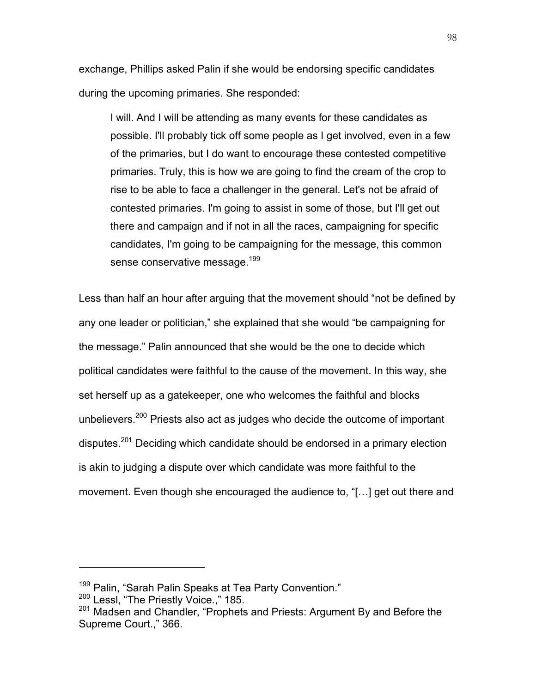exchange, Phillips asked Palin if she would be endorsing specific candidates during the upcoming primaries. She responded:

I will. And I will be attending as many events for these candidates as possible. I'll probably tick off some people as I get involved, even in a few of the primaries, but I do want to encourage these contested competitive primaries. Truly, this is how we are going to find the cream of the crop to rise to be able to face a challenger in the general. Let's not be afraid of contested primaries. I'm going to assist in some of those, but I'll get out there and campaign and if not in all the races, campaigning for specific candidates, I'm going to be campaigning for the message, this common sense conservative message.<sup>199</sup>

Less than half an hour after arguing that the movement should "not be defined by any one leader or politician," she explained that she would "be campaigning for the message." Palin announced that she would be the one to decide which political candidates were faithful to the cause of the movement. In this way, she set herself up as a gatekeeper, one who welcomes the faithful and blocks unbelievers.<sup>200</sup> Priests also act as judges who decide the outcome of important disputes.201 Deciding which candidate should be endorsed in a primary election is akin to judging a dispute over which candidate was more faithful to the movement. Even though she encouraged the audience to, "[…] get out there and

 $199$  Palin, "Sarah Palin Speaks at Tea Party Convention."<br> $200$  Lessl. "The Priestly Voice.." 185.

<sup>&</sup>lt;sup>201</sup> Madsen and Chandler, "Prophets and Priests: Argument By and Before the Supreme Court.," 366.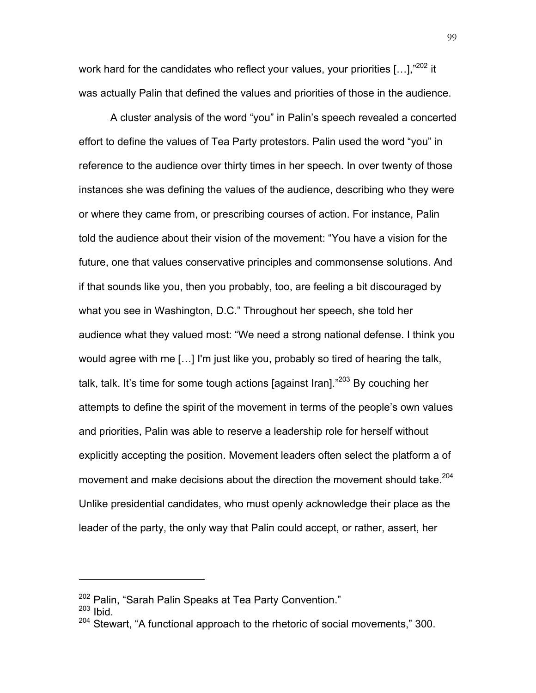work hard for the candidates who reflect your values, your priorities [...],"<sup>202</sup> it was actually Palin that defined the values and priorities of those in the audience.

A cluster analysis of the word "you" in Palin's speech revealed a concerted effort to define the values of Tea Party protestors. Palin used the word "you" in reference to the audience over thirty times in her speech. In over twenty of those instances she was defining the values of the audience, describing who they were or where they came from, or prescribing courses of action. For instance, Palin told the audience about their vision of the movement: "You have a vision for the future, one that values conservative principles and commonsense solutions. And if that sounds like you, then you probably, too, are feeling a bit discouraged by what you see in Washington, D.C." Throughout her speech, she told her audience what they valued most: "We need a strong national defense. I think you would agree with me […] I'm just like you, probably so tired of hearing the talk, talk, talk. It's time for some tough actions [against Iran]."<sup>203</sup> By couching her attempts to define the spirit of the movement in terms of the people's own values and priorities, Palin was able to reserve a leadership role for herself without explicitly accepting the position. Movement leaders often select the platform a of movement and make decisions about the direction the movement should take.<sup>204</sup> Unlike presidential candidates, who must openly acknowledge their place as the leader of the party, the only way that Palin could accept, or rather, assert, her

 $202$  Palin, "Sarah Palin Speaks at Tea Party Convention."<br> $203$  Ibid.

<sup>&</sup>lt;sup>204</sup> Stewart, "A functional approach to the rhetoric of social movements," 300.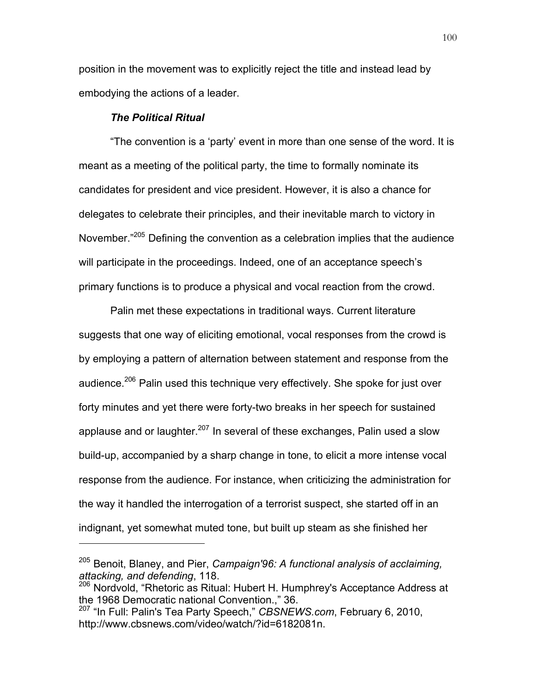position in the movement was to explicitly reject the title and instead lead by embodying the actions of a leader.

# *The Political Ritual*

 $\overline{a}$ 

"The convention is a 'party' event in more than one sense of the word. It is meant as a meeting of the political party, the time to formally nominate its candidates for president and vice president. However, it is also a chance for delegates to celebrate their principles, and their inevitable march to victory in November."205 Defining the convention as a celebration implies that the audience will participate in the proceedings. Indeed, one of an acceptance speech's primary functions is to produce a physical and vocal reaction from the crowd.

Palin met these expectations in traditional ways. Current literature suggests that one way of eliciting emotional, vocal responses from the crowd is by employing a pattern of alternation between statement and response from the audience.<sup>206</sup> Palin used this technique very effectively. She spoke for just over forty minutes and yet there were forty-two breaks in her speech for sustained applause and or laughter.<sup>207</sup> In several of these exchanges, Palin used a slow build-up, accompanied by a sharp change in tone, to elicit a more intense vocal response from the audience. For instance, when criticizing the administration for the way it handled the interrogation of a terrorist suspect, she started off in an indignant, yet somewhat muted tone, but built up steam as she finished her

<sup>205</sup> Benoit, Blaney, and Pier, *Campaign'96: A functional analysis of acclaiming, attacking, and defending*, 118.

<sup>206</sup> Nordvold, "Rhetoric as Ritual: Hubert H. Humphrey's Acceptance Address at the 1968 Democratic national Convention.," 36.

<sup>207</sup> "In Full: Palin's Tea Party Speech," *CBSNEWS.com*, February 6, 2010, http://www.cbsnews.com/video/watch/?id=6182081n.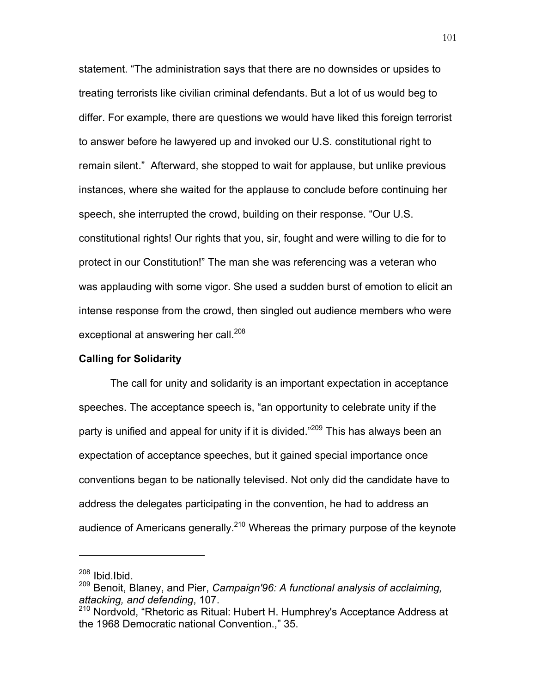statement. "The administration says that there are no downsides or upsides to treating terrorists like civilian criminal defendants. But a lot of us would beg to differ. For example, there are questions we would have liked this foreign terrorist to answer before he lawyered up and invoked our U.S. constitutional right to remain silent." Afterward, she stopped to wait for applause, but unlike previous instances, where she waited for the applause to conclude before continuing her speech, she interrupted the crowd, building on their response. "Our U.S. constitutional rights! Our rights that you, sir, fought and were willing to die for to protect in our Constitution!" The man she was referencing was a veteran who was applauding with some vigor. She used a sudden burst of emotion to elicit an intense response from the crowd, then singled out audience members who were exceptional at answering her call.<sup>208</sup>

#### **Calling for Solidarity**

The call for unity and solidarity is an important expectation in acceptance speeches. The acceptance speech is, "an opportunity to celebrate unity if the party is unified and appeal for unity if it is divided."<sup>209</sup> This has always been an expectation of acceptance speeches, but it gained special importance once conventions began to be nationally televised. Not only did the candidate have to address the delegates participating in the convention, he had to address an audience of Americans generally.<sup>210</sup> Whereas the primary purpose of the keynote

 $208$  Ibid.Ibid.

<sup>209</sup> Benoit, Blaney, and Pier, *Campaign'96: A functional analysis of acclaiming, attacking, and defending*, 107.

<sup>&</sup>lt;sup>210</sup> Nordvold, "Rhetoric as Ritual: Hubert H. Humphrey's Acceptance Address at the 1968 Democratic national Convention.," 35.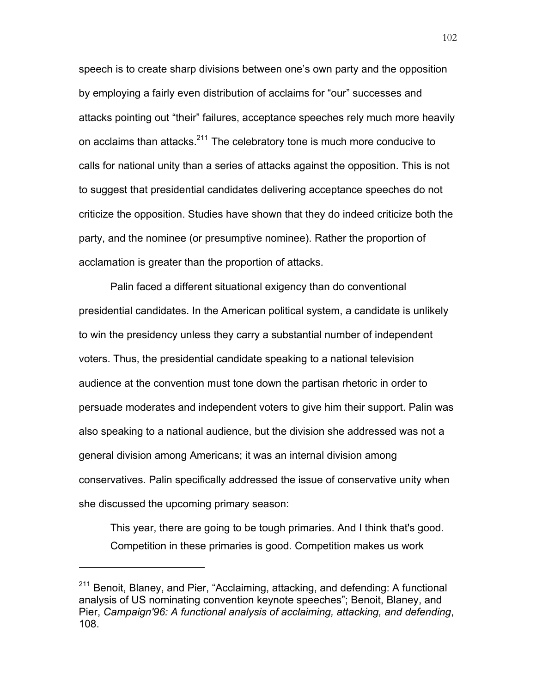speech is to create sharp divisions between one's own party and the opposition by employing a fairly even distribution of acclaims for "our" successes and attacks pointing out "their" failures, acceptance speeches rely much more heavily on acclaims than attacks.<sup>211</sup> The celebratory tone is much more conducive to calls for national unity than a series of attacks against the opposition. This is not to suggest that presidential candidates delivering acceptance speeches do not criticize the opposition. Studies have shown that they do indeed criticize both the party, and the nominee (or presumptive nominee). Rather the proportion of acclamation is greater than the proportion of attacks.

Palin faced a different situational exigency than do conventional presidential candidates. In the American political system, a candidate is unlikely to win the presidency unless they carry a substantial number of independent voters. Thus, the presidential candidate speaking to a national television audience at the convention must tone down the partisan rhetoric in order to persuade moderates and independent voters to give him their support. Palin was also speaking to a national audience, but the division she addressed was not a general division among Americans; it was an internal division among conservatives. Palin specifically addressed the issue of conservative unity when she discussed the upcoming primary season:

This year, there are going to be tough primaries. And I think that's good. Competition in these primaries is good. Competition makes us work

<sup>&</sup>lt;sup>211</sup> Benoit, Blaney, and Pier, "Acclaiming, attacking, and defending: A functional analysis of US nominating convention keynote speeches"; Benoit, Blaney, and Pier, *Campaign'96: A functional analysis of acclaiming, attacking, and defending*, 108.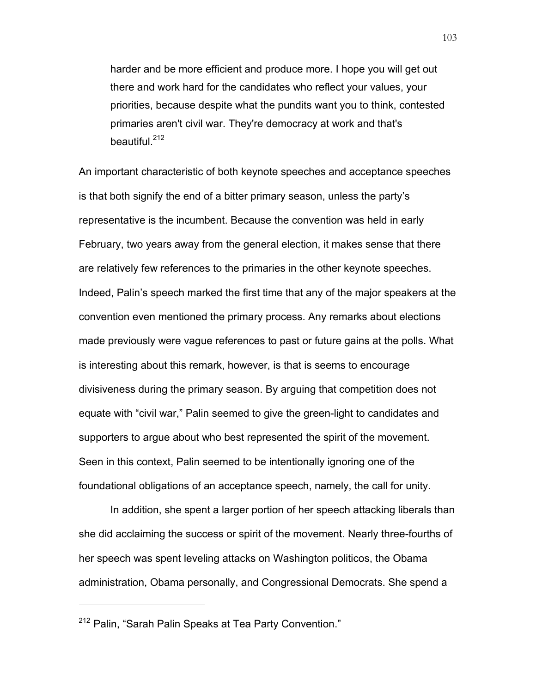harder and be more efficient and produce more. I hope you will get out there and work hard for the candidates who reflect your values, your priorities, because despite what the pundits want you to think, contested primaries aren't civil war. They're democracy at work and that's beautiful.<sup>212</sup>

An important characteristic of both keynote speeches and acceptance speeches is that both signify the end of a bitter primary season, unless the party's representative is the incumbent. Because the convention was held in early February, two years away from the general election, it makes sense that there are relatively few references to the primaries in the other keynote speeches. Indeed, Palin's speech marked the first time that any of the major speakers at the convention even mentioned the primary process. Any remarks about elections made previously were vague references to past or future gains at the polls. What is interesting about this remark, however, is that is seems to encourage divisiveness during the primary season. By arguing that competition does not equate with "civil war," Palin seemed to give the green-light to candidates and supporters to argue about who best represented the spirit of the movement. Seen in this context, Palin seemed to be intentionally ignoring one of the foundational obligations of an acceptance speech, namely, the call for unity.

In addition, she spent a larger portion of her speech attacking liberals than she did acclaiming the success or spirit of the movement. Nearly three-fourths of her speech was spent leveling attacks on Washington politicos, the Obama administration, Obama personally, and Congressional Democrats. She spend a

<sup>212</sup> Palin, "Sarah Palin Speaks at Tea Party Convention."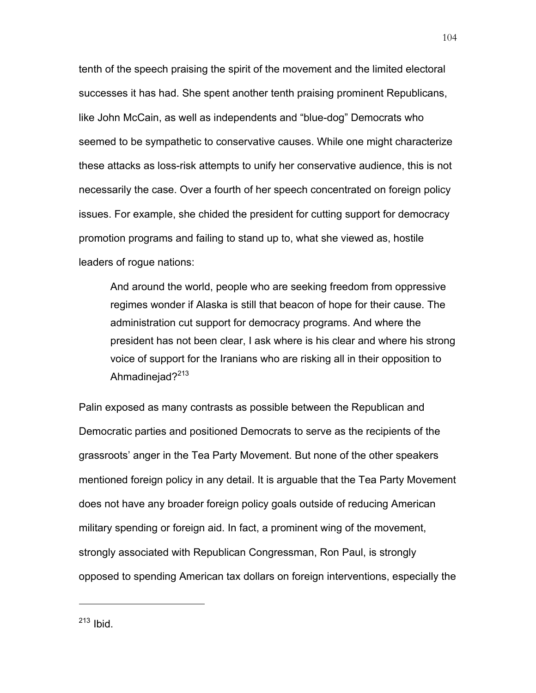tenth of the speech praising the spirit of the movement and the limited electoral successes it has had. She spent another tenth praising prominent Republicans, like John McCain, as well as independents and "blue-dog" Democrats who seemed to be sympathetic to conservative causes. While one might characterize these attacks as loss-risk attempts to unify her conservative audience, this is not necessarily the case. Over a fourth of her speech concentrated on foreign policy issues. For example, she chided the president for cutting support for democracy promotion programs and failing to stand up to, what she viewed as, hostile leaders of rogue nations:

And around the world, people who are seeking freedom from oppressive regimes wonder if Alaska is still that beacon of hope for their cause. The administration cut support for democracy programs. And where the president has not been clear, I ask where is his clear and where his strong voice of support for the Iranians who are risking all in their opposition to Ahmadinejad $?^{213}$ 

Palin exposed as many contrasts as possible between the Republican and Democratic parties and positioned Democrats to serve as the recipients of the grassroots' anger in the Tea Party Movement. But none of the other speakers mentioned foreign policy in any detail. It is arguable that the Tea Party Movement does not have any broader foreign policy goals outside of reducing American military spending or foreign aid. In fact, a prominent wing of the movement, strongly associated with Republican Congressman, Ron Paul, is strongly opposed to spending American tax dollars on foreign interventions, especially the

 $213$  Ibid.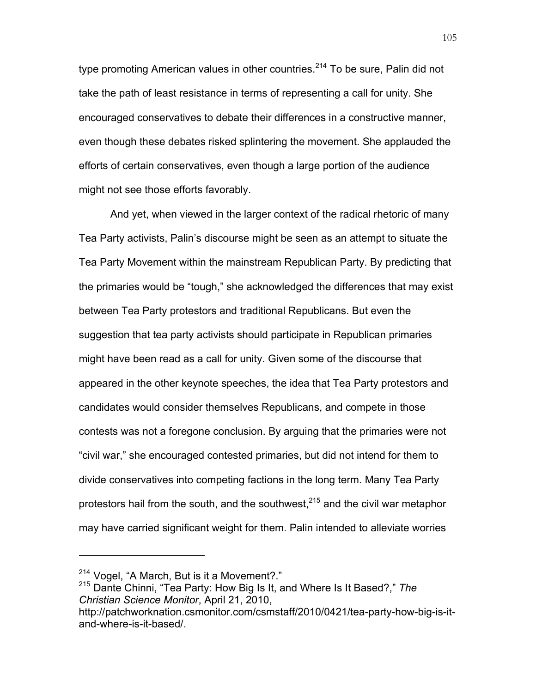type promoting American values in other countries.<sup>214</sup> To be sure, Palin did not take the path of least resistance in terms of representing a call for unity. She encouraged conservatives to debate their differences in a constructive manner, even though these debates risked splintering the movement. She applauded the efforts of certain conservatives, even though a large portion of the audience might not see those efforts favorably.

And yet, when viewed in the larger context of the radical rhetoric of many Tea Party activists, Palin's discourse might be seen as an attempt to situate the Tea Party Movement within the mainstream Republican Party. By predicting that the primaries would be "tough," she acknowledged the differences that may exist between Tea Party protestors and traditional Republicans. But even the suggestion that tea party activists should participate in Republican primaries might have been read as a call for unity. Given some of the discourse that appeared in the other keynote speeches, the idea that Tea Party protestors and candidates would consider themselves Republicans, and compete in those contests was not a foregone conclusion. By arguing that the primaries were not "civil war," she encouraged contested primaries, but did not intend for them to divide conservatives into competing factions in the long term. Many Tea Party protestors hail from the south, and the southwest, $^{215}$  and the civil war metaphor may have carried significant weight for them. Palin intended to alleviate worries

<sup>214</sup> Vogel, "A March, But is it a Movement?." <sup>215</sup> Dante Chinni, "Tea Party: How Big Is It, and Where Is It Based?," *The Christian Science Monitor*, April 21, 2010,

http://patchworknation.csmonitor.com/csmstaff/2010/0421/tea-party-how-big-is-itand-where-is-it-based/.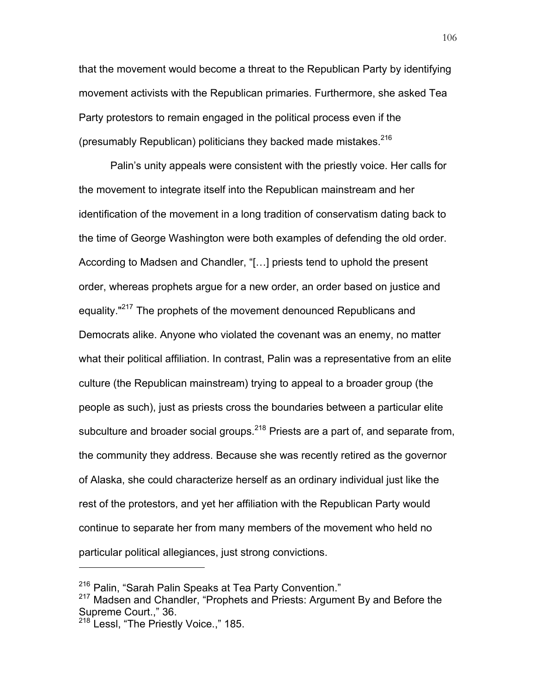that the movement would become a threat to the Republican Party by identifying movement activists with the Republican primaries. Furthermore, she asked Tea Party protestors to remain engaged in the political process even if the (presumably Republican) politicians they backed made mistakes. $216$ 

Palin's unity appeals were consistent with the priestly voice. Her calls for the movement to integrate itself into the Republican mainstream and her identification of the movement in a long tradition of conservatism dating back to the time of George Washington were both examples of defending the old order. According to Madsen and Chandler, "[…] priests tend to uphold the present order, whereas prophets argue for a new order, an order based on justice and equality."<sup>217</sup> The prophets of the movement denounced Republicans and Democrats alike. Anyone who violated the covenant was an enemy, no matter what their political affiliation. In contrast, Palin was a representative from an elite culture (the Republican mainstream) trying to appeal to a broader group (the people as such), just as priests cross the boundaries between a particular elite subculture and broader social groups.<sup>218</sup> Priests are a part of, and separate from, the community they address. Because she was recently retired as the governor of Alaska, she could characterize herself as an ordinary individual just like the rest of the protestors, and yet her affiliation with the Republican Party would continue to separate her from many members of the movement who held no particular political allegiances, just strong convictions.

<sup>&</sup>lt;sup>216</sup> Palin, "Sarah Palin Speaks at Tea Party Convention."

<sup>&</sup>lt;sup>217</sup> Madsen and Chandler, "Prophets and Priests: Argument By and Before the Supreme Court.," 36.

<sup>218</sup> Lessl, "The Priestly Voice.," 185.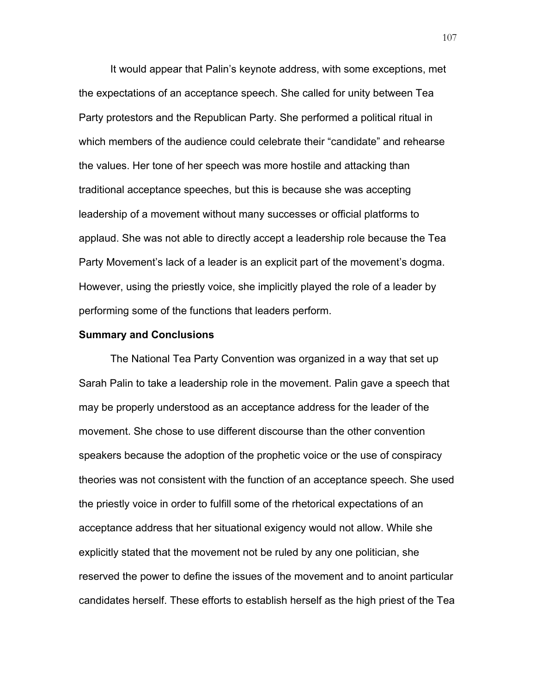It would appear that Palin's keynote address, with some exceptions, met the expectations of an acceptance speech. She called for unity between Tea Party protestors and the Republican Party. She performed a political ritual in which members of the audience could celebrate their "candidate" and rehearse the values. Her tone of her speech was more hostile and attacking than traditional acceptance speeches, but this is because she was accepting leadership of a movement without many successes or official platforms to applaud. She was not able to directly accept a leadership role because the Tea Party Movement's lack of a leader is an explicit part of the movement's dogma. However, using the priestly voice, she implicitly played the role of a leader by performing some of the functions that leaders perform.

## **Summary and Conclusions**

The National Tea Party Convention was organized in a way that set up Sarah Palin to take a leadership role in the movement. Palin gave a speech that may be properly understood as an acceptance address for the leader of the movement. She chose to use different discourse than the other convention speakers because the adoption of the prophetic voice or the use of conspiracy theories was not consistent with the function of an acceptance speech. She used the priestly voice in order to fulfill some of the rhetorical expectations of an acceptance address that her situational exigency would not allow. While she explicitly stated that the movement not be ruled by any one politician, she reserved the power to define the issues of the movement and to anoint particular candidates herself. These efforts to establish herself as the high priest of the Tea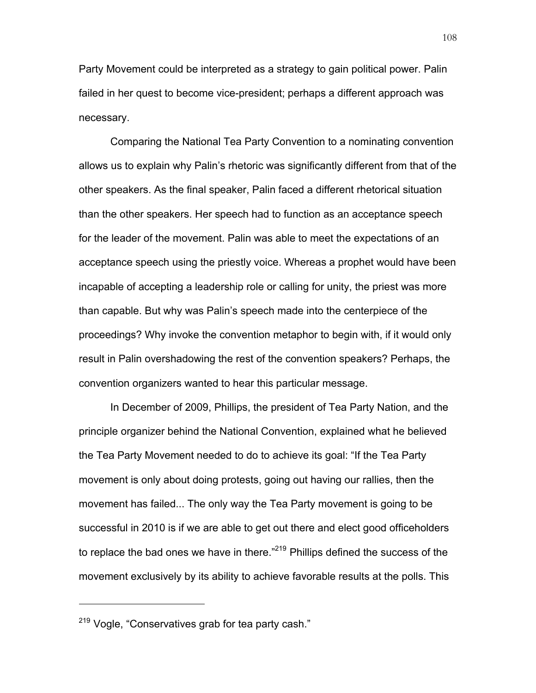Party Movement could be interpreted as a strategy to gain political power. Palin failed in her quest to become vice-president; perhaps a different approach was necessary.

Comparing the National Tea Party Convention to a nominating convention allows us to explain why Palin's rhetoric was significantly different from that of the other speakers. As the final speaker, Palin faced a different rhetorical situation than the other speakers. Her speech had to function as an acceptance speech for the leader of the movement. Palin was able to meet the expectations of an acceptance speech using the priestly voice. Whereas a prophet would have been incapable of accepting a leadership role or calling for unity, the priest was more than capable. But why was Palin's speech made into the centerpiece of the proceedings? Why invoke the convention metaphor to begin with, if it would only result in Palin overshadowing the rest of the convention speakers? Perhaps, the convention organizers wanted to hear this particular message.

In December of 2009, Phillips, the president of Tea Party Nation, and the principle organizer behind the National Convention, explained what he believed the Tea Party Movement needed to do to achieve its goal: "If the Tea Party movement is only about doing protests, going out having our rallies, then the movement has failed... The only way the Tea Party movement is going to be successful in 2010 is if we are able to get out there and elect good officeholders to replace the bad ones we have in there."<sup>219</sup> Phillips defined the success of the movement exclusively by its ability to achieve favorable results at the polls. This

<sup>219</sup> Vogle, "Conservatives grab for tea party cash."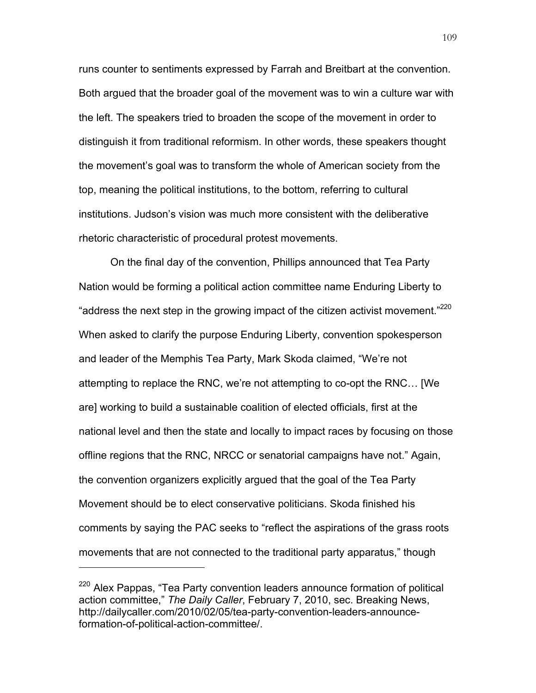runs counter to sentiments expressed by Farrah and Breitbart at the convention. Both argued that the broader goal of the movement was to win a culture war with the left. The speakers tried to broaden the scope of the movement in order to distinguish it from traditional reformism. In other words, these speakers thought the movement's goal was to transform the whole of American society from the top, meaning the political institutions, to the bottom, referring to cultural institutions. Judson's vision was much more consistent with the deliberative rhetoric characteristic of procedural protest movements.

On the final day of the convention, Phillips announced that Tea Party Nation would be forming a political action committee name Enduring Liberty to "address the next step in the growing impact of the citizen activist movement."<sup>220</sup> When asked to clarify the purpose Enduring Liberty, convention spokesperson and leader of the Memphis Tea Party, Mark Skoda claimed, "We're not attempting to replace the RNC, we're not attempting to co-opt the RNC… [We are] working to build a sustainable coalition of elected officials, first at the national level and then the state and locally to impact races by focusing on those offline regions that the RNC, NRCC or senatorial campaigns have not." Again, the convention organizers explicitly argued that the goal of the Tea Party Movement should be to elect conservative politicians. Skoda finished his comments by saying the PAC seeks to "reflect the aspirations of the grass roots movements that are not connected to the traditional party apparatus," though

<sup>&</sup>lt;sup>220</sup> Alex Pappas, "Tea Party convention leaders announce formation of political action committee," *The Daily Caller*, February 7, 2010, sec. Breaking News, http://dailycaller.com/2010/02/05/tea-party-convention-leaders-announceformation-of-political-action-committee/.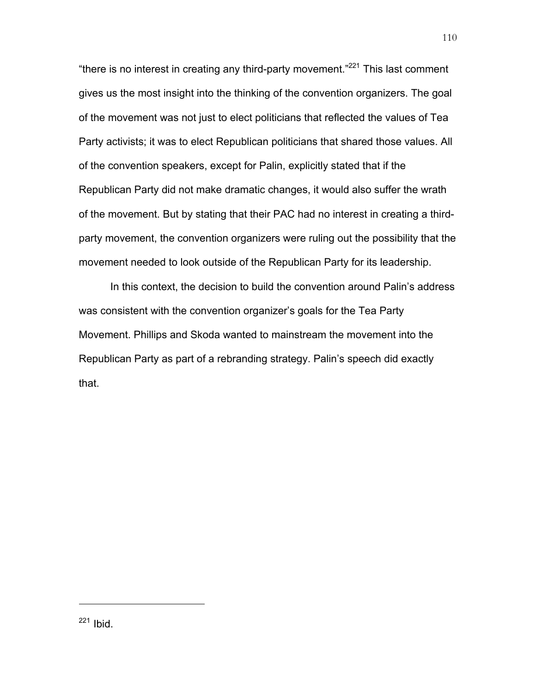"there is no interest in creating any third-party movement." $^{221}$  This last comment gives us the most insight into the thinking of the convention organizers. The goal of the movement was not just to elect politicians that reflected the values of Tea Party activists; it was to elect Republican politicians that shared those values. All of the convention speakers, except for Palin, explicitly stated that if the Republican Party did not make dramatic changes, it would also suffer the wrath of the movement. But by stating that their PAC had no interest in creating a thirdparty movement, the convention organizers were ruling out the possibility that the movement needed to look outside of the Republican Party for its leadership.

In this context, the decision to build the convention around Palin's address was consistent with the convention organizer's goals for the Tea Party Movement. Phillips and Skoda wanted to mainstream the movement into the Republican Party as part of a rebranding strategy. Palin's speech did exactly that.

 $221$  Ibid.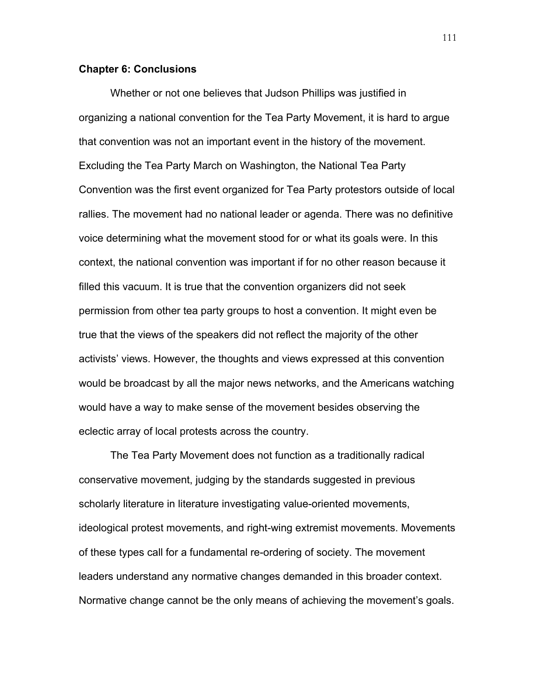## **Chapter 6: Conclusions**

Whether or not one believes that Judson Phillips was justified in organizing a national convention for the Tea Party Movement, it is hard to argue that convention was not an important event in the history of the movement. Excluding the Tea Party March on Washington, the National Tea Party Convention was the first event organized for Tea Party protestors outside of local rallies. The movement had no national leader or agenda. There was no definitive voice determining what the movement stood for or what its goals were. In this context, the national convention was important if for no other reason because it filled this vacuum. It is true that the convention organizers did not seek permission from other tea party groups to host a convention. It might even be true that the views of the speakers did not reflect the majority of the other activists' views. However, the thoughts and views expressed at this convention would be broadcast by all the major news networks, and the Americans watching would have a way to make sense of the movement besides observing the eclectic array of local protests across the country.

The Tea Party Movement does not function as a traditionally radical conservative movement, judging by the standards suggested in previous scholarly literature in literature investigating value-oriented movements, ideological protest movements, and right-wing extremist movements. Movements of these types call for a fundamental re-ordering of society. The movement leaders understand any normative changes demanded in this broader context. Normative change cannot be the only means of achieving the movement's goals.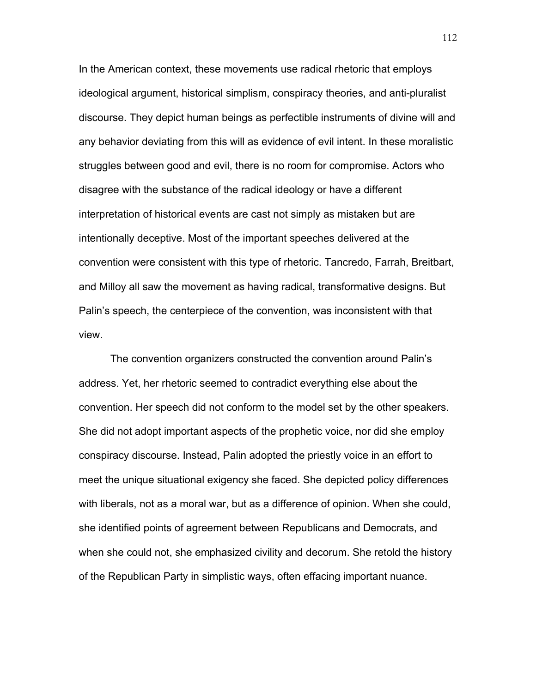In the American context, these movements use radical rhetoric that employs ideological argument, historical simplism, conspiracy theories, and anti-pluralist discourse. They depict human beings as perfectible instruments of divine will and any behavior deviating from this will as evidence of evil intent. In these moralistic struggles between good and evil, there is no room for compromise. Actors who disagree with the substance of the radical ideology or have a different interpretation of historical events are cast not simply as mistaken but are intentionally deceptive. Most of the important speeches delivered at the convention were consistent with this type of rhetoric. Tancredo, Farrah, Breitbart, and Milloy all saw the movement as having radical, transformative designs. But Palin's speech, the centerpiece of the convention, was inconsistent with that view.

The convention organizers constructed the convention around Palin's address. Yet, her rhetoric seemed to contradict everything else about the convention. Her speech did not conform to the model set by the other speakers. She did not adopt important aspects of the prophetic voice, nor did she employ conspiracy discourse. Instead, Palin adopted the priestly voice in an effort to meet the unique situational exigency she faced. She depicted policy differences with liberals, not as a moral war, but as a difference of opinion. When she could, she identified points of agreement between Republicans and Democrats, and when she could not, she emphasized civility and decorum. She retold the history of the Republican Party in simplistic ways, often effacing important nuance.

112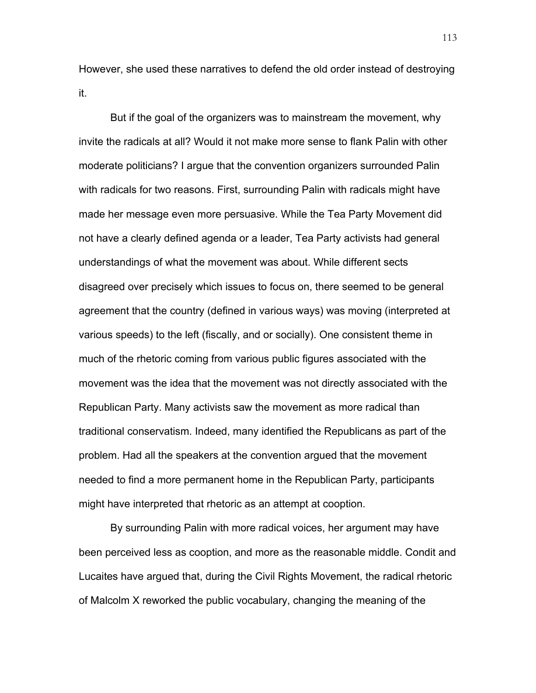However, she used these narratives to defend the old order instead of destroying it.

But if the goal of the organizers was to mainstream the movement, why invite the radicals at all? Would it not make more sense to flank Palin with other moderate politicians? I argue that the convention organizers surrounded Palin with radicals for two reasons. First, surrounding Palin with radicals might have made her message even more persuasive. While the Tea Party Movement did not have a clearly defined agenda or a leader, Tea Party activists had general understandings of what the movement was about. While different sects disagreed over precisely which issues to focus on, there seemed to be general agreement that the country (defined in various ways) was moving (interpreted at various speeds) to the left (fiscally, and or socially). One consistent theme in much of the rhetoric coming from various public figures associated with the movement was the idea that the movement was not directly associated with the Republican Party. Many activists saw the movement as more radical than traditional conservatism. Indeed, many identified the Republicans as part of the problem. Had all the speakers at the convention argued that the movement needed to find a more permanent home in the Republican Party, participants might have interpreted that rhetoric as an attempt at cooption.

By surrounding Palin with more radical voices, her argument may have been perceived less as cooption, and more as the reasonable middle. Condit and Lucaites have argued that, during the Civil Rights Movement, the radical rhetoric of Malcolm X reworked the public vocabulary, changing the meaning of the

113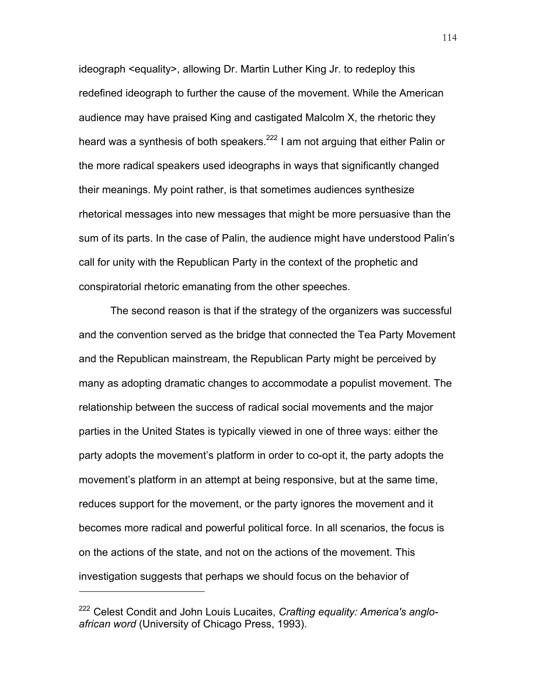ideograph <equality>, allowing Dr. Martin Luther King Jr. to redeploy this redefined ideograph to further the cause of the movement. While the American audience may have praised King and castigated Malcolm X, the rhetoric they heard was a synthesis of both speakers.<sup>222</sup> I am not arguing that either Palin or the more radical speakers used ideographs in ways that significantly changed their meanings. My point rather, is that sometimes audiences synthesize rhetorical messages into new messages that might be more persuasive than the sum of its parts. In the case of Palin, the audience might have understood Palin's call for unity with the Republican Party in the context of the prophetic and conspiratorial rhetoric emanating from the other speeches.

The second reason is that if the strategy of the organizers was successful and the convention served as the bridge that connected the Tea Party Movement and the Republican mainstream, the Republican Party might be perceived by many as adopting dramatic changes to accommodate a populist movement. The relationship between the success of radical social movements and the major parties in the United States is typically viewed in one of three ways: either the party adopts the movement's platform in order to co-opt it, the party adopts the movement's platform in an attempt at being responsive, but at the same time, reduces support for the movement, or the party ignores the movement and it becomes more radical and powerful political force. In all scenarios, the focus is on the actions of the state, and not on the actions of the movement. This investigation suggests that perhaps we should focus on the behavior of

<sup>222</sup> Celest Condit and John Louis Lucaites, *Crafting equality: America's angloafrican word* (University of Chicago Press, 1993).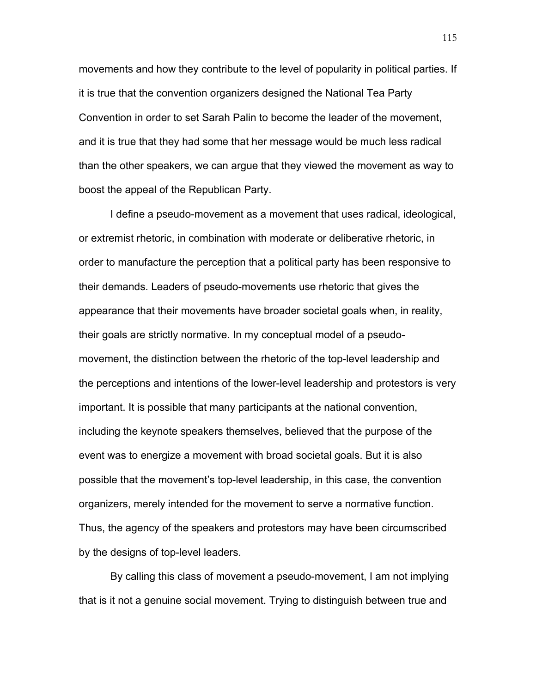movements and how they contribute to the level of popularity in political parties. If it is true that the convention organizers designed the National Tea Party Convention in order to set Sarah Palin to become the leader of the movement, and it is true that they had some that her message would be much less radical than the other speakers, we can argue that they viewed the movement as way to boost the appeal of the Republican Party.

I define a pseudo-movement as a movement that uses radical, ideological, or extremist rhetoric, in combination with moderate or deliberative rhetoric, in order to manufacture the perception that a political party has been responsive to their demands. Leaders of pseudo-movements use rhetoric that gives the appearance that their movements have broader societal goals when, in reality, their goals are strictly normative. In my conceptual model of a pseudomovement, the distinction between the rhetoric of the top-level leadership and the perceptions and intentions of the lower-level leadership and protestors is very important. It is possible that many participants at the national convention, including the keynote speakers themselves, believed that the purpose of the event was to energize a movement with broad societal goals. But it is also possible that the movement's top-level leadership, in this case, the convention organizers, merely intended for the movement to serve a normative function. Thus, the agency of the speakers and protestors may have been circumscribed by the designs of top-level leaders.

By calling this class of movement a pseudo-movement, I am not implying that is it not a genuine social movement. Trying to distinguish between true and

115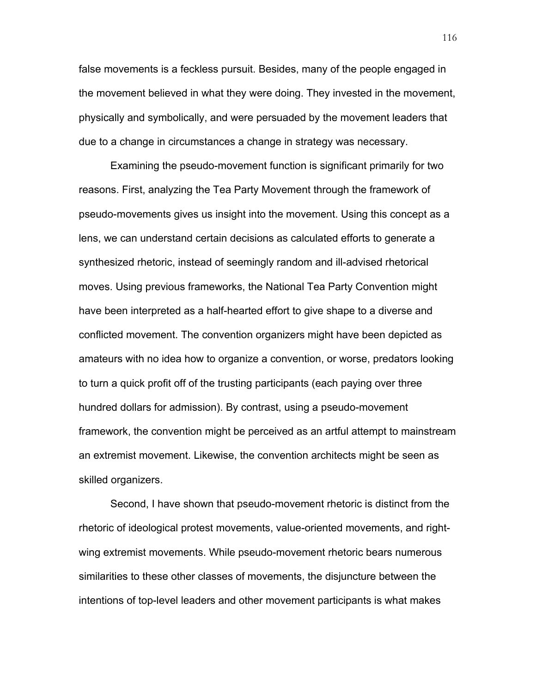false movements is a feckless pursuit. Besides, many of the people engaged in the movement believed in what they were doing. They invested in the movement, physically and symbolically, and were persuaded by the movement leaders that due to a change in circumstances a change in strategy was necessary.

Examining the pseudo-movement function is significant primarily for two reasons. First, analyzing the Tea Party Movement through the framework of pseudo-movements gives us insight into the movement. Using this concept as a lens, we can understand certain decisions as calculated efforts to generate a synthesized rhetoric, instead of seemingly random and ill-advised rhetorical moves. Using previous frameworks, the National Tea Party Convention might have been interpreted as a half-hearted effort to give shape to a diverse and conflicted movement. The convention organizers might have been depicted as amateurs with no idea how to organize a convention, or worse, predators looking to turn a quick profit off of the trusting participants (each paying over three hundred dollars for admission). By contrast, using a pseudo-movement framework, the convention might be perceived as an artful attempt to mainstream an extremist movement. Likewise, the convention architects might be seen as skilled organizers.

Second, I have shown that pseudo-movement rhetoric is distinct from the rhetoric of ideological protest movements, value-oriented movements, and rightwing extremist movements. While pseudo-movement rhetoric bears numerous similarities to these other classes of movements, the disjuncture between the intentions of top-level leaders and other movement participants is what makes

116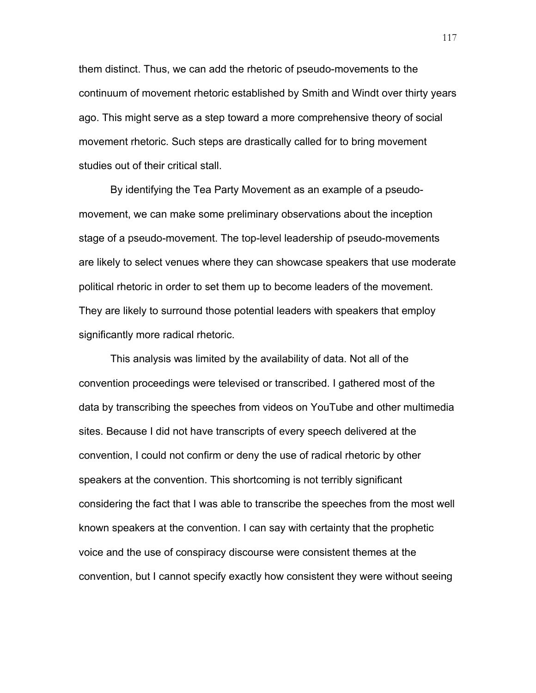them distinct. Thus, we can add the rhetoric of pseudo-movements to the continuum of movement rhetoric established by Smith and Windt over thirty years ago. This might serve as a step toward a more comprehensive theory of social movement rhetoric. Such steps are drastically called for to bring movement studies out of their critical stall.

By identifying the Tea Party Movement as an example of a pseudomovement, we can make some preliminary observations about the inception stage of a pseudo-movement. The top-level leadership of pseudo-movements are likely to select venues where they can showcase speakers that use moderate political rhetoric in order to set them up to become leaders of the movement. They are likely to surround those potential leaders with speakers that employ significantly more radical rhetoric.

This analysis was limited by the availability of data. Not all of the convention proceedings were televised or transcribed. I gathered most of the data by transcribing the speeches from videos on YouTube and other multimedia sites. Because I did not have transcripts of every speech delivered at the convention, I could not confirm or deny the use of radical rhetoric by other speakers at the convention. This shortcoming is not terribly significant considering the fact that I was able to transcribe the speeches from the most well known speakers at the convention. I can say with certainty that the prophetic voice and the use of conspiracy discourse were consistent themes at the convention, but I cannot specify exactly how consistent they were without seeing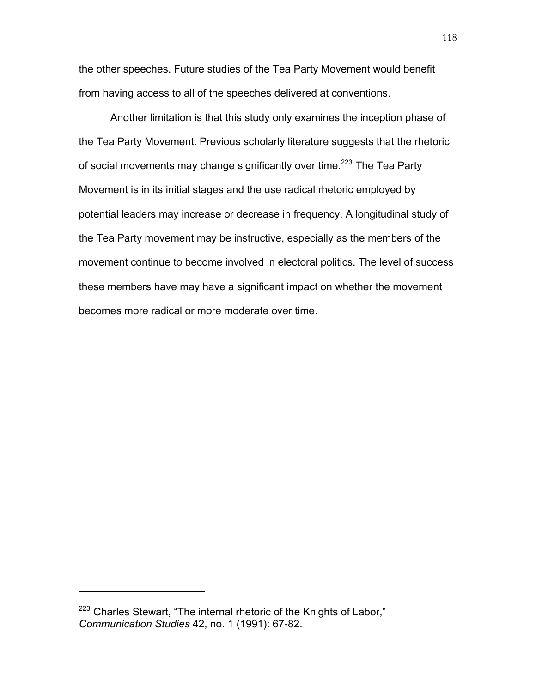the other speeches. Future studies of the Tea Party Movement would benefit from having access to all of the speeches delivered at conventions.

Another limitation is that this study only examines the inception phase of the Tea Party Movement. Previous scholarly literature suggests that the rhetoric of social movements may change significantly over time.<sup>223</sup> The Tea Party Movement is in its initial stages and the use radical rhetoric employed by potential leaders may increase or decrease in frequency. A longitudinal study of the Tea Party movement may be instructive, especially as the members of the movement continue to become involved in electoral politics. The level of success these members have may have a significant impact on whether the movement becomes more radical or more moderate over time.

<sup>&</sup>lt;sup>223</sup> Charles Stewart, "The internal rhetoric of the Knights of Labor," *Communication Studies* 42, no. 1 (1991): 67-82.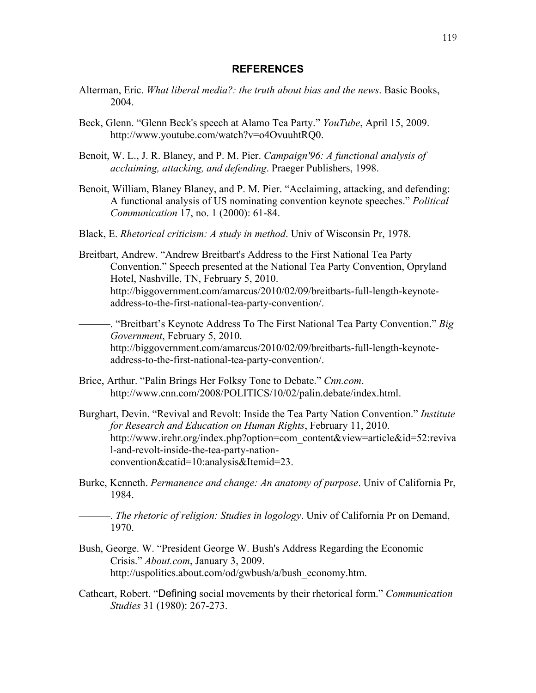## **REFERENCES**

- Alterman, Eric. *What liberal media?: the truth about bias and the news*. Basic Books, 2004.
- Beck, Glenn. "Glenn Beck's speech at Alamo Tea Party." *YouTube*, April 15, 2009. http://www.youtube.com/watch?v=o4OvuuhtRQ0.
- Benoit, W. L., J. R. Blaney, and P. M. Pier. *Campaign'96: A functional analysis of acclaiming, attacking, and defending*. Praeger Publishers, 1998.
- Benoit, William, Blaney Blaney, and P. M. Pier. "Acclaiming, attacking, and defending: A functional analysis of US nominating convention keynote speeches." *Political Communication* 17, no. 1 (2000): 61-84.
- Black, E. *Rhetorical criticism: A study in method*. Univ of Wisconsin Pr, 1978.
- Breitbart, Andrew. "Andrew Breitbart's Address to the First National Tea Party Convention." Speech presented at the National Tea Party Convention, Opryland Hotel, Nashville, TN, February 5, 2010. http://biggovernment.com/amarcus/2010/02/09/breitbarts-full-length-keynoteaddress-to-the-first-national-tea-party-convention/.

———. "Breitbart's Keynote Address To The First National Tea Party Convention." *Big Government*, February 5, 2010. http://biggovernment.com/amarcus/2010/02/09/breitbarts-full-length-keynoteaddress-to-the-first-national-tea-party-convention/.

- Brice, Arthur. "Palin Brings Her Folksy Tone to Debate." *Cnn.com*. http://www.cnn.com/2008/POLITICS/10/02/palin.debate/index.html.
- Burghart, Devin. "Revival and Revolt: Inside the Tea Party Nation Convention." *Institute for Research and Education on Human Rights*, February 11, 2010. http://www.irehr.org/index.php?option=com\_content&view=article&id=52:reviva l-and-revolt-inside-the-tea-party-nationconvention&catid=10:analysis&Itemid=23.
- Burke, Kenneth. *Permanence and change: An anatomy of purpose*. Univ of California Pr, 1984.

———. *The rhetoric of religion: Studies in logology*. Univ of California Pr on Demand, 1970.

- Bush, George. W. "President George W. Bush's Address Regarding the Economic Crisis." *About.com*, January 3, 2009. http://uspolitics.about.com/od/gwbush/a/bush\_economy.htm.
- Cathcart, Robert. "Defining social movements by their rhetorical form." *Communication Studies* 31 (1980): 267-273.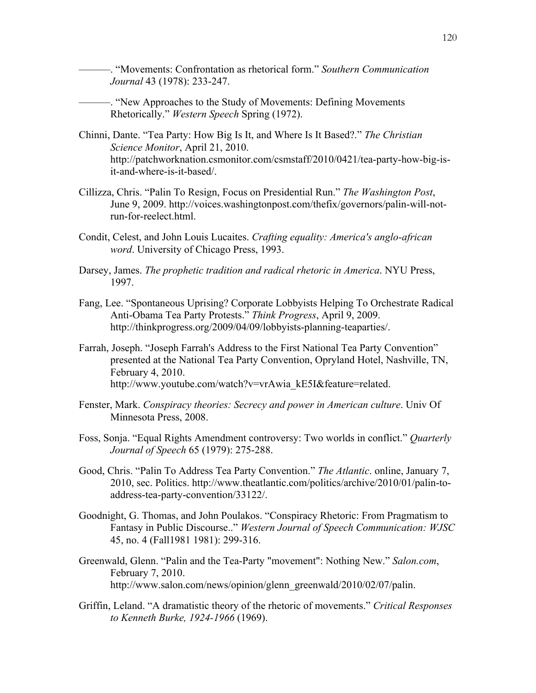———. "Movements: Confrontation as rhetorical form." *Southern Communication Journal* 43 (1978): 233-247.

———. "New Approaches to the Study of Movements: Defining Movements Rhetorically." *Western Speech* Spring (1972).

- Chinni, Dante. "Tea Party: How Big Is It, and Where Is It Based?." *The Christian Science Monitor*, April 21, 2010. http://patchworknation.csmonitor.com/csmstaff/2010/0421/tea-party-how-big-isit-and-where-is-it-based/.
- Cillizza, Chris. "Palin To Resign, Focus on Presidential Run." *The Washington Post*, June 9, 2009. http://voices.washingtonpost.com/thefix/governors/palin-will-notrun-for-reelect.html.
- Condit, Celest, and John Louis Lucaites. *Crafting equality: America's anglo-african word*. University of Chicago Press, 1993.
- Darsey, James. *The prophetic tradition and radical rhetoric in America*. NYU Press, 1997.
- Fang, Lee. "Spontaneous Uprising? Corporate Lobbyists Helping To Orchestrate Radical Anti-Obama Tea Party Protests." *Think Progress*, April 9, 2009. http://thinkprogress.org/2009/04/09/lobbyists-planning-teaparties/.
- Farrah, Joseph. "Joseph Farrah's Address to the First National Tea Party Convention" presented at the National Tea Party Convention, Opryland Hotel, Nashville, TN, February 4, 2010. http://www.youtube.com/watch?v=vrAwia\_kE5I&feature=related.
- Fenster, Mark. *Conspiracy theories: Secrecy and power in American culture*. Univ Of Minnesota Press, 2008.
- Foss, Sonja. "Equal Rights Amendment controversy: Two worlds in conflict." *Quarterly Journal of Speech* 65 (1979): 275-288.
- Good, Chris. "Palin To Address Tea Party Convention." *The Atlantic*. online, January 7, 2010, sec. Politics. http://www.theatlantic.com/politics/archive/2010/01/palin-toaddress-tea-party-convention/33122/.
- Goodnight, G. Thomas, and John Poulakos. "Conspiracy Rhetoric: From Pragmatism to Fantasy in Public Discourse.." *Western Journal of Speech Communication: WJSC* 45, no. 4 (Fall1981 1981): 299-316.
- Greenwald, Glenn. "Palin and the Tea-Party "movement": Nothing New." *Salon.com*, February 7, 2010. http://www.salon.com/news/opinion/glenn\_greenwald/2010/02/07/palin.
- Griffin, Leland. "A dramatistic theory of the rhetoric of movements." *Critical Responses to Kenneth Burke, 1924-1966* (1969).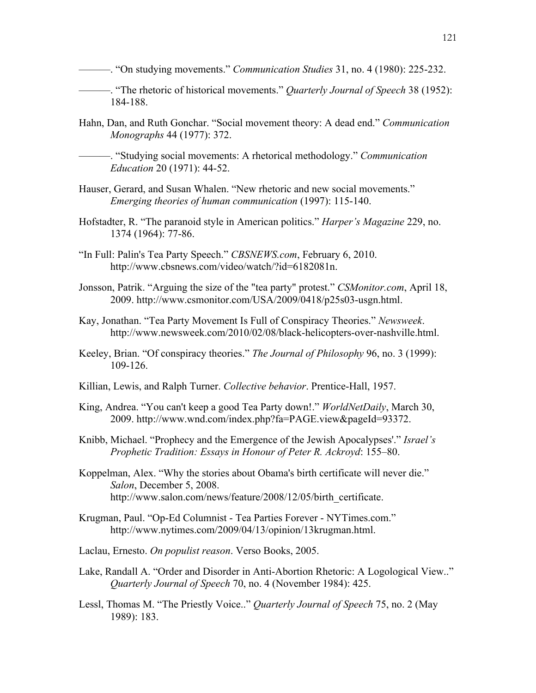- ———. "On studying movements." *Communication Studies* 31, no. 4 (1980): 225-232.
- ———. "The rhetoric of historical movements." *Quarterly Journal of Speech* 38 (1952): 184-188.
- Hahn, Dan, and Ruth Gonchar. "Social movement theory: A dead end." *Communication Monographs* 44 (1977): 372.

———. "Studying social movements: A rhetorical methodology." *Communication Education* 20 (1971): 44-52.

- Hauser, Gerard, and Susan Whalen. "New rhetoric and new social movements." *Emerging theories of human communication* (1997): 115-140.
- Hofstadter, R. "The paranoid style in American politics." *Harper's Magazine* 229, no. 1374 (1964): 77-86.
- "In Full: Palin's Tea Party Speech." *CBSNEWS.com*, February 6, 2010. http://www.cbsnews.com/video/watch/?id=6182081n.
- Jonsson, Patrik. "Arguing the size of the "tea party" protest." *CSMonitor.com*, April 18, 2009. http://www.csmonitor.com/USA/2009/0418/p25s03-usgn.html.
- Kay, Jonathan. "Tea Party Movement Is Full of Conspiracy Theories." *Newsweek*. http://www.newsweek.com/2010/02/08/black-helicopters-over-nashville.html.
- Keeley, Brian. "Of conspiracy theories." *The Journal of Philosophy* 96, no. 3 (1999): 109-126.
- Killian, Lewis, and Ralph Turner. *Collective behavior*. Prentice-Hall, 1957.
- King, Andrea. "You can't keep a good Tea Party down!." *WorldNetDaily*, March 30, 2009. http://www.wnd.com/index.php?fa=PAGE.view&pageId=93372.
- Knibb, Michael. "Prophecy and the Emergence of the Jewish Apocalypses'." *Israel's Prophetic Tradition: Essays in Honour of Peter R. Ackroyd*: 155–80.
- Koppelman, Alex. "Why the stories about Obama's birth certificate will never die." *Salon*, December 5, 2008. http://www.salon.com/news/feature/2008/12/05/birth\_certificate.
- Krugman, Paul. "Op-Ed Columnist Tea Parties Forever NYTimes.com." http://www.nytimes.com/2009/04/13/opinion/13krugman.html.
- Laclau, Ernesto. *On populist reason*. Verso Books, 2005.
- Lake, Randall A. "Order and Disorder in Anti-Abortion Rhetoric: A Logological View.." *Quarterly Journal of Speech* 70, no. 4 (November 1984): 425.
- Lessl, Thomas M. "The Priestly Voice.." *Quarterly Journal of Speech* 75, no. 2 (May 1989): 183.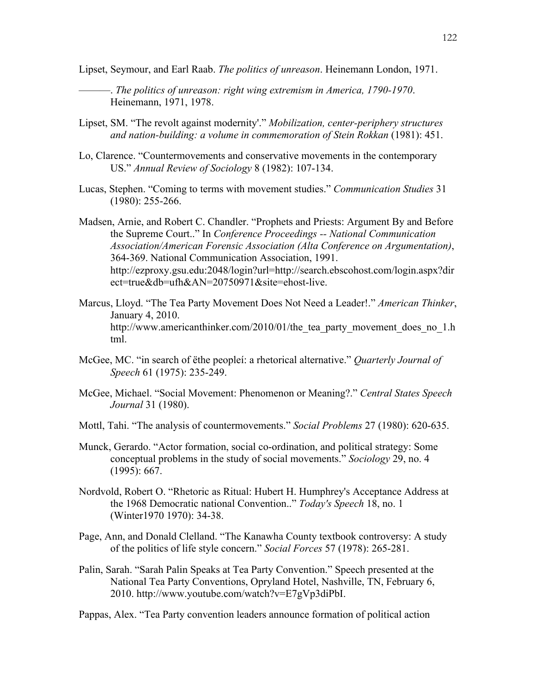Lipset, Seymour, and Earl Raab. *The politics of unreason*. Heinemann London, 1971.

———. *The politics of unreason: right wing extremism in America, 1790-1970*. Heinemann, 1971, 1978.

- Lipset, SM. "The revolt against modernity'." *Mobilization, center-periphery structures and nation-building: a volume in commemoration of Stein Rokkan* (1981): 451.
- Lo, Clarence. "Countermovements and conservative movements in the contemporary US." *Annual Review of Sociology* 8 (1982): 107-134.
- Lucas, Stephen. "Coming to terms with movement studies." *Communication Studies* 31 (1980): 255-266.

Madsen, Arnie, and Robert C. Chandler. "Prophets and Priests: Argument By and Before the Supreme Court.." In *Conference Proceedings -- National Communication Association/American Forensic Association (Alta Conference on Argumentation)*, 364-369. National Communication Association, 1991. http://ezproxy.gsu.edu:2048/login?url=http://search.ebscohost.com/login.aspx?dir ect=true&db=ufh&AN=20750971&site=ehost-live.

- Marcus, Lloyd. "The Tea Party Movement Does Not Need a Leader!." *American Thinker*, January 4, 2010. http://www.americanthinker.com/2010/01/the\_tea\_party\_movement\_does\_no\_1.h tml.
- McGee, MC. "in search of ëthe peopleí: a rhetorical alternative." *Quarterly Journal of Speech* 61 (1975): 235-249.
- McGee, Michael. "Social Movement: Phenomenon or Meaning?." *Central States Speech Journal* 31 (1980).
- Mottl, Tahi. "The analysis of countermovements." *Social Problems* 27 (1980): 620-635.
- Munck, Gerardo. "Actor formation, social co-ordination, and political strategy: Some conceptual problems in the study of social movements." *Sociology* 29, no. 4 (1995): 667.
- Nordvold, Robert O. "Rhetoric as Ritual: Hubert H. Humphrey's Acceptance Address at the 1968 Democratic national Convention.." *Today's Speech* 18, no. 1 (Winter1970 1970): 34-38.
- Page, Ann, and Donald Clelland. "The Kanawha County textbook controversy: A study of the politics of life style concern." *Social Forces* 57 (1978): 265-281.
- Palin, Sarah. "Sarah Palin Speaks at Tea Party Convention." Speech presented at the National Tea Party Conventions, Opryland Hotel, Nashville, TN, February 6, 2010. http://www.youtube.com/watch?v=E7gVp3diPbI.

Pappas, Alex. "Tea Party convention leaders announce formation of political action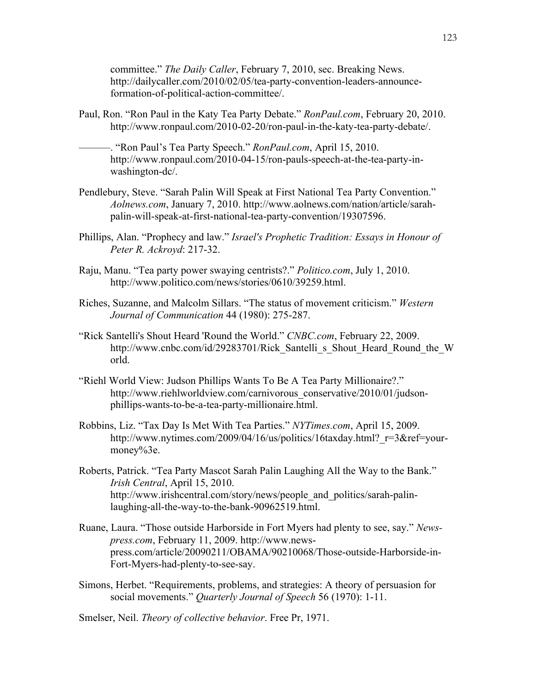committee." *The Daily Caller*, February 7, 2010, sec. Breaking News. http://dailycaller.com/2010/02/05/tea-party-convention-leaders-announceformation-of-political-action-committee/.

Paul, Ron. "Ron Paul in the Katy Tea Party Debate." *RonPaul.com*, February 20, 2010. http://www.ronpaul.com/2010-02-20/ron-paul-in-the-katy-tea-party-debate/.

———. "Ron Paul's Tea Party Speech." *RonPaul.com*, April 15, 2010. http://www.ronpaul.com/2010-04-15/ron-pauls-speech-at-the-tea-party-inwashington-dc/.

- Pendlebury, Steve. "Sarah Palin Will Speak at First National Tea Party Convention." *Aolnews.com*, January 7, 2010. http://www.aolnews.com/nation/article/sarahpalin-will-speak-at-first-national-tea-party-convention/19307596.
- Phillips, Alan. "Prophecy and law." *Israel's Prophetic Tradition: Essays in Honour of Peter R. Ackroyd*: 217-32.
- Raju, Manu. "Tea party power swaying centrists?." *Politico.com*, July 1, 2010. http://www.politico.com/news/stories/0610/39259.html.
- Riches, Suzanne, and Malcolm Sillars. "The status of movement criticism." *Western Journal of Communication* 44 (1980): 275-287.
- "Rick Santelli's Shout Heard 'Round the World." *CNBC.com*, February 22, 2009. http://www.cnbc.com/id/29283701/Rick\_Santelli\_s\_Shout\_Heard\_Round\_the\_W orld.
- "Riehl World View: Judson Phillips Wants To Be A Tea Party Millionaire?." http://www.riehlworldview.com/carnivorous\_conservative/2010/01/judsonphillips-wants-to-be-a-tea-party-millionaire.html.
- Robbins, Liz. "Tax Day Is Met With Tea Parties." *NYTimes.com*, April 15, 2009. http://www.nytimes.com/2009/04/16/us/politics/16taxday.html?\_r=3&ref=yourmoney%3e.
- Roberts, Patrick. "Tea Party Mascot Sarah Palin Laughing All the Way to the Bank." *Irish Central*, April 15, 2010. http://www.irishcentral.com/story/news/people and politics/sarah-palinlaughing-all-the-way-to-the-bank-90962519.html.
- Ruane, Laura. "Those outside Harborside in Fort Myers had plenty to see, say." *Newspress.com*, February 11, 2009. http://www.newspress.com/article/20090211/OBAMA/90210068/Those-outside-Harborside-in-Fort-Myers-had-plenty-to-see-say.
- Simons, Herbet. "Requirements, problems, and strategies: A theory of persuasion for social movements." *Quarterly Journal of Speech* 56 (1970): 1-11.

Smelser, Neil. *Theory of collective behavior*. Free Pr, 1971.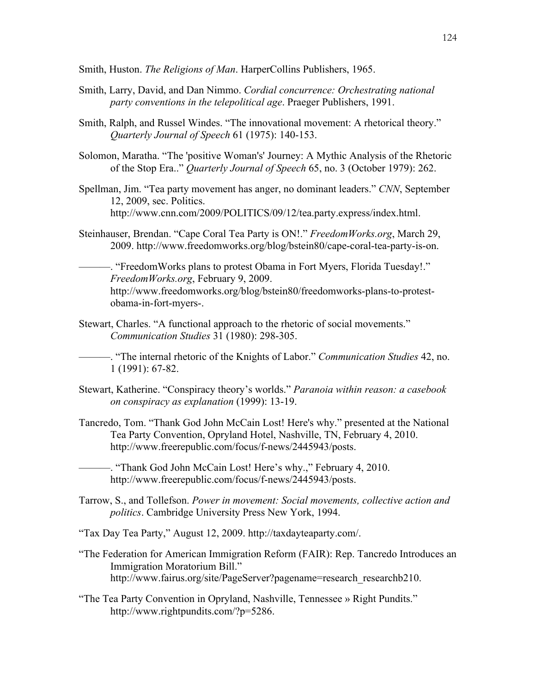Smith, Huston. *The Religions of Man*. HarperCollins Publishers, 1965.

- Smith, Larry, David, and Dan Nimmo. *Cordial concurrence: Orchestrating national party conventions in the telepolitical age*. Praeger Publishers, 1991.
- Smith, Ralph, and Russel Windes. "The innovational movement: A rhetorical theory." *Quarterly Journal of Speech* 61 (1975): 140-153.
- Solomon, Maratha. "The 'positive Woman's' Journey: A Mythic Analysis of the Rhetoric of the Stop Era.." *Quarterly Journal of Speech* 65, no. 3 (October 1979): 262.
- Spellman, Jim. "Tea party movement has anger, no dominant leaders." *CNN*, September 12, 2009, sec. Politics. http://www.cnn.com/2009/POLITICS/09/12/tea.party.express/index.html.
- Steinhauser, Brendan. "Cape Coral Tea Party is ON!." *FreedomWorks.org*, March 29, 2009. http://www.freedomworks.org/blog/bstein80/cape-coral-tea-party-is-on.

———. "FreedomWorks plans to protest Obama in Fort Myers, Florida Tuesday!." *FreedomWorks.org*, February 9, 2009. http://www.freedomworks.org/blog/bstein80/freedomworks-plans-to-protestobama-in-fort-myers-.

Stewart, Charles. "A functional approach to the rhetoric of social movements." *Communication Studies* 31 (1980): 298-305.

———. "The internal rhetoric of the Knights of Labor." *Communication Studies* 42, no. 1 (1991): 67-82.

- Stewart, Katherine. "Conspiracy theory's worlds." *Paranoia within reason: a casebook on conspiracy as explanation* (1999): 13-19.
- Tancredo, Tom. "Thank God John McCain Lost! Here's why." presented at the National Tea Party Convention, Opryland Hotel, Nashville, TN, February 4, 2010. http://www.freerepublic.com/focus/f-news/2445943/posts.

———. "Thank God John McCain Lost! Here's why.," February 4, 2010. http://www.freerepublic.com/focus/f-news/2445943/posts.

Tarrow, S., and Tollefson. *Power in movement: Social movements, collective action and politics*. Cambridge University Press New York, 1994.

"Tax Day Tea Party," August 12, 2009. http://taxdayteaparty.com/.

- "The Federation for American Immigration Reform (FAIR): Rep. Tancredo Introduces an Immigration Moratorium Bill." http://www.fairus.org/site/PageServer?pagename=research\_researchb210.
- "The Tea Party Convention in Opryland, Nashville, Tennessee » Right Pundits." http://www.rightpundits.com/?p=5286.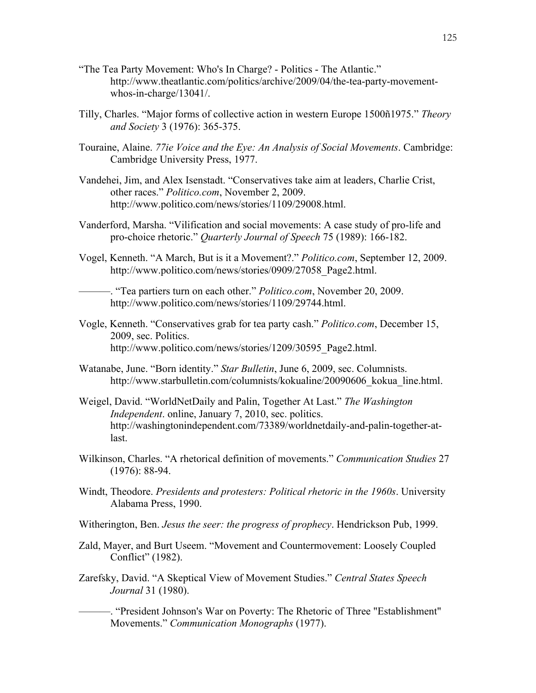- "The Tea Party Movement: Who's In Charge? Politics The Atlantic." http://www.theatlantic.com/politics/archive/2009/04/the-tea-party-movementwhos-in-charge/13041/.
- Tilly, Charles. "Major forms of collective action in western Europe 1500ñ1975." *Theory and Society* 3 (1976): 365-375.
- Touraine, Alaine. *77ie Voice and the Eye: An Analysis of Social Movements*. Cambridge: Cambridge University Press, 1977.
- Vandehei, Jim, and Alex Isenstadt. "Conservatives take aim at leaders, Charlie Crist, other races." *Politico.com*, November 2, 2009. http://www.politico.com/news/stories/1109/29008.html.
- Vanderford, Marsha. "Vilification and social movements: A case study of pro-life and pro-choice rhetoric." *Quarterly Journal of Speech* 75 (1989): 166-182.
- Vogel, Kenneth. "A March, But is it a Movement?." *Politico.com*, September 12, 2009. http://www.politico.com/news/stories/0909/27058\_Page2.html.

———. "Tea partiers turn on each other." *Politico.com*, November 20, 2009. http://www.politico.com/news/stories/1109/29744.html.

- Vogle, Kenneth. "Conservatives grab for tea party cash." *Politico.com*, December 15, 2009, sec. Politics. http://www.politico.com/news/stories/1209/30595\_Page2.html.
- Watanabe, June. "Born identity." *Star Bulletin*, June 6, 2009, sec. Columnists. http://www.starbulletin.com/columnists/kokualine/20090606 kokua line.html.
- Weigel, David. "WorldNetDaily and Palin, Together At Last." *The Washington Independent*. online, January 7, 2010, sec. politics. http://washingtonindependent.com/73389/worldnetdaily-and-palin-together-atlast.
- Wilkinson, Charles. "A rhetorical definition of movements." *Communication Studies* 27 (1976): 88-94.
- Windt, Theodore. *Presidents and protesters: Political rhetoric in the 1960s*. University Alabama Press, 1990.
- Witherington, Ben. *Jesus the seer: the progress of prophecy*. Hendrickson Pub, 1999.
- Zald, Mayer, and Burt Useem. "Movement and Countermovement: Loosely Coupled Conflict" (1982).
- Zarefsky, David. "A Skeptical View of Movement Studies." *Central States Speech Journal* 31 (1980).

———. "President Johnson's War on Poverty: The Rhetoric of Three "Establishment" Movements." *Communication Monographs* (1977).